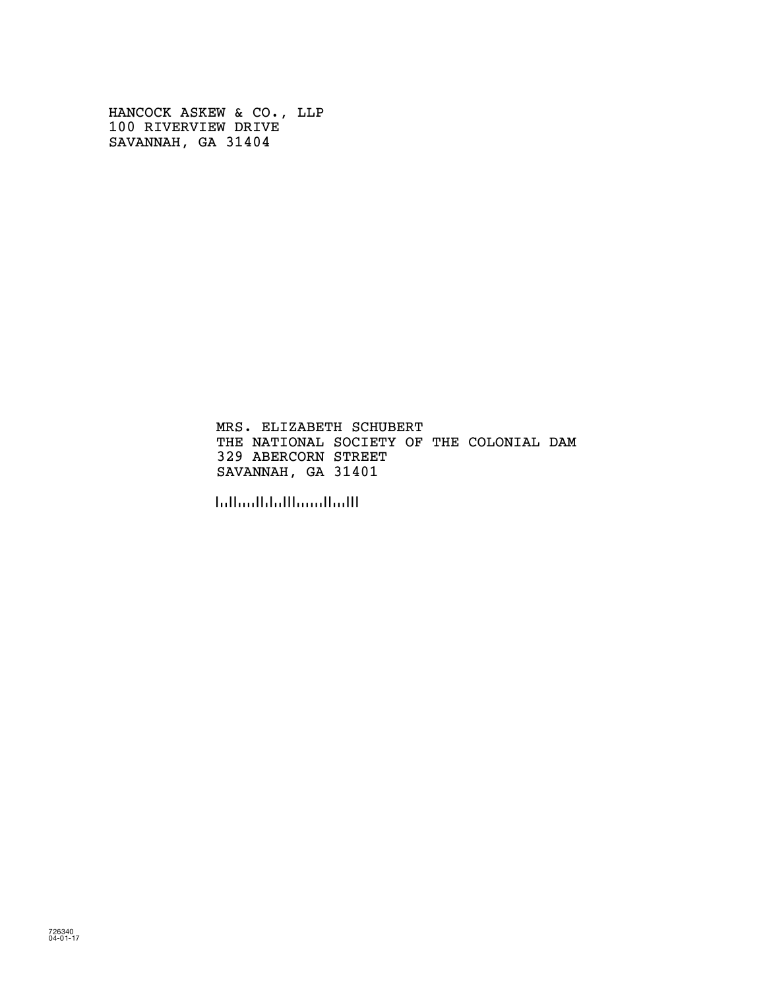HANCOCK ASKEW & CO., LLP 100 RIVERVIEW DRIVE SAVANNAH, GA 31404

> MRS. ELIZABETH SCHUBERT THE NATIONAL SOCIETY OF THE COLONIAL DAM 329 ABERCORN STREET SAVANNAH, GA 31401

!314011!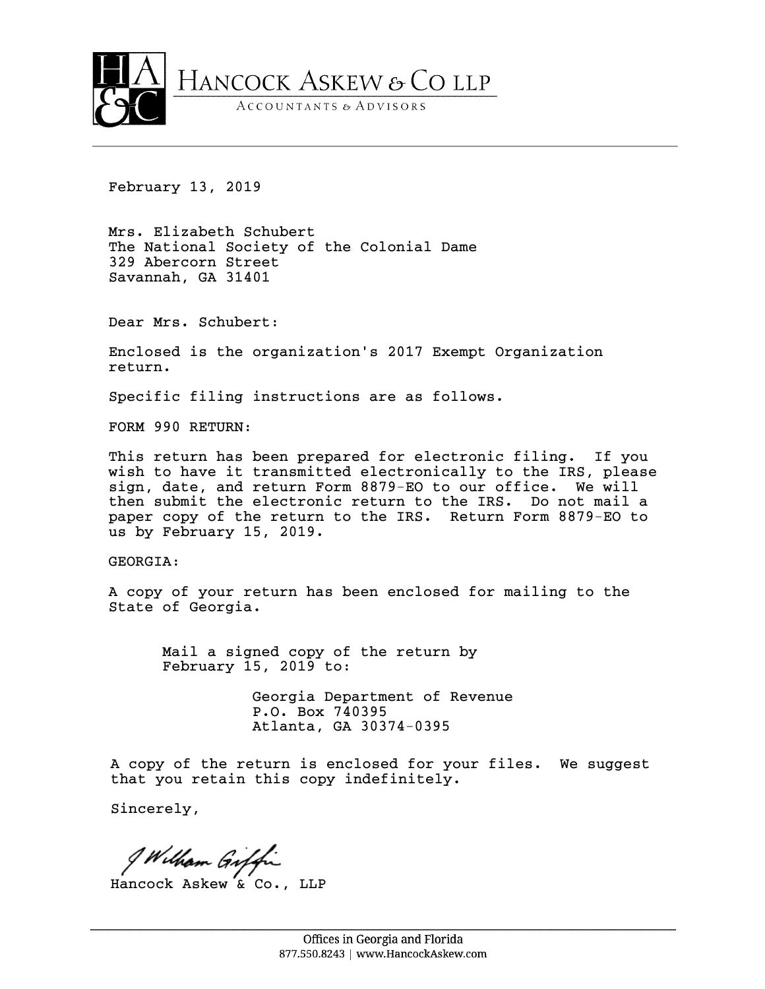

February 13, 2019

Mrs. Elizabeth Schubert The National Society of the Colonial Dame 329 Abercorn Street Savannah, GA 31401

Dear Mrs. Schubert:

Enclosed is the organization's 2017 Exempt Organization return.

Specific filing instructions are as follows.

FORM 990 RETURN:

This return has been prepared for electronic filing. If you wish to have it transmitted electronically to the IRS, please sign, date, and return Form 8879-EO to our office. We will then submit the electronic return to the IRS. Do not mail a paper copy of the return to the IRS. Return Form 8879-EO to us by February 15, 2019.

GEORGIA:

A copy of your return has been enclosed for mailing to the State of Georgia.

Mail a signed copy of the return by February 15, 2019 to:

> Georgia Department of Revenue P.O. Box 740395 Atlanta, GA 30374-0395

A copy of the return is enclosed for your files. We suggest that you retain this copy indefinitely.

Sincerely,

I Wilham Giffi

Hancock Askew & Co., LLP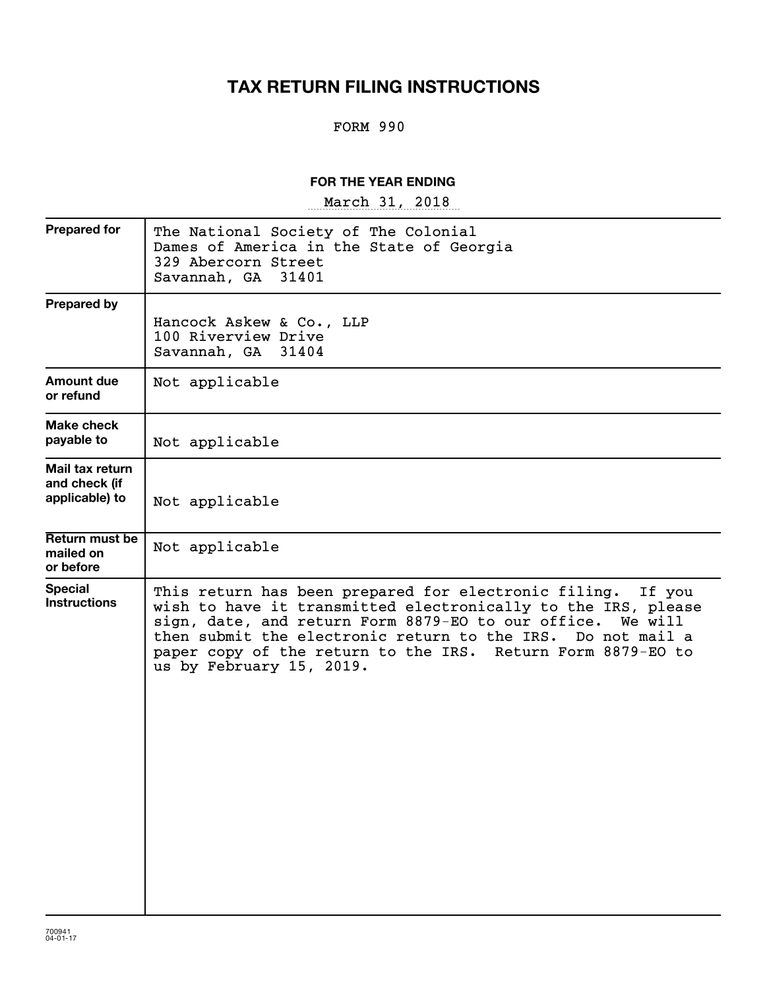# **TAX RETURN FILING INSTRUCTIONS**

#### FORM 990

#### **FOR THE YEAR ENDING**

~~~~~~~~~~~~~~~~~ March 31, 2018

| <b>Prepared for</b>                                | The National Society of The Colonial<br>Dames of America in the State of Georgia<br>329 Abercorn Street<br>Savannah, GA<br>31401                                                                                                                                                                                                                           |
|----------------------------------------------------|------------------------------------------------------------------------------------------------------------------------------------------------------------------------------------------------------------------------------------------------------------------------------------------------------------------------------------------------------------|
| <b>Prepared by</b>                                 | Hancock Askew & Co., LLP<br>100 Riverview Drive<br>Savannah, GA 31404                                                                                                                                                                                                                                                                                      |
| Amount due<br>or refund                            | Not applicable                                                                                                                                                                                                                                                                                                                                             |
| Make check<br>payable to                           | Not applicable                                                                                                                                                                                                                                                                                                                                             |
| Mail tax return<br>and check (if<br>applicable) to | Not applicable                                                                                                                                                                                                                                                                                                                                             |
| Return must be<br>mailed on<br>or before           | Not applicable                                                                                                                                                                                                                                                                                                                                             |
| <b>Special</b><br><b>Instructions</b>              | This return has been prepared for electronic filing.<br>If you<br>wish to have it transmitted electronically to the IRS, please<br>sign, date, and return Form 8879-EO to our office. We will<br>then submit the electronic return to the IRS.<br>Do not mail a<br>paper copy of the return to the IRS. Return Form 8879-EO to<br>us by February 15, 2019. |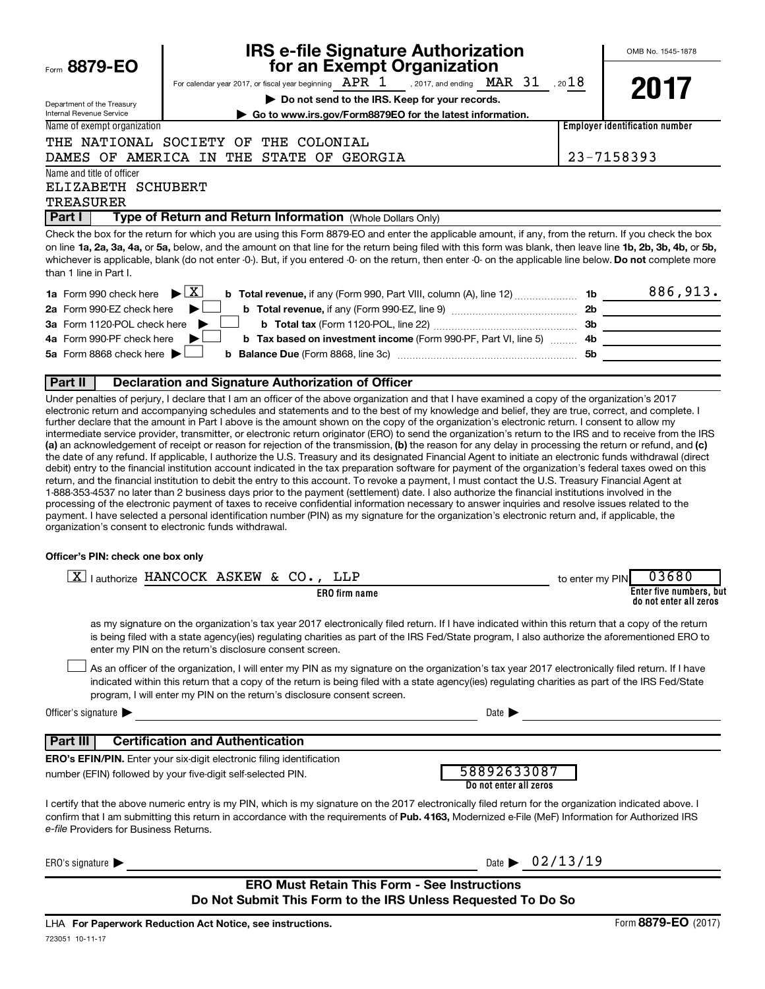| Form 8879-EO |  |
|--------------|--|
|              |  |

Department of the Treasury

# **IRS e-file Signature Authorization 8879-EO for an Exempt Organization**

OMB No. 1545-1878

**2017**

|                                                                       |  | <b>101 an Exempt Organization</b>     |  |     |
|-----------------------------------------------------------------------|--|---------------------------------------|--|-----|
| For calendar year 2017, or fiscal year beginning $\rm \; APR \; \; 1$ |  | , 2017, and ending $\rm~MAR$ $\rm~31$ |  | .20 |

**| Do not send to the IRS. Keep for your records.**  $1$  , 20 $18$ 

**| Go to www.irs.gov/Form8879EO for the latest information.**

Internal Revenue Service Name of exempt organization

#### THE NATIONAL SOCIETY OF THE COLONIAL DAMES OF AMERICA IN THE STATE OF GEORGIA 23-7158393

**Employer identification number**

Name and title of officer

#### ELIZABETH SCHUBERT

TREASURER

**Part I** | Type of Return and Return Information (Whole Dollars Only)

on line 1a, 2a, 3a, 4a, or 5a, below, and the amount on that line for the return being filed with this form was blank, then leave line 1b, 2b, 3b, 4b, or 5b, whichever is applicable, blank (do not enter -0-). But, if you entered -0- on the return, then enter -0- on the applicable line below. **Do not** complete more Check the box for the return for which you are using this Form 8879-EO and enter the applicable amount, if any, from the return. If you check the box than 1 line in Part I.

| <b>1a</b> Form 990 check here $\triangleright$ $\boxed{X}$                                                                    |     | 886,913. |
|-------------------------------------------------------------------------------------------------------------------------------|-----|----------|
| 2a Form 990-EZ check here $\blacktriangleright$                                                                               | 2b  |          |
| 3a Form 1120-POL check here $\blacktriangleright$                                                                             | -3b |          |
| 4a Form 990-PF check here $\blacktriangleright$<br><b>b</b> Tax based on investment income (Form 990-PF, Part VI, line 5)  4b |     |          |
| 5a Form 8868 check here $\blacktriangleright$ $\Box$                                                                          | .5b |          |
|                                                                                                                               |     |          |

#### **Part II Declaration and Signature Authorization of Officer**

(a) an acknowledgement of receipt or reason for rejection of the transmission, (b) the reason for any delay in processing the return or refund, and (c) Under penalties of perjury, I declare that I am an officer of the above organization and that I have examined a copy of the organization's 2017 electronic return and accompanying schedules and statements and to the best of my knowledge and belief, they are true, correct, and complete. I further declare that the amount in Part I above is the amount shown on the copy of the organization's electronic return. I consent to allow my intermediate service provider, transmitter, or electronic return originator (ERO) to send the organization's return to the IRS and to receive from the IRS the date of any refund. If applicable, I authorize the U.S. Treasury and its designated Financial Agent to initiate an electronic funds withdrawal (direct debit) entry to the financial institution account indicated in the tax preparation software for payment of the organization's federal taxes owed on this return, and the financial institution to debit the entry to this account. To revoke a payment, I must contact the U.S. Treasury Financial Agent at 1-888-353-4537 no later than 2 business days prior to the payment (settlement) date. I also authorize the financial institutions involved in the processing of the electronic payment of taxes to receive confidential information necessary to answer inquiries and resolve issues related to the payment. I have selected a personal identification number (PIN) as my signature for the organization's electronic return and, if applicable, the organization's consent to electronic funds withdrawal.

#### **Officer's PIN: check one box only**

| lauthorize HANCOCK ASKEW & CO., LLP<br>X                                                                                                                                                                                                                                                                                                                                         | 03680<br>to enter my PIN                          |
|----------------------------------------------------------------------------------------------------------------------------------------------------------------------------------------------------------------------------------------------------------------------------------------------------------------------------------------------------------------------------------|---------------------------------------------------|
| <b>ERO</b> firm name                                                                                                                                                                                                                                                                                                                                                             | Enter five numbers, but<br>do not enter all zeros |
| as my signature on the organization's tax year 2017 electronically filed return. If I have indicated within this return that a copy of the return<br>is being filed with a state agency(ies) regulating charities as part of the IRS Fed/State program, I also authorize the aforementioned ERO to<br>enter my PIN on the return's disclosure consent screen.                    |                                                   |
| As an officer of the organization, I will enter my PIN as my signature on the organization's tax year 2017 electronically filed return. If I have<br>indicated within this return that a copy of the return is being filed with a state agency(ies) regulating charities as part of the IRS Fed/State<br>program, I will enter my PIN on the return's disclosure consent screen. |                                                   |
| Officer's signature $\blacktriangleright$                                                                                                                                                                                                                                                                                                                                        | Date $\blacksquare$                               |
| <b>Certification and Authentication</b><br>Part III                                                                                                                                                                                                                                                                                                                              |                                                   |
| <b>ERO's EFIN/PIN.</b> Enter your six-digit electronic filing identification                                                                                                                                                                                                                                                                                                     |                                                   |
| number (EFIN) followed by your five-digit self-selected PIN.                                                                                                                                                                                                                                                                                                                     | 58892633087<br>Do not enter all zeros             |
| I certify that the above numeric entry is my PIN, which is my signature on the 2017 electronically filed return for the organization indicated above. I<br>confirm that I am submitting this return in accordance with the requirements of Pub. 4163, Modernized e-File (MeF) Information for Authorized IRS<br>e-file Providers for Business Returns.                           |                                                   |
| ERO's signature $\blacktriangleright$                                                                                                                                                                                                                                                                                                                                            | Date $\triangleright$ 02/13/19                    |
| <b>ERO Must Retain This Form - See Instructions</b><br>Do Not Submit This Form to the IRS Unless Requested To Do So                                                                                                                                                                                                                                                              |                                                   |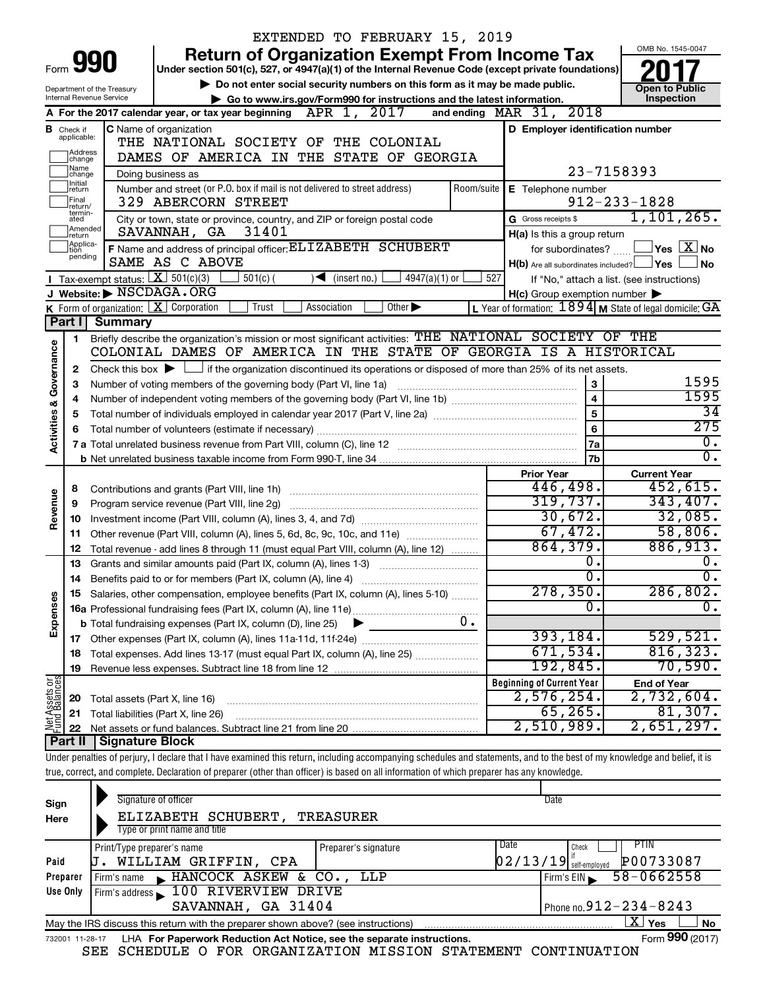|                         |                                                                                             |                                             | EXTENDED TO FEBRUARY 15, 2019                                                                                                                                              |                                                           |                                                    |  |
|-------------------------|---------------------------------------------------------------------------------------------|---------------------------------------------|----------------------------------------------------------------------------------------------------------------------------------------------------------------------------|-----------------------------------------------------------|----------------------------------------------------|--|
|                         |                                                                                             |                                             | <b>Return of Organization Exempt From Income Tax</b>                                                                                                                       |                                                           | OMB No. 1545-0047                                  |  |
| Form                    |                                                                                             | 990                                         | Under section 501(c), 527, or 4947(a)(1) of the Internal Revenue Code (except private foundations)                                                                         |                                                           |                                                    |  |
|                         |                                                                                             | Department of the Treasury                  | Do not enter social security numbers on this form as it may be made public.                                                                                                |                                                           | <b>Open to Public</b>                              |  |
|                         |                                                                                             | Internal Revenue Service                    | Go to www.irs.gov/Form990 for instructions and the latest information.                                                                                                     |                                                           | Inspection                                         |  |
|                         |                                                                                             |                                             | A For the 2017 calendar year, or tax year beginning $\overline{\text{APR}}$ 1, 2017                                                                                        | and ending $\n  MAR\n  31, 2018\n$                        |                                                    |  |
|                         | <b>B</b> Check if<br>applicable:                                                            |                                             | C Name of organization<br>THE NATIONAL SOCIETY OF<br>THE COLONIAL                                                                                                          | D Employer identification number                          |                                                    |  |
|                         | Address<br>change                                                                           |                                             | DAMES OF AMERICA IN THE STATE OF GEORGIA                                                                                                                                   |                                                           |                                                    |  |
|                         | Name<br> change                                                                             |                                             | Doing business as                                                                                                                                                          |                                                           | 23-7158393                                         |  |
|                         | Initial<br>return                                                                           |                                             | Number and street (or P.O. box if mail is not delivered to street address)                                                                                                 | Room/suite   E Telephone number                           |                                                    |  |
|                         | Final<br>return/                                                                            |                                             | 329 ABERCORN STREET                                                                                                                                                        |                                                           | $912 - 233 - 1828$                                 |  |
|                         | termin-<br>ated                                                                             |                                             | City or town, state or province, country, and ZIP or foreign postal code                                                                                                   | G Gross receipts \$                                       | 1, 101, 265.                                       |  |
|                         | Amended<br>Ireturn                                                                          |                                             | 31401<br>SAVANNAH, GA                                                                                                                                                      | H(a) Is this a group return                               |                                                    |  |
|                         | Applica-<br>tion                                                                            |                                             | F Name and address of principal officer: ELIZABETH SCHUBERT                                                                                                                | for subordinates?                                         | $\sqrt{\ }$ Yes $\sqrt{\ \mathrm{X}}\ \mathrm{No}$ |  |
|                         | pending<br>SAME AS C ABOVE<br>$H(b)$ Are all subordinates included? $\Box$ Yes<br><b>No</b> |                                             |                                                                                                                                                                            |                                                           |                                                    |  |
|                         |                                                                                             | <b>I</b> Tax-exempt status: $X \ 501(c)(3)$ | $4947(a)(1)$ or<br>$501(c)$ (<br>$\sqrt{\bullet}$ (insert no.)                                                                                                             | 527                                                       | If "No," attach a list. (see instructions)         |  |
|                         |                                                                                             |                                             | J Website: NSCDAGA.ORG<br>Other $\blacktriangleright$<br>Trust<br>Association                                                                                              | $H(c)$ Group exemption number $\blacktriangleright$       |                                                    |  |
|                         | Part I                                                                                      | <b>Summary</b>                              | <b>K</b> Form of organization: $\boxed{\textbf{X}}$ Corporation                                                                                                            | L Year of formation: $1894$ M State of legal domicile: GA |                                                    |  |
|                         | 1                                                                                           |                                             | Briefly describe the organization's mission or most significant activities: THE NATIONAL SOCIETY OF THE                                                                    |                                                           |                                                    |  |
| Activities & Governance |                                                                                             |                                             | COLONIAL DAMES OF AMERICA IN THE STATE OF GEORGIA IS A HISTORICAL                                                                                                          |                                                           |                                                    |  |
|                         | $\mathbf{2}$                                                                                |                                             | Check this box $\blacktriangleright$ $\Box$ if the organization discontinued its operations or disposed of more than 25% of its net assets.                                |                                                           |                                                    |  |
|                         | 3                                                                                           |                                             | Number of voting members of the governing body (Part VI, line 1a)                                                                                                          | 3                                                         | 1595                                               |  |
|                         | 4                                                                                           |                                             |                                                                                                                                                                            | 4                                                         | 1595                                               |  |
|                         | 5                                                                                           |                                             |                                                                                                                                                                            | 5                                                         | $\overline{34}$                                    |  |
|                         | 6                                                                                           |                                             |                                                                                                                                                                            | 6                                                         | 275                                                |  |
|                         |                                                                                             |                                             |                                                                                                                                                                            | 7a                                                        | $\mathbf{0}$ .                                     |  |
|                         |                                                                                             |                                             |                                                                                                                                                                            | 7b                                                        | $\overline{0}$ .                                   |  |
|                         |                                                                                             |                                             |                                                                                                                                                                            | <b>Prior Year</b><br>446,498.                             | <b>Current Year</b><br>452,615.                    |  |
| Revenue                 | 8<br>9                                                                                      |                                             |                                                                                                                                                                            | 319,737.                                                  | 343,407.                                           |  |
|                         | 10                                                                                          |                                             |                                                                                                                                                                            | 30,672.                                                   | 32,085.                                            |  |
|                         | 11.                                                                                         |                                             | Other revenue (Part VIII, column (A), lines 5, 6d, 8c, 9c, 10c, and 11e)                                                                                                   | 67,472.                                                   | 58,806.                                            |  |
|                         | 12                                                                                          |                                             | Total revenue - add lines 8 through 11 (must equal Part VIII, column (A), line 12)                                                                                         | 864, 379.                                                 | 886,913.                                           |  |
|                         | 13                                                                                          |                                             | Grants and similar amounts paid (Part IX, column (A), lines 1-3)                                                                                                           | о.                                                        | 0.                                                 |  |
|                         | 14                                                                                          |                                             | Benefits paid to or for members (Part IX, column (A), line 4)                                                                                                              | $\overline{\mathfrak{o}}$ .                               | $\overline{0}$ .                                   |  |
|                         |                                                                                             |                                             | 15 Salaries, other compensation, employee benefits (Part IX, column (A), lines 5-10)                                                                                       | 278,350.                                                  | 286,802.                                           |  |
| Expenses                |                                                                                             |                                             |                                                                                                                                                                            | $\mathbf{0}$                                              | $\mathbf{0}$ .                                     |  |
|                         |                                                                                             |                                             | <b>b</b> Total fundraising expenses (Part IX, column (D), line 25)<br>▶                                                                                                    |                                                           |                                                    |  |
|                         |                                                                                             |                                             |                                                                                                                                                                            | 393, 184.                                                 | 529,521.                                           |  |
|                         | 18                                                                                          |                                             | Total expenses. Add lines 13-17 (must equal Part IX, column (A), line 25)                                                                                                  | 671,534.                                                  | 816, 323.                                          |  |
|                         | 19                                                                                          |                                             |                                                                                                                                                                            | 192,845.<br><b>Beginning of Current Year</b>              | 70,590.                                            |  |
|                         |                                                                                             |                                             |                                                                                                                                                                            | 2,576,254.                                                | <b>End of Year</b><br>2,732,604.                   |  |
|                         | 20<br>21                                                                                    | Total assets (Part X, line 16)              | Total liabilities (Part X, line 26)                                                                                                                                        | 65, 265.                                                  | 81,307.                                            |  |
| Net Assets or           | 22                                                                                          |                                             |                                                                                                                                                                            | 2,510,989.                                                | 2,651,297.                                         |  |
|                         | Part II                                                                                     | Signature Block                             |                                                                                                                                                                            |                                                           |                                                    |  |
|                         |                                                                                             |                                             | Under penalties of perjury, I declare that I have examined this return, including accompanying schedules and statements, and to the best of my knowledge and belief, it is |                                                           |                                                    |  |
|                         |                                                                                             |                                             | true, correct, and complete. Declaration of preparer (other than officer) is based on all information of which preparer has any knowledge.                                 |                                                           |                                                    |  |
|                         |                                                                                             |                                             |                                                                                                                                                                            |                                                           |                                                    |  |
| Sign                    |                                                                                             |                                             | Signature of officer                                                                                                                                                       | Date                                                      |                                                    |  |
| Here                    |                                                                                             |                                             | ELIZABETH SCHUBERT, TREASURER                                                                                                                                              |                                                           |                                                    |  |

| .        |                                                                                                              |                      |                                                     |                              |  |  |
|----------|--------------------------------------------------------------------------------------------------------------|----------------------|-----------------------------------------------------|------------------------------|--|--|
|          | Type or print name and title                                                                                 |                      |                                                     |                              |  |  |
|          | Print/Type preparer's name                                                                                   | Preparer's signature | Date                                                | PIIN<br>Check                |  |  |
| Paid     | WILLIAM GRIFFIN, CPA                                                                                         |                      | $\left[0\,2\,/\,1\,3\,/\,1\,9\right]$ self-employed | P00733087                    |  |  |
| Preparer | Firm's name HANCOCK ASKEW & CO., LLP                                                                         |                      |                                                     | $58 - 0662558$<br>Firm's EIN |  |  |
| Use Only | Firm's address 100 RIVERVIEW DRIVE                                                                           |                      |                                                     |                              |  |  |
|          | SAVANNAH, GA 31404                                                                                           |                      |                                                     | Phone no. $912 - 234 - 8243$ |  |  |
|          | ΧI<br><b>No</b><br>Yes<br>May the IRS discuss this return with the preparer shown above? (see instructions)  |                      |                                                     |                              |  |  |
|          | Form 990 (2017)<br>LHA For Paperwork Reduction Act Notice, see the separate instructions.<br>732001 11-28-17 |                      |                                                     |                              |  |  |

| LHA For Paperwork Reduction Act Notice, see the separate instructions. | Form 990 (2017) |
|------------------------------------------------------------------------|-----------------|
| L COURDIILE A RAD ADOINTEIREAN MECCEAN CEIRENTME COMETINIERTON         |                 |

SEE SCHEDULE O FOR ORGANIZATION MISSION STATEMENT CONTINUATION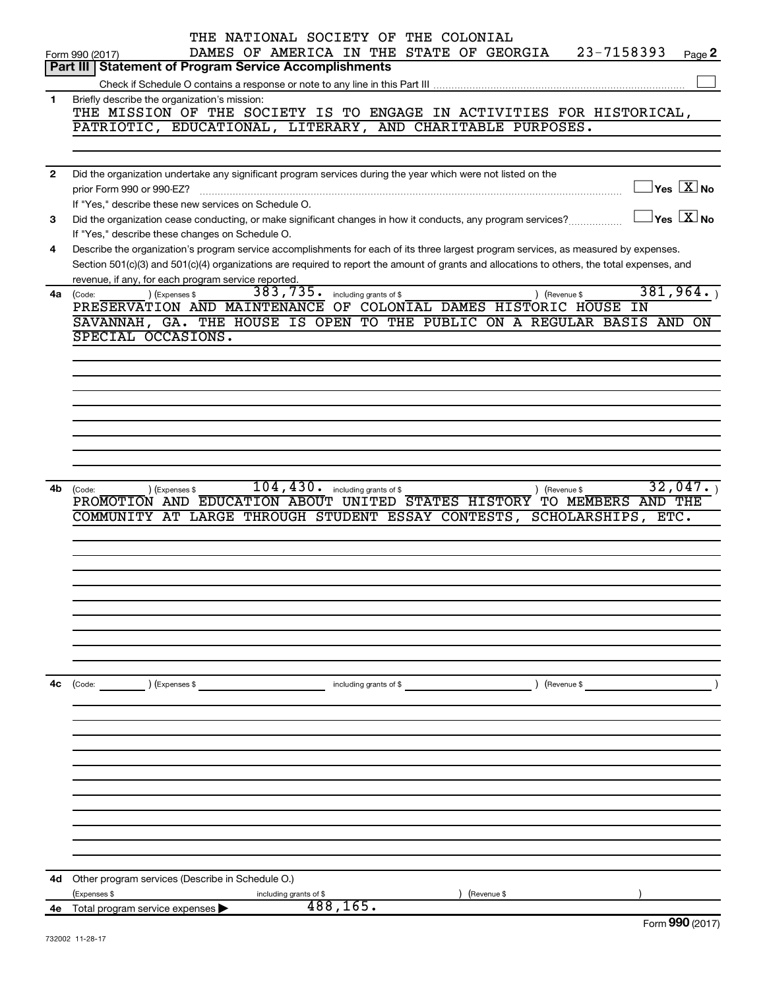|              | THE NATIONAL SOCIETY OF THE COLONIAL<br>23-7158393<br>DAMES OF AMERICA IN THE STATE OF GEORGIA<br>Form 990 (2017)<br>Page 2                                     |
|--------------|-----------------------------------------------------------------------------------------------------------------------------------------------------------------|
|              | <b>Part III   Statement of Program Service Accomplishments</b>                                                                                                  |
|              |                                                                                                                                                                 |
| $\mathbf{1}$ | Briefly describe the organization's mission:                                                                                                                    |
|              | THE MISSION OF THE SOCIETY IS TO ENGAGE IN ACTIVITIES FOR HISTORICAL,                                                                                           |
|              | PATRIOTIC, EDUCATIONAL, LITERARY, AND CHARITABLE PURPOSES.                                                                                                      |
|              |                                                                                                                                                                 |
|              |                                                                                                                                                                 |
| $\mathbf{2}$ | Did the organization undertake any significant program services during the year which were not listed on the                                                    |
|              | $\sqrt{\mathsf{Yes}\ \mathbb{X}}$ No<br>prior Form 990 or 990-EZ?                                                                                               |
|              | If "Yes," describe these new services on Schedule O.<br>$\vert$ Yes $\vert$ $\mathrm{X}\vert$ No                                                                |
| 3            | Did the organization cease conducting, or make significant changes in how it conducts, any program services?<br>If "Yes," describe these changes on Schedule O. |
| 4            | Describe the organization's program service accomplishments for each of its three largest program services, as measured by expenses.                            |
|              | Section 501(c)(3) and 501(c)(4) organizations are required to report the amount of grants and allocations to others, the total expenses, and                    |
|              | revenue, if any, for each program service reported.                                                                                                             |
| 4a           | 381,964.<br>383,735.<br>) (Expenses \$<br>) (Revenue \$<br>including grants of \$<br>(Code:                                                                     |
|              | PRESERVATION AND MAINTENANCE<br>OF COLONIAL DAMES HISTORIC HOUSE<br>ΙN                                                                                          |
|              | SAVANNAH, GA. THE HOUSE IS OPEN<br>TO THE PUBLIC ON A REGULAR BASIS AND<br><b>ON</b>                                                                            |
|              | SPECIAL OCCASIONS.                                                                                                                                              |
|              |                                                                                                                                                                 |
|              |                                                                                                                                                                 |
|              |                                                                                                                                                                 |
|              |                                                                                                                                                                 |
|              |                                                                                                                                                                 |
|              |                                                                                                                                                                 |
|              |                                                                                                                                                                 |
|              |                                                                                                                                                                 |
|              | 104, 430.<br>32,047.                                                                                                                                            |
| 4b           | ) (Revenue \$<br>) (Expenses \$<br>including grants of \$<br>(Code:<br>PROMOTION AND EDUCATION ABOUT<br>UNITED STATES HISTORY TO MEMBERS AND THE                |
|              | COMMUNITY AT LARGE THROUGH STUDENT ESSAY CONTESTS,<br><b>SCHOLARSHIPS,</b><br>$ETC$ .                                                                           |
|              |                                                                                                                                                                 |
|              |                                                                                                                                                                 |
|              |                                                                                                                                                                 |
|              |                                                                                                                                                                 |
|              |                                                                                                                                                                 |
|              |                                                                                                                                                                 |
|              |                                                                                                                                                                 |
|              |                                                                                                                                                                 |
|              |                                                                                                                                                                 |
|              |                                                                                                                                                                 |
| 4c           | (Code: ) (Expenses \$<br>$\left($ Revenue \$<br>including grants of \$                                                                                          |
|              |                                                                                                                                                                 |
|              |                                                                                                                                                                 |
|              |                                                                                                                                                                 |
|              |                                                                                                                                                                 |
|              |                                                                                                                                                                 |
|              |                                                                                                                                                                 |
|              |                                                                                                                                                                 |
|              |                                                                                                                                                                 |
|              |                                                                                                                                                                 |
|              |                                                                                                                                                                 |
|              |                                                                                                                                                                 |
| 4d           | Other program services (Describe in Schedule O.)                                                                                                                |
|              | (Expenses \$<br>(Revenue \$<br>including grants of \$                                                                                                           |
|              | 488,165.<br>4e Total program service expenses<br><u>nnn</u>                                                                                                     |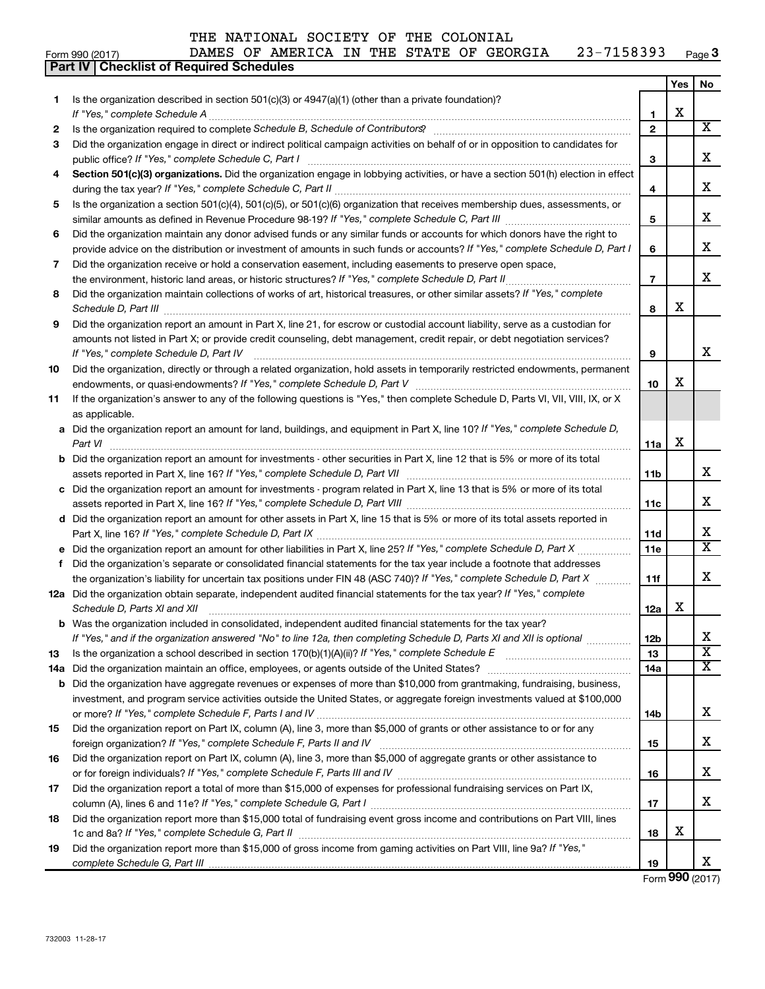### Form 990 (2017)  $\blacksquare$  DAMES OF AMERICA IN THE STATE OF GEORGIA  $\blacksquare$  23-7158393  $\blacksquare$  Page Form 990 (2017) DAMES OF AME<br>**Part IV** Checklist of Required Schedules

| Page $3$ |
|----------|
|----------|

|     |                                                                                                                                                                                                                                                                                                                                                                     |                | <b>Yes</b> | No.                     |
|-----|---------------------------------------------------------------------------------------------------------------------------------------------------------------------------------------------------------------------------------------------------------------------------------------------------------------------------------------------------------------------|----------------|------------|-------------------------|
| 1   | Is the organization described in section 501(c)(3) or 4947(a)(1) (other than a private foundation)?                                                                                                                                                                                                                                                                 |                |            |                         |
|     |                                                                                                                                                                                                                                                                                                                                                                     | 1              | X          |                         |
| 2   |                                                                                                                                                                                                                                                                                                                                                                     | $\overline{2}$ |            | x                       |
| 3   | Did the organization engage in direct or indirect political campaign activities on behalf of or in opposition to candidates for                                                                                                                                                                                                                                     | 3              |            | x                       |
| 4   | Section 501(c)(3) organizations. Did the organization engage in lobbying activities, or have a section 501(h) election in effect                                                                                                                                                                                                                                    |                |            |                         |
|     |                                                                                                                                                                                                                                                                                                                                                                     | 4              |            | х                       |
| 5   | Is the organization a section 501(c)(4), 501(c)(5), or 501(c)(6) organization that receives membership dues, assessments, or                                                                                                                                                                                                                                        |                |            |                         |
|     |                                                                                                                                                                                                                                                                                                                                                                     | 5              |            | x                       |
| 6   | Did the organization maintain any donor advised funds or any similar funds or accounts for which donors have the right to                                                                                                                                                                                                                                           |                |            |                         |
|     | provide advice on the distribution or investment of amounts in such funds or accounts? If "Yes," complete Schedule D, Part I                                                                                                                                                                                                                                        | 6              |            | х                       |
| 7   | Did the organization receive or hold a conservation easement, including easements to preserve open space,                                                                                                                                                                                                                                                           |                |            |                         |
|     |                                                                                                                                                                                                                                                                                                                                                                     | $\overline{7}$ |            | x                       |
| 8   | Did the organization maintain collections of works of art, historical treasures, or other similar assets? If "Yes," complete<br>Schedule D, Part III <b>Marting Community</b> Construction of the Construction of the Construction of the Construction of the Construction of the Construction of the Construction of the Construction of the Construction of the C | 8              | X          |                         |
| 9   | Did the organization report an amount in Part X, line 21, for escrow or custodial account liability, serve as a custodian for                                                                                                                                                                                                                                       |                |            |                         |
|     | amounts not listed in Part X; or provide credit counseling, debt management, credit repair, or debt negotiation services?                                                                                                                                                                                                                                           |                |            |                         |
|     | If "Yes," complete Schedule D, Part IV                                                                                                                                                                                                                                                                                                                              | 9              |            | x                       |
| 10  | Did the organization, directly or through a related organization, hold assets in temporarily restricted endowments, permanent                                                                                                                                                                                                                                       |                |            |                         |
|     |                                                                                                                                                                                                                                                                                                                                                                     | 10             | х          |                         |
| 11  | If the organization's answer to any of the following questions is "Yes," then complete Schedule D, Parts VI, VII, VIII, IX, or X                                                                                                                                                                                                                                    |                |            |                         |
|     | as applicable.                                                                                                                                                                                                                                                                                                                                                      |                |            |                         |
|     | a Did the organization report an amount for land, buildings, and equipment in Part X, line 10? If "Yes," complete Schedule D,                                                                                                                                                                                                                                       |                | X          |                         |
|     | Part VI                                                                                                                                                                                                                                                                                                                                                             | 11a            |            |                         |
|     | <b>b</b> Did the organization report an amount for investments - other securities in Part X, line 12 that is 5% or more of its total                                                                                                                                                                                                                                | 11b            |            | x                       |
|     | c Did the organization report an amount for investments - program related in Part X, line 13 that is 5% or more of its total                                                                                                                                                                                                                                        |                |            |                         |
|     |                                                                                                                                                                                                                                                                                                                                                                     | 11с            |            | x                       |
|     | d Did the organization report an amount for other assets in Part X, line 15 that is 5% or more of its total assets reported in                                                                                                                                                                                                                                      |                |            |                         |
|     |                                                                                                                                                                                                                                                                                                                                                                     | 11d            |            | х                       |
|     |                                                                                                                                                                                                                                                                                                                                                                     | 11e            |            | $\overline{\mathtt{x}}$ |
|     | f Did the organization's separate or consolidated financial statements for the tax year include a footnote that addresses                                                                                                                                                                                                                                           |                |            |                         |
|     | the organization's liability for uncertain tax positions under FIN 48 (ASC 740)? If "Yes," complete Schedule D, Part X                                                                                                                                                                                                                                              | 11f            |            | х                       |
|     | 12a Did the organization obtain separate, independent audited financial statements for the tax year? If "Yes," complete                                                                                                                                                                                                                                             |                | X          |                         |
|     | Schedule D, Parts XI and XII                                                                                                                                                                                                                                                                                                                                        | 12a            |            |                         |
|     | <b>b</b> Was the organization included in consolidated, independent audited financial statements for the tax year?<br>If "Yes," and if the organization answered "No" to line 12a, then completing Schedule D, Parts XI and XII is optional                                                                                                                         | 12b            |            | X                       |
| 13  |                                                                                                                                                                                                                                                                                                                                                                     | 13             |            | $\overline{\textbf{x}}$ |
| 14a |                                                                                                                                                                                                                                                                                                                                                                     | 14a            |            | $\overline{\text{X}}$   |
|     | <b>b</b> Did the organization have aggregate revenues or expenses of more than \$10,000 from grantmaking, fundraising, business,                                                                                                                                                                                                                                    |                |            |                         |
|     | investment, and program service activities outside the United States, or aggregate foreign investments valued at \$100,000                                                                                                                                                                                                                                          |                |            |                         |
|     |                                                                                                                                                                                                                                                                                                                                                                     | 14b            |            | х                       |
| 15  | Did the organization report on Part IX, column (A), line 3, more than \$5,000 of grants or other assistance to or for any                                                                                                                                                                                                                                           |                |            |                         |
|     |                                                                                                                                                                                                                                                                                                                                                                     | 15             |            | х                       |
| 16  | Did the organization report on Part IX, column (A), line 3, more than \$5,000 of aggregate grants or other assistance to                                                                                                                                                                                                                                            | 16             |            | х                       |
| 17  | Did the organization report a total of more than \$15,000 of expenses for professional fundraising services on Part IX,                                                                                                                                                                                                                                             |                |            |                         |
|     |                                                                                                                                                                                                                                                                                                                                                                     | 17             |            | X                       |
| 18  | Did the organization report more than \$15,000 total of fundraising event gross income and contributions on Part VIII, lines                                                                                                                                                                                                                                        |                |            |                         |
|     |                                                                                                                                                                                                                                                                                                                                                                     | 18             | X          |                         |
| 19  | Did the organization report more than \$15,000 of gross income from gaming activities on Part VIII, line 9a? If "Yes,"                                                                                                                                                                                                                                              |                |            |                         |
|     |                                                                                                                                                                                                                                                                                                                                                                     | 19             |            | X                       |

Form (2017) **990**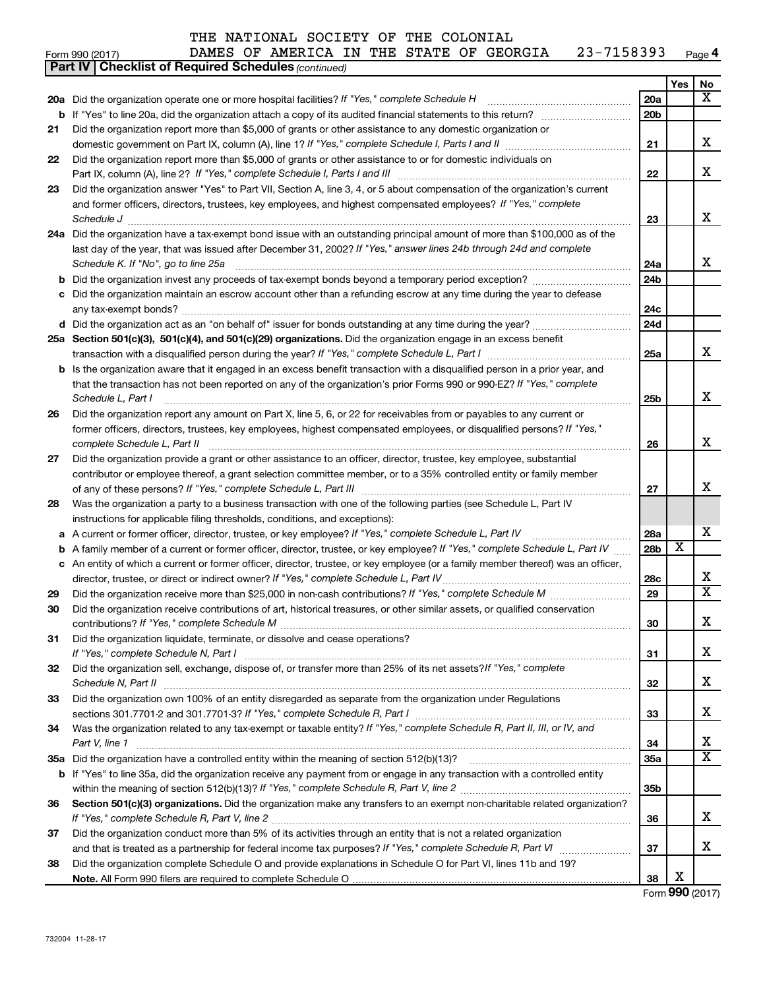#### Form 990 (2017)  $\blacksquare$  DAMES OF AMERICA IN THE STATE OF GEORGIA  $\blacksquare$  23-7158393  $\blacksquare$  Page **4**

|    | <b>Part IV   Checklist of Required Schedules (continued)</b>                                                                        |                 |                         |    |
|----|-------------------------------------------------------------------------------------------------------------------------------------|-----------------|-------------------------|----|
|    |                                                                                                                                     |                 | Yes                     | No |
|    | 20a Did the organization operate one or more hospital facilities? If "Yes," complete Schedule H                                     | 20a             |                         | x  |
|    |                                                                                                                                     | 20 <sub>b</sub> |                         |    |
| 21 | Did the organization report more than \$5,000 of grants or other assistance to any domestic organization or                         |                 |                         |    |
|    |                                                                                                                                     | 21              |                         | x  |
| 22 | Did the organization report more than \$5,000 of grants or other assistance to or for domestic individuals on                       |                 |                         |    |
|    |                                                                                                                                     | 22              |                         | x  |
| 23 | Did the organization answer "Yes" to Part VII, Section A, line 3, 4, or 5 about compensation of the organization's current          |                 |                         |    |
|    | and former officers, directors, trustees, key employees, and highest compensated employees? If "Yes," complete                      |                 |                         |    |
|    | Schedule J <b>Execute Schedule J Execute Schedule J</b>                                                                             | 23              |                         | х  |
|    | 24a Did the organization have a tax-exempt bond issue with an outstanding principal amount of more than \$100,000 as of the         |                 |                         |    |
|    | last day of the year, that was issued after December 31, 2002? If "Yes," answer lines 24b through 24d and complete                  |                 |                         |    |
|    | Schedule K. If "No", go to line 25a                                                                                                 | 24a             |                         | x  |
| b  |                                                                                                                                     | 24 <sub>b</sub> |                         |    |
|    | Did the organization maintain an escrow account other than a refunding escrow at any time during the year to defease                |                 |                         |    |
|    |                                                                                                                                     | 24c             |                         |    |
|    |                                                                                                                                     | 24d             |                         |    |
|    | 25a Section 501(c)(3), 501(c)(4), and 501(c)(29) organizations. Did the organization engage in an excess benefit                    |                 |                         |    |
|    |                                                                                                                                     | 25a             |                         | x  |
|    | <b>b</b> Is the organization aware that it engaged in an excess benefit transaction with a disqualified person in a prior year, and |                 |                         |    |
|    | that the transaction has not been reported on any of the organization's prior Forms 990 or 990-EZ? If "Yes," complete               |                 |                         |    |
|    | Schedule L, Part I                                                                                                                  | 25b             |                         | х  |
| 26 | Did the organization report any amount on Part X, line 5, 6, or 22 for receivables from or payables to any current or               |                 |                         |    |
|    | former officers, directors, trustees, key employees, highest compensated employees, or disqualified persons? If "Yes,"              |                 |                         |    |
|    | complete Schedule L, Part II                                                                                                        | 26              |                         | х  |
| 27 | Did the organization provide a grant or other assistance to an officer, director, trustee, key employee, substantial                |                 |                         |    |
|    | contributor or employee thereof, a grant selection committee member, or to a 35% controlled entity or family member                 |                 |                         |    |
|    |                                                                                                                                     | 27              |                         | х  |
| 28 | Was the organization a party to a business transaction with one of the following parties (see Schedule L, Part IV                   |                 |                         |    |
|    | instructions for applicable filing thresholds, conditions, and exceptions):                                                         |                 |                         |    |
| а  | A current or former officer, director, trustee, or key employee? If "Yes," complete Schedule L, Part IV                             | 28a             |                         | х  |
| b  | A family member of a current or former officer, director, trustee, or key employee? If "Yes," complete Schedule L, Part IV          | 28 <sub>b</sub> | $\overline{\textbf{x}}$ |    |
|    | c An entity of which a current or former officer, director, trustee, or key employee (or a family member thereof) was an officer,   |                 |                         |    |
|    | director, trustee, or direct or indirect owner? If "Yes," complete Schedule L, Part IV                                              | 28c             |                         | х  |
| 29 |                                                                                                                                     | 29              |                         | X  |
| 30 | Did the organization receive contributions of art, historical treasures, or other similar assets, or qualified conservation         |                 |                         |    |
|    |                                                                                                                                     | 30              |                         | Χ  |
| 31 | Did the organization liquidate, terminate, or dissolve and cease operations?                                                        |                 |                         |    |
|    |                                                                                                                                     | 31              |                         | x. |
| 32 | Did the organization sell, exchange, dispose of, or transfer more than 25% of its net assets? If "Yes," complete                    |                 |                         |    |
|    |                                                                                                                                     | 32              |                         | х  |
| 33 | Did the organization own 100% of an entity disregarded as separate from the organization under Regulations                          |                 |                         |    |
|    |                                                                                                                                     | 33              |                         | x  |
| 34 | Was the organization related to any tax-exempt or taxable entity? If "Yes," complete Schedule R, Part II, III, or IV, and           |                 |                         |    |
|    | Part V, line 1                                                                                                                      | 34              |                         | х  |
|    |                                                                                                                                     | <b>35a</b>      |                         | X  |
|    | b If "Yes" to line 35a, did the organization receive any payment from or engage in any transaction with a controlled entity         |                 |                         |    |
|    |                                                                                                                                     | 35b             |                         |    |
| 36 | Section 501(c)(3) organizations. Did the organization make any transfers to an exempt non-charitable related organization?          |                 |                         |    |
|    |                                                                                                                                     | 36              |                         | х  |
| 37 | Did the organization conduct more than 5% of its activities through an entity that is not a related organization                    |                 |                         |    |
|    |                                                                                                                                     | 37              |                         | x  |
| 38 | Did the organization complete Schedule O and provide explanations in Schedule O for Part VI, lines 11b and 19?                      |                 | Χ                       |    |
|    |                                                                                                                                     | 38              |                         |    |

Form (2017) **990**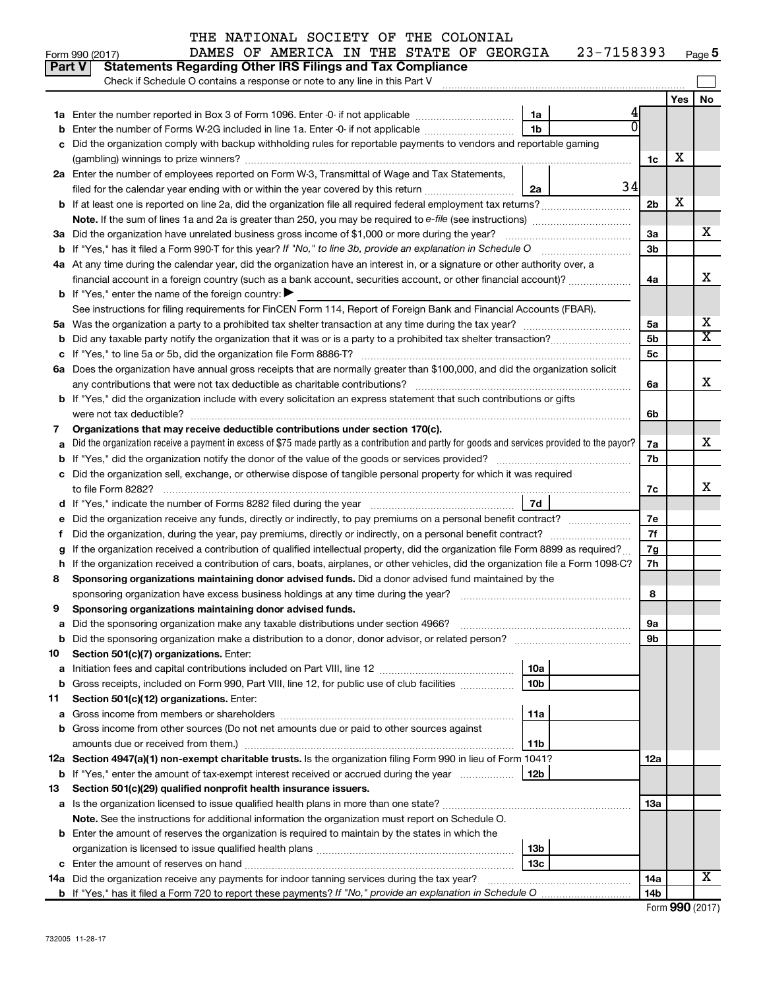| THE NATIONAL SOCIETY OF THE COLONIAL |  |  |
|--------------------------------------|--|--|
|                                      |  |  |

#### Form 990 (2017)  $\blacksquare$  DAMES OF AMERICA IN THE STATE OF GEORGIA  $\blacksquare$  23-7158393  $\blacksquare$  Page **5**

| Part V | <b>Statements Regarding Other IRS Filings and Tax Compliance</b><br>Check if Schedule O contains a response or note to any line in this Part V  |                 |     |                       |
|--------|-------------------------------------------------------------------------------------------------------------------------------------------------|-----------------|-----|-----------------------|
|        |                                                                                                                                                 |                 | Yes | <b>No</b>             |
|        | 1a                                                                                                                                              |                 |     |                       |
|        | 1 <sub>b</sub><br>Enter the number of Forms W-2G included in line 1a. Enter -0- if not applicable                                               |                 |     |                       |
|        | Did the organization comply with backup withholding rules for reportable payments to vendors and reportable gaming                              |                 |     |                       |
|        |                                                                                                                                                 | 1c              | х   |                       |
|        | 2a Enter the number of employees reported on Form W-3, Transmittal of Wage and Tax Statements,                                                  |                 |     |                       |
|        | filed for the calendar year ending with or within the year covered by this return <i>[[[[[[[[[[[[[[[]]]]</i> ]]]<br>2a                          | 34              |     |                       |
|        | <b>b</b> If at least one is reported on line 2a, did the organization file all required federal employment tax returns?                         | 2 <sub>b</sub>  | х   |                       |
|        |                                                                                                                                                 |                 |     |                       |
|        | 3a Did the organization have unrelated business gross income of \$1,000 or more during the year?                                                | За              |     | х                     |
|        |                                                                                                                                                 | 3b              |     |                       |
|        | 4a At any time during the calendar year, did the organization have an interest in, or a signature or other authority over, a                    |                 |     |                       |
|        | financial account in a foreign country (such as a bank account, securities account, or other financial account)?                                | 4a              |     | X                     |
|        | <b>b</b> If "Yes," enter the name of the foreign country: $\blacktriangleright$                                                                 |                 |     |                       |
|        | See instructions for filing requirements for FinCEN Form 114, Report of Foreign Bank and Financial Accounts (FBAR).                             |                 |     |                       |
| 5а     |                                                                                                                                                 | 5a              |     | х                     |
| b      |                                                                                                                                                 | 5 <sub>b</sub>  |     | $\overline{\text{X}}$ |
|        |                                                                                                                                                 | 5с              |     |                       |
|        | 6a Does the organization have annual gross receipts that are normally greater than \$100,000, and did the organization solicit                  |                 |     |                       |
|        |                                                                                                                                                 | 6a              |     | x                     |
|        | b If "Yes," did the organization include with every solicitation an express statement that such contributions or gifts                          |                 |     |                       |
|        |                                                                                                                                                 | 6b              |     |                       |
| 7      | Organizations that may receive deductible contributions under section 170(c).                                                                   |                 |     | x                     |
| a      | Did the organization receive a payment in excess of \$75 made partly as a contribution and partly for goods and services provided to the payor? | 7a<br>7b        |     |                       |
| b      | Did the organization sell, exchange, or otherwise dispose of tangible personal property for which it was required                               |                 |     |                       |
|        |                                                                                                                                                 | 7c              |     | x                     |
|        | 7d                                                                                                                                              |                 |     |                       |
|        | Did the organization receive any funds, directly or indirectly, to pay premiums on a personal benefit contract?                                 | 7е              |     |                       |
| f.     | Did the organization, during the year, pay premiums, directly or indirectly, on a personal benefit contract?                                    | 7f              |     |                       |
| g      | If the organization received a contribution of qualified intellectual property, did the organization file Form 8899 as required?                | 7g              |     |                       |
| h      | If the organization received a contribution of cars, boats, airplanes, or other vehicles, did the organization file a Form 1098-C?              | 7h              |     |                       |
| 8      | Sponsoring organizations maintaining donor advised funds. Did a donor advised fund maintained by the                                            |                 |     |                       |
|        |                                                                                                                                                 | 8               |     |                       |
| 9      | Sponsoring organizations maintaining donor advised funds.                                                                                       |                 |     |                       |
|        |                                                                                                                                                 | эа              |     |                       |
|        | <b>b</b> Did the sponsoring organization make a distribution to a donor, donor advisor, or related person?                                      | 9b              |     |                       |
| 10     | Section 501(c)(7) organizations. Enter:                                                                                                         |                 |     |                       |
| а      | 10a                                                                                                                                             |                 |     |                       |
| b      | 10 <sub>b</sub><br>Gross receipts, included on Form 990, Part VIII, line 12, for public use of club facilities                                  |                 |     |                       |
| 11     | Section 501(c)(12) organizations. Enter:                                                                                                        |                 |     |                       |
| a      | 11a                                                                                                                                             |                 |     |                       |
|        | Gross income from other sources (Do not net amounts due or paid to other sources against                                                        |                 |     |                       |
|        | 11b<br>amounts due or received from them.)                                                                                                      |                 |     |                       |
|        | 12a Section 4947(a)(1) non-exempt charitable trusts. Is the organization filing Form 990 in lieu of Form 1041?                                  | 12a             |     |                       |
|        | 12b<br><b>b</b> If "Yes," enter the amount of tax-exempt interest received or accrued during the year                                           |                 |     |                       |
| 13     | Section 501(c)(29) qualified nonprofit health insurance issuers.                                                                                |                 |     |                       |
|        | a Is the organization licensed to issue qualified health plans in more than one state?                                                          | 13a             |     |                       |
|        | Note. See the instructions for additional information the organization must report on Schedule O.                                               |                 |     |                       |
|        | <b>b</b> Enter the amount of reserves the organization is required to maintain by the states in which the                                       |                 |     |                       |
|        | 13 <sub>b</sub>                                                                                                                                 |                 |     |                       |
|        | 13 <sub>c</sub>                                                                                                                                 |                 |     | x                     |
|        | 14a Did the organization receive any payments for indoor tanning services during the tax year?                                                  | 14a             |     |                       |
|        |                                                                                                                                                 | 14 <sub>b</sub> |     |                       |

| Form 990 (2017) |  |
|-----------------|--|
|-----------------|--|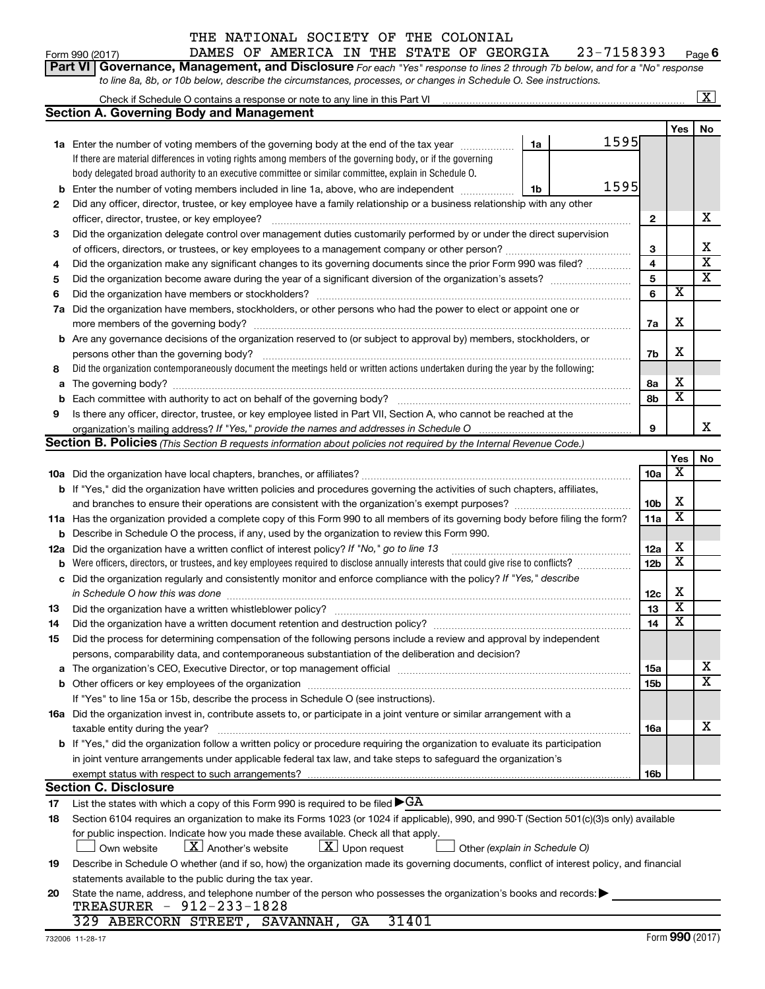#### THE NATIONAL SOCIETY OF THE COLONIAL DAMES OF AMERICA IN THE STAT

| Form 990 (2017) |                                                                                                                       |  | DAMES OF AMERICA IN THE STATE OF GEORGIA |  |  |  | 23-7158393 |  |
|-----------------|-----------------------------------------------------------------------------------------------------------------------|--|------------------------------------------|--|--|--|------------|--|
|                 | Part VI Governance, Management, and Disclosure For each "Yes" response to lines 2 through 7b below, and for a "No" re |  |                                          |  |  |  |            |  |

*For each "Yes" response to lines 2 through 7b below, and for a "No" response to line 8a, 8b, or 10b below, describe the circumstances, processes, or changes in Schedule O. See instructions.*

|    | Check if Schedule O contains a response or note to any line in this Part VI [11] [12] [13] Check if Schedule O contains a response or note to any line in this Part VI         |      |                         |                         | $\overline{\text{X}}$      |
|----|--------------------------------------------------------------------------------------------------------------------------------------------------------------------------------|------|-------------------------|-------------------------|----------------------------|
|    | <b>Section A. Governing Body and Management</b>                                                                                                                                |      |                         |                         |                            |
|    |                                                                                                                                                                                |      |                         | Yes                     | No                         |
|    | 1a<br>1a Enter the number of voting members of the governing body at the end of the tax year                                                                                   | 1595 |                         |                         |                            |
|    | If there are material differences in voting rights among members of the governing body, or if the governing                                                                    |      |                         |                         |                            |
|    | body delegated broad authority to an executive committee or similar committee, explain in Schedule O.                                                                          |      |                         |                         |                            |
| b  | Enter the number of voting members included in line 1a, above, who are independent <i>manamer</i><br>1b                                                                        | 1595 |                         |                         |                            |
| 2  | Did any officer, director, trustee, or key employee have a family relationship or a business relationship with any other                                                       |      |                         |                         |                            |
|    | officer, director, trustee, or key employee?                                                                                                                                   |      | $\mathbf{2}$            |                         | x                          |
| 3  | Did the organization delegate control over management duties customarily performed by or under the direct supervision                                                          |      |                         |                         |                            |
|    |                                                                                                                                                                                |      | 3                       |                         | x                          |
| 4  | Did the organization make any significant changes to its governing documents since the prior Form 990 was filed?                                                               |      | $\overline{\mathbf{4}}$ |                         | $\overline{\textbf{x}}$    |
| 5  |                                                                                                                                                                                |      | 5                       |                         | $\overline{\text{x}}$      |
| 6  | Did the organization have members or stockholders?                                                                                                                             |      | 6                       | $\overline{\textbf{x}}$ |                            |
|    | 7a Did the organization have members, stockholders, or other persons who had the power to elect or appoint one or                                                              |      |                         |                         |                            |
|    |                                                                                                                                                                                |      | 7a                      | X                       |                            |
|    | <b>b</b> Are any governance decisions of the organization reserved to (or subject to approval by) members, stockholders, or                                                    |      |                         |                         |                            |
|    | persons other than the governing body?                                                                                                                                         |      | 7b                      | х                       |                            |
| 8  | Did the organization contemporaneously document the meetings held or written actions undertaken during the year by the following:                                              |      |                         |                         |                            |
| a  |                                                                                                                                                                                |      | 8а                      | х                       |                            |
| b  |                                                                                                                                                                                |      | 8b                      | $\overline{\textbf{x}}$ |                            |
| 9  | Is there any officer, director, trustee, or key employee listed in Part VII, Section A, who cannot be reached at the                                                           |      |                         |                         |                            |
|    | organization's mailing address? If "Yes," provide the names and addresses in Schedule O manufaction's mailing address? If "Yes," provide the names and addresses in Schedule O |      | 9                       |                         | х                          |
|    | <b>Section B. Policies</b> (This Section B requests information about policies not required by the Internal Revenue Code.)                                                     |      |                         |                         |                            |
|    |                                                                                                                                                                                |      |                         | Yes                     | No.                        |
|    |                                                                                                                                                                                |      | <b>10a</b>              | X                       |                            |
|    | b If "Yes," did the organization have written policies and procedures governing the activities of such chapters, affiliates,                                                   |      |                         |                         |                            |
|    | and branches to ensure their operations are consistent with the organization's exempt purposes? www.www.www.www.                                                               |      | 10 <sub>b</sub>         | х                       |                            |
|    | 11a Has the organization provided a complete copy of this Form 990 to all members of its governing body before filing the form?                                                |      | 11a                     | $\overline{\textbf{x}}$ |                            |
|    | <b>b</b> Describe in Schedule O the process, if any, used by the organization to review this Form 990.                                                                         |      |                         |                         |                            |
|    | 12a Did the organization have a written conflict of interest policy? If "No," go to line 13                                                                                    |      | 12a                     | х                       |                            |
| b  | Were officers, directors, or trustees, and key employees required to disclose annually interests that could give rise to conflicts?                                            |      | 12b                     | $\overline{\textbf{x}}$ |                            |
|    | c Did the organization regularly and consistently monitor and enforce compliance with the policy? If "Yes," describe                                                           |      |                         |                         |                            |
|    |                                                                                                                                                                                |      | 12c                     | х                       |                            |
| 13 |                                                                                                                                                                                |      | 13                      | $\overline{\mathtt{x}}$ |                            |
| 14 | Did the organization have a written document retention and destruction policy? [11] manufaction manufaction in                                                                 |      | 14                      | $\overline{\textbf{x}}$ |                            |
| 15 | Did the process for determining compensation of the following persons include a review and approval by independent                                                             |      |                         |                         |                            |
|    | persons, comparability data, and contemporaneous substantiation of the deliberation and decision?                                                                              |      |                         |                         |                            |
|    |                                                                                                                                                                                |      | 15a                     |                         | x<br>$\overline{\text{x}}$ |
|    |                                                                                                                                                                                |      | 15b                     |                         |                            |
|    | If "Yes" to line 15a or 15b, describe the process in Schedule O (see instructions).                                                                                            |      |                         |                         |                            |
|    | 16a Did the organization invest in, contribute assets to, or participate in a joint venture or similar arrangement with a                                                      |      |                         |                         |                            |
|    | taxable entity during the year?                                                                                                                                                |      | 16a                     |                         | х                          |
|    | b If "Yes," did the organization follow a written policy or procedure requiring the organization to evaluate its participation                                                 |      |                         |                         |                            |
|    | in joint venture arrangements under applicable federal tax law, and take steps to safeguard the organization's                                                                 |      |                         |                         |                            |
|    | exempt status with respect to such arrangements?                                                                                                                               |      | 16b                     |                         |                            |
|    | <b>Section C. Disclosure</b>                                                                                                                                                   |      |                         |                         |                            |
| 17 | List the states with which a copy of this Form 990 is required to be filed $\blacktriangleright$ GA                                                                            |      |                         |                         |                            |
| 18 | Section 6104 requires an organization to make its Forms 1023 (or 1024 if applicable), 990, and 990-T (Section 501(c)(3)s only) available                                       |      |                         |                         |                            |
|    | for public inspection. Indicate how you made these available. Check all that apply.                                                                                            |      |                         |                         |                            |
|    | $\lfloor x \rfloor$ Upon request<br>$\lfloor X \rfloor$ Another's website<br>Own website<br>Other (explain in Schedule O)                                                      |      |                         |                         |                            |
| 19 | Describe in Schedule O whether (and if so, how) the organization made its governing documents, conflict of interest policy, and financial                                      |      |                         |                         |                            |
|    | statements available to the public during the tax year.                                                                                                                        |      |                         |                         |                            |
| 20 | State the name, address, and telephone number of the person who possesses the organization's books and records:<br>TREASURER - 912-233-1828                                    |      |                         |                         |                            |
|    | 329 ABERCORN STREET, SAVANNAH, GA<br>31401                                                                                                                                     |      |                         |                         |                            |
|    |                                                                                                                                                                                |      |                         |                         |                            |

**6**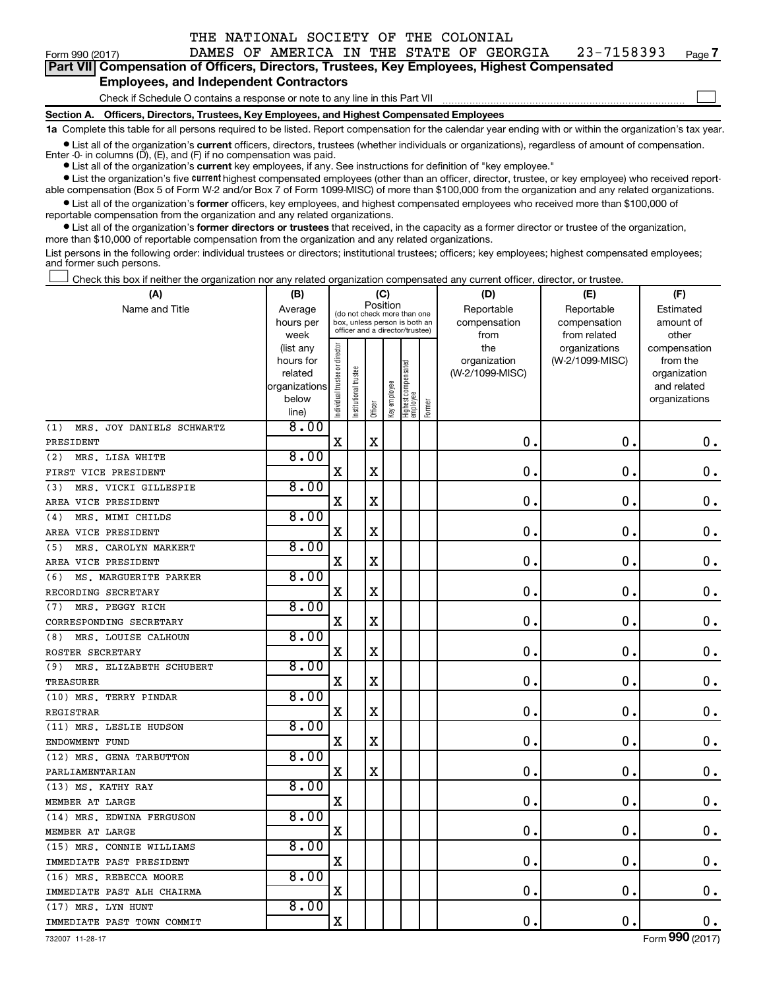| Form 990 (2017)                                                                                                                                            |                                                                                            |  |  |  |  |  |  |  | DAMES OF AMERICA IN THE STATE OF GEORGIA | 23-7158393 | Page 7 |
|------------------------------------------------------------------------------------------------------------------------------------------------------------|--------------------------------------------------------------------------------------------|--|--|--|--|--|--|--|------------------------------------------|------------|--------|
|                                                                                                                                                            | Part VII Compensation of Officers, Directors, Trustees, Key Employees, Highest Compensated |  |  |  |  |  |  |  |                                          |            |        |
|                                                                                                                                                            | <b>Employees, and Independent Contractors</b>                                              |  |  |  |  |  |  |  |                                          |            |        |
|                                                                                                                                                            | Check if Schedule O contains a response or note to any line in this Part VII               |  |  |  |  |  |  |  |                                          |            |        |
| Section A. Officers, Directors, Trustees, Key Employees, and Highest Compensated Employees                                                                 |                                                                                            |  |  |  |  |  |  |  |                                          |            |        |
| 1a Complete this table for all persons required to be listed. Report compensation for the calendar year ending with or within the organization's tax year. |                                                                                            |  |  |  |  |  |  |  |                                          |            |        |

 $\bullet$  List all of the organization's current officers, directors, trustees (whether individuals or organizations), regardless of amount of compensation.

Enter -0- in columns (D), (E), and (F) if no compensation was paid.

**•** List all of the organization's **current** key employees, if any. See instructions for definition of "key employee."

**•** List the organization's five current highest compensated employees (other than an officer, director, trustee, or key employee) who received reportable compensation (Box 5 of Form W-2 and/or Box 7 of Form 1099-MISC) of more than \$100,000 from the organization and any related organizations.

**•** List all of the organization's former officers, key employees, and highest compensated employees who received more than \$100,000 of reportable compensation from the organization and any related organizations.

**•** List all of the organization's former directors or trustees that received, in the capacity as a former director or trustee of the organization, more than \$10,000 of reportable compensation from the organization and any related organizations.

List persons in the following order: individual trustees or directors; institutional trustees; officers; key employees; highest compensated employees; and former such persons.

Check this box if neither the organization nor any related organization compensated any current officer, director, or trustee. †

| (A)                              | (B)                    |                                         |                                                                  | (C)         |              |                                 |        | (D)                 | (E)                              | (F)                      |
|----------------------------------|------------------------|-----------------------------------------|------------------------------------------------------------------|-------------|--------------|---------------------------------|--------|---------------------|----------------------------------|--------------------------|
| Name and Title                   | Average                | Position<br>(do not check more than one |                                                                  |             |              |                                 |        | Reportable          | Reportable                       | Estimated                |
|                                  | hours per              |                                         | box, unless person is both an<br>officer and a director/trustee) |             |              |                                 |        | compensation        | compensation                     | amount of                |
|                                  | week                   |                                         |                                                                  |             |              |                                 |        | from                | from related                     | other                    |
|                                  | (list any<br>hours for |                                         |                                                                  |             |              |                                 |        | the<br>organization | organizations<br>(W-2/1099-MISC) | compensation<br>from the |
|                                  | related                |                                         |                                                                  |             |              |                                 |        | (W-2/1099-MISC)     |                                  | organization             |
|                                  | organizations          |                                         |                                                                  |             |              |                                 |        |                     |                                  | and related              |
|                                  | below                  |                                         |                                                                  |             |              |                                 |        |                     |                                  | organizations            |
|                                  | line)                  | Individual trustee or director          | Institutional trustee                                            | Officer     | Key employee | Highest compensated<br>employee | Former |                     |                                  |                          |
| MRS. JOY DANIELS SCHWARTZ<br>(1) | 8.00                   |                                         |                                                                  |             |              |                                 |        |                     |                                  |                          |
| PRESIDENT                        |                        | $\mathbf X$                             |                                                                  | $\mathbf X$ |              |                                 |        | $\mathbf 0$ .       | $\mathbf 0$ .                    | 0.                       |
| MRS. LISA WHITE<br>(2)           | 8.00                   |                                         |                                                                  |             |              |                                 |        |                     |                                  |                          |
| FIRST VICE PRESIDENT             |                        | $\mathbf X$                             |                                                                  | $\mathbf X$ |              |                                 |        | 0                   | $\mathbf 0$ .                    | $\mathbf 0$ .            |
| MRS. VICKI GILLESPIE<br>(3)      | 8.00                   |                                         |                                                                  |             |              |                                 |        |                     |                                  |                          |
| AREA VICE PRESIDENT              |                        | $\mathbf X$                             |                                                                  | $\mathbf X$ |              |                                 |        | 0                   | $\mathbf 0$ .                    | $\mathbf 0$ .            |
| MRS. MIMI CHILDS<br>(4)          | 8.00                   |                                         |                                                                  |             |              |                                 |        |                     |                                  |                          |
| AREA VICE PRESIDENT              |                        | $\mathbf X$                             |                                                                  | $\mathbf X$ |              |                                 |        | $\mathbf 0$ .       | $\mathbf 0$ .                    | $\mathbf 0$ .            |
| MRS. CAROLYN MARKERT<br>(5)      | 8.00                   |                                         |                                                                  |             |              |                                 |        |                     |                                  |                          |
| AREA VICE PRESIDENT              |                        | $\mathbf X$                             |                                                                  | X           |              |                                 |        | $\mathbf 0$         | $\mathbf 0$ .                    | $\mathbf 0$ .            |
| (6)<br>MS. MARGUERITE PARKER     | 8.00                   |                                         |                                                                  |             |              |                                 |        |                     |                                  |                          |
| RECORDING SECRETARY              |                        | X                                       |                                                                  | $\mathbf X$ |              |                                 |        | 0                   | $\mathbf 0$ .                    | $\mathbf 0$ .            |
| MRS. PEGGY RICH<br>(7)           | 8.00                   |                                         |                                                                  |             |              |                                 |        |                     |                                  |                          |
| CORRESPONDING SECRETARY          |                        | $\mathbf X$                             |                                                                  | $\mathbf X$ |              |                                 |        | $\mathbf 0$         | $\mathbf 0$ .                    | $\mathbf 0$ .            |
| MRS. LOUISE CALHOUN<br>(8)       | 8.00                   |                                         |                                                                  |             |              |                                 |        |                     |                                  |                          |
| ROSTER SECRETARY                 |                        | $\mathbf X$                             |                                                                  | X           |              |                                 |        | $\mathbf 0$ .       | 0                                | $\mathbf 0$ .            |
| (9) MRS. ELIZABETH SCHUBERT      | 8.00                   |                                         |                                                                  |             |              |                                 |        |                     |                                  |                          |
| TREASURER                        |                        | X                                       |                                                                  | $\mathbf X$ |              |                                 |        | $\mathbf 0$ .       | $\mathbf 0$ .                    | $\mathbf 0$ .            |
| (10) MRS. TERRY PINDAR           | 8.00                   |                                         |                                                                  |             |              |                                 |        |                     |                                  |                          |
| REGISTRAR                        |                        | $\mathbf X$                             |                                                                  | $\mathbf X$ |              |                                 |        | $\mathbf 0$ .       | 0                                | $\mathbf 0$ .            |
| (11) MRS. LESLIE HUDSON          | 8.00                   |                                         |                                                                  |             |              |                                 |        |                     |                                  |                          |
| ENDOWMENT FUND                   |                        | X                                       |                                                                  | X           |              |                                 |        | $\mathbf 0$ .       | $\mathbf 0$                      | $\mathbf 0$ .            |
| (12) MRS. GENA TARBUTTON         | 8.00                   |                                         |                                                                  |             |              |                                 |        |                     |                                  |                          |
| PARLIAMENTARIAN                  |                        | $\mathbf X$                             |                                                                  | $\mathbf X$ |              |                                 |        | $\mathbf 0$ .       | 0                                | $0$ .                    |
| (13) MS. KATHY RAY               | 8.00                   |                                         |                                                                  |             |              |                                 |        |                     |                                  |                          |
| MEMBER AT LARGE                  |                        | $\mathbf X$                             |                                                                  |             |              |                                 |        | 0.                  | $\mathbf 0$ .                    | $\mathbf 0$ .            |
| (14) MRS. EDWINA FERGUSON        | 8.00                   |                                         |                                                                  |             |              |                                 |        |                     |                                  |                          |
| MEMBER AT LARGE                  |                        | X                                       |                                                                  |             |              |                                 |        | 0                   | 0                                | 0.                       |
| (15) MRS. CONNIE WILLIAMS        | 8.00                   |                                         |                                                                  |             |              |                                 |        |                     |                                  |                          |
| IMMEDIATE PAST PRESIDENT         |                        | $\mathbf X$                             |                                                                  |             |              |                                 |        | 0                   | 0                                | 0.                       |
| (16) MRS. REBECCA MOORE          | 8.00                   |                                         |                                                                  |             |              |                                 |        |                     |                                  |                          |
| IMMEDIATE PAST ALH CHAIRMA       |                        | $\mathbf X$                             |                                                                  |             |              |                                 |        | 0                   | 0                                | $\mathbf 0$ .            |
| (17) MRS. LYN HUNT               | 8.00                   |                                         |                                                                  |             |              |                                 |        |                     |                                  |                          |
| IMMEDIATE PAST TOWN COMMIT       |                        | $\mathbf X$                             |                                                                  |             |              |                                 |        | $\mathbf 0$         | $\mathbf 0$ .                    | 0.                       |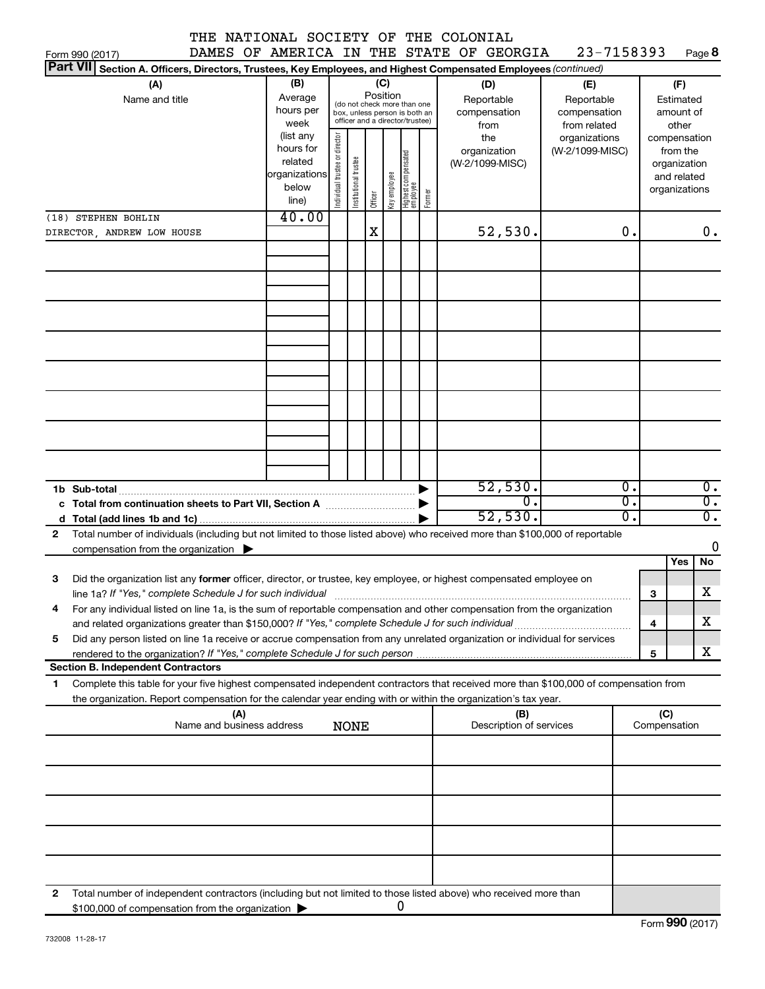|                 |                     | Form 990 (2017)                                                                                                                                                                                                                                        |                                  |                                                                      |                                                                                                                    |                       |         |              |                                   |        |                                                                                                | DAMES OF AMERICA IN THE STATE OF GEORGIA | 23-7158393                       |          |                     | Page 8                                                                   |
|-----------------|---------------------|--------------------------------------------------------------------------------------------------------------------------------------------------------------------------------------------------------------------------------------------------------|----------------------------------|----------------------------------------------------------------------|--------------------------------------------------------------------------------------------------------------------|-----------------------|---------|--------------|-----------------------------------|--------|------------------------------------------------------------------------------------------------|------------------------------------------|----------------------------------|----------|---------------------|--------------------------------------------------------------------------|
| <b>Part VII</b> |                     | Section A. Officers, Directors, Trustees, Key Employees, and Highest Compensated Employees (continued)                                                                                                                                                 |                                  |                                                                      |                                                                                                                    |                       |         |              |                                   |        |                                                                                                |                                          |                                  |          |                     |                                                                          |
|                 |                     | (A)<br>Name and title                                                                                                                                                                                                                                  |                                  | (B)<br>Average<br>hours per<br>week                                  | (C)<br>Position<br>(do not check more than one<br>box, unless person is both an<br>officer and a director/trustee) |                       |         |              |                                   |        | (D)<br>(E)<br>Reportable<br>Reportable<br>compensation<br>compensation<br>from related<br>from |                                          |                                  |          |                     | (F)<br>Estimated<br>amount of<br>other                                   |
|                 | (18) STEPHEN BOHLIN |                                                                                                                                                                                                                                                        |                                  | (list any<br>hours for<br>related<br>organizations<br>below<br>line) | Individual trustee or director                                                                                     | Institutional trustee | Officer | Key employee | Highest compensated<br>  employee | Former |                                                                                                | the<br>organization<br>(W-2/1099-MISC)   | organizations<br>(W-2/1099-MISC) |          |                     | compensation<br>from the<br>organization<br>and related<br>organizations |
|                 |                     |                                                                                                                                                                                                                                                        |                                  | 40.00                                                                |                                                                                                                    |                       |         |              |                                   |        |                                                                                                |                                          |                                  |          |                     |                                                                          |
|                 |                     | DIRECTOR, ANDREW LOW HOUSE                                                                                                                                                                                                                             |                                  |                                                                      |                                                                                                                    |                       | X       |              |                                   |        |                                                                                                | 52,530.                                  |                                  | 0.       |                     | $0$ .                                                                    |
|                 |                     |                                                                                                                                                                                                                                                        |                                  |                                                                      |                                                                                                                    |                       |         |              |                                   |        |                                                                                                |                                          |                                  |          |                     |                                                                          |
|                 |                     |                                                                                                                                                                                                                                                        |                                  |                                                                      |                                                                                                                    |                       |         |              |                                   |        |                                                                                                |                                          |                                  |          |                     |                                                                          |
|                 |                     |                                                                                                                                                                                                                                                        |                                  |                                                                      |                                                                                                                    |                       |         |              |                                   |        |                                                                                                |                                          |                                  |          |                     |                                                                          |
|                 |                     |                                                                                                                                                                                                                                                        |                                  |                                                                      |                                                                                                                    |                       |         |              |                                   |        |                                                                                                |                                          |                                  |          |                     |                                                                          |
|                 |                     | 1b Sub-total                                                                                                                                                                                                                                           |                                  |                                                                      |                                                                                                                    |                       |         |              |                                   |        |                                                                                                | 52,530.                                  |                                  | о.       |                     | $\overline{0}$ .                                                         |
|                 |                     | c Total from continuation sheets to Part VII, Section A manuscription.                                                                                                                                                                                 |                                  |                                                                      |                                                                                                                    |                       |         |              |                                   |        |                                                                                                | σ.<br>52,530.                            |                                  | σ.<br>σ. |                     | $\overline{0}$ .<br>$\overline{0}$ .                                     |
| $\mathbf{2}$    |                     | Total number of individuals (including but not limited to those listed above) who received more than \$100,000 of reportable                                                                                                                           |                                  |                                                                      |                                                                                                                    |                       |         |              |                                   |        |                                                                                                |                                          |                                  |          |                     | 0                                                                        |
|                 |                     | compensation from the organization $\blacktriangleright$                                                                                                                                                                                               |                                  |                                                                      |                                                                                                                    |                       |         |              |                                   |        |                                                                                                |                                          |                                  |          |                     | Yes<br>No                                                                |
| 3               |                     | Did the organization list any former officer, director, or trustee, key employee, or highest compensated employee on<br>line 1a? If "Yes," complete Schedule J for such individual manufactured content to the set of the set of the s                 |                                  |                                                                      |                                                                                                                    |                       |         |              |                                   |        |                                                                                                |                                          |                                  |          | 3                   | х                                                                        |
|                 |                     | For any individual listed on line 1a, is the sum of reportable compensation and other compensation from the organization<br>and related organizations greater than \$150,000? If "Yes," complete Schedule J for such individual                        |                                  |                                                                      |                                                                                                                    |                       |         |              |                                   |        |                                                                                                |                                          |                                  |          | 4                   | х                                                                        |
| 5               |                     | Did any person listed on line 1a receive or accrue compensation from any unrelated organization or individual for services                                                                                                                             |                                  |                                                                      |                                                                                                                    |                       |         |              |                                   |        |                                                                                                |                                          |                                  |          | 5                   | х                                                                        |
|                 |                     | <b>Section B. Independent Contractors</b>                                                                                                                                                                                                              |                                  |                                                                      |                                                                                                                    |                       |         |              |                                   |        |                                                                                                |                                          |                                  |          |                     |                                                                          |
| 1.              |                     | Complete this table for your five highest compensated independent contractors that received more than \$100,000 of compensation from<br>the organization. Report compensation for the calendar year ending with or within the organization's tax year. |                                  |                                                                      |                                                                                                                    |                       |         |              |                                   |        |                                                                                                |                                          |                                  |          |                     |                                                                          |
|                 |                     |                                                                                                                                                                                                                                                        | (A)<br>Name and business address |                                                                      |                                                                                                                    | <b>NONE</b>           |         |              |                                   |        |                                                                                                | (B)<br>Description of services           |                                  |          | (C)<br>Compensation |                                                                          |
|                 |                     |                                                                                                                                                                                                                                                        |                                  |                                                                      |                                                                                                                    |                       |         |              |                                   |        |                                                                                                |                                          |                                  |          |                     |                                                                          |
|                 |                     |                                                                                                                                                                                                                                                        |                                  |                                                                      |                                                                                                                    |                       |         |              |                                   |        |                                                                                                |                                          |                                  |          |                     |                                                                          |
|                 |                     |                                                                                                                                                                                                                                                        |                                  |                                                                      |                                                                                                                    |                       |         |              |                                   |        |                                                                                                |                                          |                                  |          |                     |                                                                          |
|                 |                     |                                                                                                                                                                                                                                                        |                                  |                                                                      |                                                                                                                    |                       |         |              |                                   |        |                                                                                                |                                          |                                  |          |                     |                                                                          |
| 2               |                     | Total number of independent contractors (including but not limited to those listed above) who received more than<br>\$100,000 of compensation from the organization                                                                                    |                                  |                                                                      |                                                                                                                    |                       |         |              | 0                                 |        |                                                                                                |                                          |                                  |          |                     |                                                                          |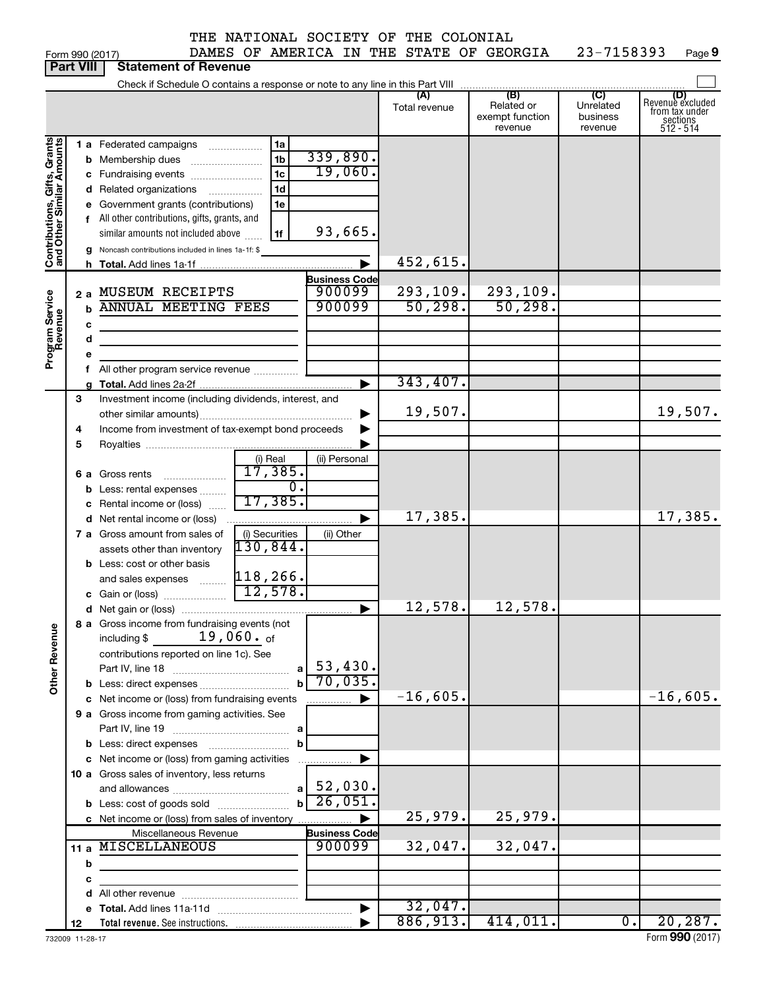| THE NATIONAL SOCIETY OF THE COLONIAL |  |  |  |
|--------------------------------------|--|--|--|
|                                      |  |  |  |

Form 990 (2017) Page 23-7158393 Page 9 DAMES OF AMERICA IN THE STATE OF GEORGIA 23-7158393

|                                                            | <b>Part VIII</b>      | <b>Statement of Revenue</b>                                                                                                                                                                                                                                                                                                                                                                                                                                        |                                                                                 |                                              |                                                 |                                         |                                                                    |
|------------------------------------------------------------|-----------------------|--------------------------------------------------------------------------------------------------------------------------------------------------------------------------------------------------------------------------------------------------------------------------------------------------------------------------------------------------------------------------------------------------------------------------------------------------------------------|---------------------------------------------------------------------------------|----------------------------------------------|-------------------------------------------------|-----------------------------------------|--------------------------------------------------------------------|
|                                                            |                       | Check if Schedule O contains a response or note to any line in this Part VIII                                                                                                                                                                                                                                                                                                                                                                                      |                                                                                 |                                              |                                                 |                                         |                                                                    |
|                                                            |                       |                                                                                                                                                                                                                                                                                                                                                                                                                                                                    |                                                                                 | (A)<br>Total revenue                         | (B)<br>Related or<br>exempt function<br>revenue | (C)<br>Unrelated<br>business<br>revenue | (D)<br>Revenuè excluded<br>from tax under<br>sections<br>512 - 514 |
| Contributions, Gifts, Grants<br>Program Service<br>Revenue | b<br>b<br>c<br>d      | <b>1 a</b> Federated campaigns<br>1a<br>1 <sub>b</sub><br>Membership dues<br>1 <sub>c</sub><br>c Fundraising events<br>1 <sub>d</sub><br>d Related organizations<br>.<br>1e<br>e Government grants (contributions)<br>f All other contributions, gifts, grants, and<br>similar amounts not included above<br>1f<br>g Noncash contributions included in lines 1a-1f: \$<br>2 a MUSEUM RECEIPTS<br><b>ANNUAL MEETING FEES</b><br>f All other program service revenue | 339,890.<br>19,060.<br>93,665.<br><b>Business Code</b><br>900099<br>900099<br>▶ | 452,615.<br>293,109.<br>50, 298.<br>343,407. | 293,109.<br>50, 298.                            |                                         |                                                                    |
|                                                            | 3<br>4<br>5           | Investment income (including dividends, interest, and<br>Income from investment of tax-exempt bond proceeds                                                                                                                                                                                                                                                                                                                                                        |                                                                                 | 19,507.                                      |                                                 |                                         | 19,507.                                                            |
|                                                            | с                     | (i) Real<br>17,385.<br><b>6 a</b> Gross rents<br>$\ldots \ldots \ldots \ldots \ldots$<br>$\overline{0}$ .<br><b>b</b> Less: rental expenses<br>17,385.<br>Rental income or (loss)                                                                                                                                                                                                                                                                                  | (ii) Personal                                                                   |                                              |                                                 |                                         |                                                                    |
|                                                            |                       | d Net rental income or (loss)<br>(i) Securities<br>7 a Gross amount from sales of<br>130,844.<br>assets other than inventory<br><b>b</b> Less: cost or other basis<br>and sales expenses  118, 266.                                                                                                                                                                                                                                                                | ▶<br>(ii) Other                                                                 | 17,385.                                      |                                                 |                                         | 17,385.                                                            |
|                                                            |                       | $\overline{12,578.}$<br>c Gain or (loss)                                                                                                                                                                                                                                                                                                                                                                                                                           | ▶                                                                               | 12,578.                                      | 12,578.                                         |                                         |                                                                    |
| <b>Other Revenue</b>                                       |                       | 8 a Gross income from fundraising events (not<br>$19$ ,060. $_{\sf of}$<br>including \$<br>contributions reported on line 1c). See<br>a                                                                                                                                                                                                                                                                                                                            | 53,430.<br>70,035.                                                              |                                              |                                                 |                                         |                                                                    |
|                                                            |                       | c Net income or (loss) from fundraising events<br>9 a Gross income from gaming activities. See                                                                                                                                                                                                                                                                                                                                                                     | ▶                                                                               | $-16,605.$                                   |                                                 |                                         | $-16,605.$                                                         |
|                                                            |                       | b<br>c Net income or (loss) from gaming activities<br>10 a Gross sales of inventory, less returns<br>a                                                                                                                                                                                                                                                                                                                                                             | ▶<br>.<br>$52,030$ .                                                            |                                              |                                                 |                                         |                                                                    |
|                                                            |                       | $\mathbf{b}$<br><b>b</b> Less: cost of goods sold<br>c Net income or (loss) from sales of inventory<br>Miscellaneous Revenue                                                                                                                                                                                                                                                                                                                                       | 26,051<br>$\ddot{\phantom{1}}$<br><b>Business Code</b>                          | 25,979.                                      | 25,979.                                         |                                         |                                                                    |
|                                                            | b<br>с                | 11 a MISCELLANEOUS<br>the control of the control of the control of                                                                                                                                                                                                                                                                                                                                                                                                 | 900099                                                                          | 32,047.                                      | 32,047.                                         |                                         |                                                                    |
|                                                            |                       |                                                                                                                                                                                                                                                                                                                                                                                                                                                                    | $\blacktriangleright$                                                           | 32,047.<br>886,913.                          | 414,011.                                        | $\overline{0}$ .                        | 20, 287.                                                           |
|                                                            | 12<br>732009 11-28-17 |                                                                                                                                                                                                                                                                                                                                                                                                                                                                    |                                                                                 |                                              |                                                 |                                         | Form 990 (2017)                                                    |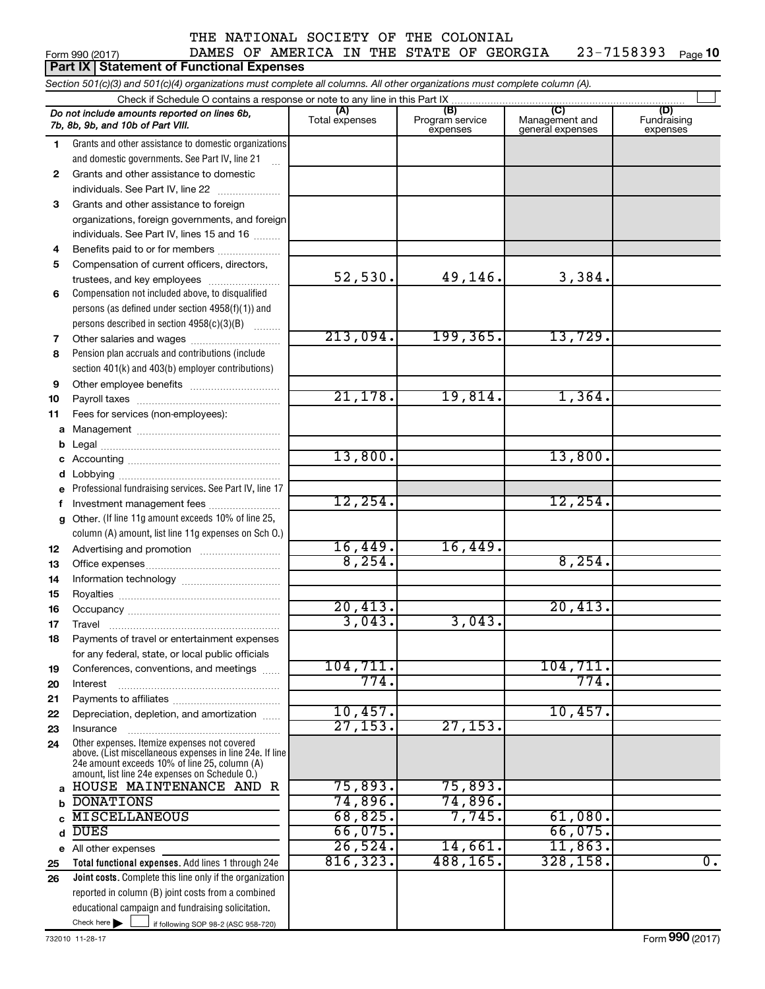Form 990 (2017)  $\blacksquare$  DAMES OF AMERICA IN THE STATE OF GEORGIA  $\blacksquare$  23-7158393  $\blacksquare$  Page 23-7158393 Page 10

|                                                                                                                            | Part IX Statement of Functional Expenses                                                        |                       |                                    |                                           |                                |  |  |  |  |  |  |
|----------------------------------------------------------------------------------------------------------------------------|-------------------------------------------------------------------------------------------------|-----------------------|------------------------------------|-------------------------------------------|--------------------------------|--|--|--|--|--|--|
| Section 501(c)(3) and 501(c)(4) organizations must complete all columns. All other organizations must complete column (A). |                                                                                                 |                       |                                    |                                           |                                |  |  |  |  |  |  |
|                                                                                                                            | Check if Schedule O contains a response or note to any line in this Part IX                     |                       |                                    |                                           |                                |  |  |  |  |  |  |
|                                                                                                                            | Do not include amounts reported on lines 6b,<br>7b, 8b, 9b, and 10b of Part VIII.               | (A)<br>Total expenses | (B)<br>Program service<br>expenses | (C)<br>Management and<br>general expenses | (D)<br>Fundraising<br>expenses |  |  |  |  |  |  |
| 1.                                                                                                                         | Grants and other assistance to domestic organizations                                           |                       |                                    |                                           |                                |  |  |  |  |  |  |
|                                                                                                                            | and domestic governments. See Part IV, line 21                                                  |                       |                                    |                                           |                                |  |  |  |  |  |  |
| 2                                                                                                                          | Grants and other assistance to domestic                                                         |                       |                                    |                                           |                                |  |  |  |  |  |  |
|                                                                                                                            | individuals. See Part IV, line 22                                                               |                       |                                    |                                           |                                |  |  |  |  |  |  |
| 3                                                                                                                          | Grants and other assistance to foreign                                                          |                       |                                    |                                           |                                |  |  |  |  |  |  |
|                                                                                                                            | organizations, foreign governments, and foreign                                                 |                       |                                    |                                           |                                |  |  |  |  |  |  |
|                                                                                                                            | individuals. See Part IV, lines 15 and 16                                                       |                       |                                    |                                           |                                |  |  |  |  |  |  |
| 4                                                                                                                          | Benefits paid to or for members                                                                 |                       |                                    |                                           |                                |  |  |  |  |  |  |
| 5                                                                                                                          | Compensation of current officers, directors,                                                    |                       |                                    |                                           |                                |  |  |  |  |  |  |
|                                                                                                                            | trustees, and key employees                                                                     | 52,530.               | 49,146.                            | 3,384.                                    |                                |  |  |  |  |  |  |
| 6                                                                                                                          | Compensation not included above, to disqualified                                                |                       |                                    |                                           |                                |  |  |  |  |  |  |
|                                                                                                                            | persons (as defined under section 4958(f)(1)) and                                               |                       |                                    |                                           |                                |  |  |  |  |  |  |
|                                                                                                                            | persons described in section 4958(c)(3)(B)                                                      | 213,094.              | 199, 365.                          | 13,729.                                   |                                |  |  |  |  |  |  |
| 7                                                                                                                          | Other salaries and wages<br>Pension plan accruals and contributions (include                    |                       |                                    |                                           |                                |  |  |  |  |  |  |
| 8                                                                                                                          | section 401(k) and 403(b) employer contributions)                                               |                       |                                    |                                           |                                |  |  |  |  |  |  |
| 9                                                                                                                          |                                                                                                 |                       |                                    |                                           |                                |  |  |  |  |  |  |
| 10                                                                                                                         |                                                                                                 | 21,178.               | 19,814.                            | 1,364.                                    |                                |  |  |  |  |  |  |
| 11                                                                                                                         | Fees for services (non-employees):                                                              |                       |                                    |                                           |                                |  |  |  |  |  |  |
| a                                                                                                                          |                                                                                                 |                       |                                    |                                           |                                |  |  |  |  |  |  |
| b                                                                                                                          |                                                                                                 |                       |                                    |                                           |                                |  |  |  |  |  |  |
| c                                                                                                                          |                                                                                                 | 13,800.               |                                    | 13,800.                                   |                                |  |  |  |  |  |  |
| d                                                                                                                          |                                                                                                 |                       |                                    |                                           |                                |  |  |  |  |  |  |
| e                                                                                                                          | Professional fundraising services. See Part IV, line 17                                         |                       |                                    |                                           |                                |  |  |  |  |  |  |
| f                                                                                                                          | Investment management fees                                                                      | 12, 254.              |                                    | 12, 254.                                  |                                |  |  |  |  |  |  |
| g                                                                                                                          | Other. (If line 11g amount exceeds 10% of line 25,                                              |                       |                                    |                                           |                                |  |  |  |  |  |  |
|                                                                                                                            | column (A) amount, list line 11g expenses on Sch O.)                                            |                       |                                    |                                           |                                |  |  |  |  |  |  |
| 12                                                                                                                         |                                                                                                 | 16,449.               | 16,449.                            |                                           |                                |  |  |  |  |  |  |
| 13                                                                                                                         |                                                                                                 | 8, 254.               |                                    | 8,254.                                    |                                |  |  |  |  |  |  |
| 14                                                                                                                         |                                                                                                 |                       |                                    |                                           |                                |  |  |  |  |  |  |
| 15                                                                                                                         |                                                                                                 |                       |                                    |                                           |                                |  |  |  |  |  |  |
| 16                                                                                                                         |                                                                                                 | 20,413.               |                                    | 20,413.                                   |                                |  |  |  |  |  |  |
| 17                                                                                                                         | Travel                                                                                          | 3,043.                | 3,043.                             |                                           |                                |  |  |  |  |  |  |
| 18                                                                                                                         | Payments of travel or entertainment expenses                                                    |                       |                                    |                                           |                                |  |  |  |  |  |  |
|                                                                                                                            | for any federal, state, or local public officials                                               | 104, 711.             |                                    | 104, 711.                                 |                                |  |  |  |  |  |  |
| 19                                                                                                                         | Conferences, conventions, and meetings                                                          | 774.                  |                                    | 774.                                      |                                |  |  |  |  |  |  |
| 20                                                                                                                         | Interest                                                                                        |                       |                                    |                                           |                                |  |  |  |  |  |  |
| 21<br>22                                                                                                                   | Depreciation, depletion, and amortization                                                       | 10,457.               |                                    | 10,457.                                   |                                |  |  |  |  |  |  |
| 23                                                                                                                         | Insurance                                                                                       | 27, 153.              | 27, 153.                           |                                           |                                |  |  |  |  |  |  |
| 24                                                                                                                         | Other expenses. Itemize expenses not covered                                                    |                       |                                    |                                           |                                |  |  |  |  |  |  |
|                                                                                                                            | above. (List miscellaneous expenses in line 24e. If line                                        |                       |                                    |                                           |                                |  |  |  |  |  |  |
|                                                                                                                            | 24e amount exceeds 10% of line 25, column (A)<br>amount, list line 24e expenses on Schedule O.) |                       |                                    |                                           |                                |  |  |  |  |  |  |
| a                                                                                                                          | HOUSE MAINTENANCE AND R                                                                         | 75,893.               | 75,893.                            |                                           |                                |  |  |  |  |  |  |
| b                                                                                                                          | <b>DONATIONS</b>                                                                                | 74,896.               | 74,896.                            |                                           |                                |  |  |  |  |  |  |
| C                                                                                                                          | <b>MISCELLANEOUS</b>                                                                            | 68,825.               | 7,745.                             | 61,080.                                   |                                |  |  |  |  |  |  |
| d                                                                                                                          | <b>DUES</b>                                                                                     | 66,075.               |                                    | 66,075.                                   |                                |  |  |  |  |  |  |
|                                                                                                                            | e All other expenses                                                                            | 26,524.               | 14,661.                            | 11,863.                                   |                                |  |  |  |  |  |  |
| 25                                                                                                                         | Total functional expenses. Add lines 1 through 24e                                              | 816, 323.             | 488,165.                           | 328, 158.                                 | $\overline{0}$ .               |  |  |  |  |  |  |
| 26                                                                                                                         | Joint costs. Complete this line only if the organization                                        |                       |                                    |                                           |                                |  |  |  |  |  |  |
|                                                                                                                            | reported in column (B) joint costs from a combined                                              |                       |                                    |                                           |                                |  |  |  |  |  |  |
|                                                                                                                            | educational campaign and fundraising solicitation.                                              |                       |                                    |                                           |                                |  |  |  |  |  |  |
|                                                                                                                            | Check here $\blacktriangleright$<br>if following SOP 98-2 (ASC 958-720)                         |                       |                                    |                                           |                                |  |  |  |  |  |  |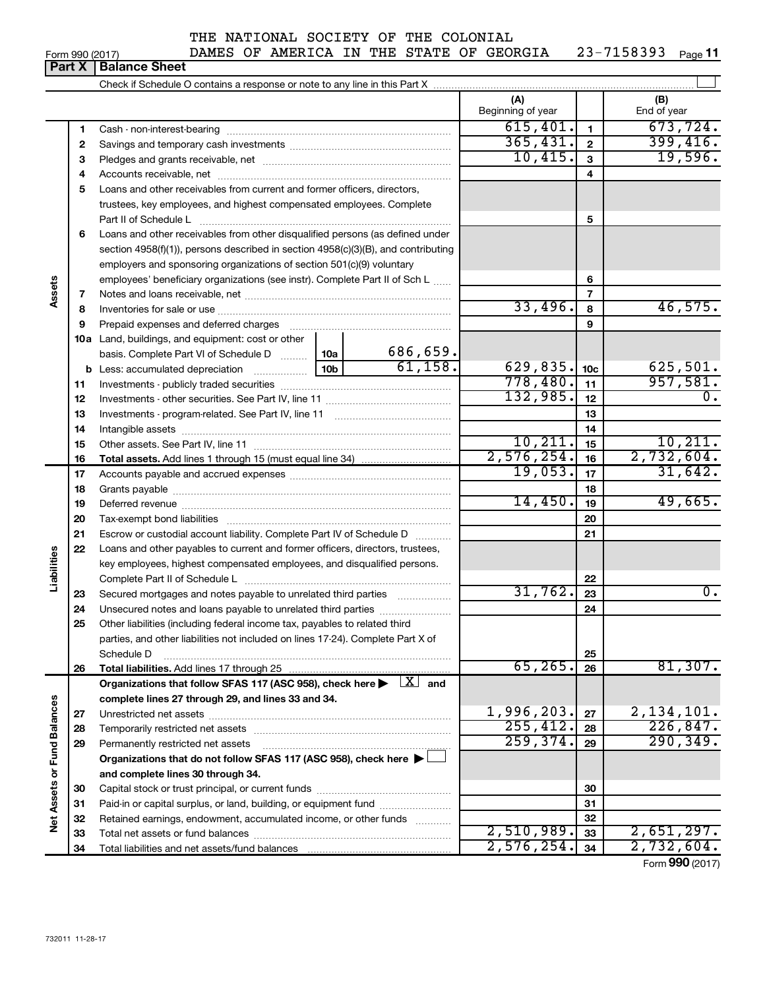#### Form 990 (2017)  $\blacksquare$  DAMES OF AMERICA IN THE STATE OF GEORGIA  $\blacksquare$  23-7158393  $\blacksquare$  Page

23-7158393 Page 11

|                             |    |                                                                                                                                                                               |         |          | (A)<br>Beginning of year |                  | (B)<br>End of year |
|-----------------------------|----|-------------------------------------------------------------------------------------------------------------------------------------------------------------------------------|---------|----------|--------------------------|------------------|--------------------|
|                             | 1  |                                                                                                                                                                               |         |          | 615,401.                 | $\mathbf{1}$     | 673, 724.          |
|                             | 2  |                                                                                                                                                                               |         |          | 365,431.                 | $\mathbf{2}$     | 399,416.           |
|                             | З  |                                                                                                                                                                               |         |          | 10,415.                  | $\mathbf{3}$     | 19,596.            |
|                             | 4  |                                                                                                                                                                               |         |          |                          | 4                |                    |
|                             | 5  | Loans and other receivables from current and former officers, directors,                                                                                                      |         |          |                          |                  |                    |
|                             |    | trustees, key employees, and highest compensated employees. Complete                                                                                                          |         |          |                          |                  |                    |
|                             |    |                                                                                                                                                                               |         |          |                          | 5                |                    |
|                             | 6  | Loans and other receivables from other disqualified persons (as defined under                                                                                                 |         |          |                          |                  |                    |
|                             |    | section 4958(f)(1)), persons described in section 4958(c)(3)(B), and contributing                                                                                             |         |          |                          |                  |                    |
|                             |    | employers and sponsoring organizations of section 501(c)(9) voluntary                                                                                                         |         |          |                          |                  |                    |
|                             |    | employees' beneficiary organizations (see instr). Complete Part II of Sch L                                                                                                   |         |          |                          | 6                |                    |
| Assets                      | 7  |                                                                                                                                                                               |         |          |                          | 7                |                    |
|                             | 8  |                                                                                                                                                                               |         |          | 33,496.                  | 8                | 46,575.            |
|                             | 9  | Prepaid expenses and deferred charges                                                                                                                                         |         |          |                          | 9                |                    |
|                             |    | <b>10a</b> Land, buildings, and equipment: cost or other                                                                                                                      |         |          |                          |                  |                    |
|                             |    | basis. Complete Part VI of Schedule D  10a                                                                                                                                    |         | 686,659. |                          |                  |                    |
|                             |    | <b>b</b> Less: accumulated depreciation                                                                                                                                       | 61,158. | 629,835. | 10 <sub>c</sub>          | 625,501.         |                    |
|                             | 11 |                                                                                                                                                                               |         | 778,480. | 11                       | 957,581.         |                    |
|                             | 12 |                                                                                                                                                                               |         | 132,985. | 12                       | $\overline{0}$ . |                    |
|                             | 13 |                                                                                                                                                                               |         |          | 13                       |                  |                    |
|                             | 14 |                                                                                                                                                                               |         |          | 14                       |                  |                    |
|                             | 15 |                                                                                                                                                                               |         | 10, 211. | 15                       | 10, 211.         |                    |
|                             | 16 |                                                                                                                                                                               |         |          | 2,576,254.               | 16               | 2,732,604.         |
|                             | 17 |                                                                                                                                                                               |         |          | 19,053.                  | 17               | 31,642.            |
|                             | 18 |                                                                                                                                                                               |         | 18       |                          |                  |                    |
|                             | 19 |                                                                                                                                                                               |         | 14,450.  | 19                       | 49,665.          |                    |
|                             | 20 |                                                                                                                                                                               |         |          |                          | 20               |                    |
|                             | 21 | Escrow or custodial account liability. Complete Part IV of Schedule D                                                                                                         |         |          |                          | 21               |                    |
|                             | 22 | Loans and other payables to current and former officers, directors, trustees,                                                                                                 |         |          |                          |                  |                    |
|                             |    | key employees, highest compensated employees, and disqualified persons.                                                                                                       |         |          |                          |                  |                    |
| Liabilities                 |    |                                                                                                                                                                               |         |          |                          | 22               |                    |
|                             | 23 | Secured mortgages and notes payable to unrelated third parties                                                                                                                |         |          | 31,762.                  | 23               | 0.                 |
|                             | 24 | Unsecured notes and loans payable to unrelated third parties                                                                                                                  |         |          |                          | 24               |                    |
|                             | 25 | Other liabilities (including federal income tax, payables to related third                                                                                                    |         |          |                          |                  |                    |
|                             |    | parties, and other liabilities not included on lines 17-24). Complete Part X of                                                                                               |         |          |                          |                  |                    |
|                             |    | Schedule D                                                                                                                                                                    |         |          | 65, 265.                 | 25               | 81,307.            |
|                             | 26 | Total liabilities. Add lines 17 through 25                                                                                                                                    |         |          |                          | 26               |                    |
|                             |    | Organizations that follow SFAS 117 (ASC 958), check here $\blacktriangleright \begin{array}{c} \perp X \end{array}$ and<br>complete lines 27 through 29, and lines 33 and 34. |         |          |                          |                  |                    |
|                             | 27 |                                                                                                                                                                               |         |          | 1,996,203.               | 27               | 2,134,101.         |
|                             | 28 |                                                                                                                                                                               |         |          | 255, 412.                | 28               | 226,847.           |
|                             | 29 | Permanently restricted net assets                                                                                                                                             |         |          | 259, 374.                | 29               | 290, 349.          |
|                             |    | Organizations that do not follow SFAS 117 (ASC 958), check here $\blacktriangleright$                                                                                         |         |          |                          |                  |                    |
|                             |    | and complete lines 30 through 34.                                                                                                                                             |         |          |                          |                  |                    |
|                             | 30 |                                                                                                                                                                               |         |          |                          | 30               |                    |
|                             | 31 | Paid-in or capital surplus, or land, building, or equipment fund                                                                                                              |         |          |                          | 31               |                    |
| Net Assets or Fund Balances | 32 | Retained earnings, endowment, accumulated income, or other funds                                                                                                              |         |          |                          | 32               |                    |
|                             | 33 |                                                                                                                                                                               |         |          | 2,510,989.               | 33               | 2,651,297.         |
|                             | 34 |                                                                                                                                                                               |         |          | 2,576,254.               | 34               | 2,732,604.         |
|                             |    |                                                                                                                                                                               |         |          |                          |                  |                    |

Form (2017) **990**

# **Part X Balance Sheet**

| Form 990 (2017) |
|-----------------|
|-----------------|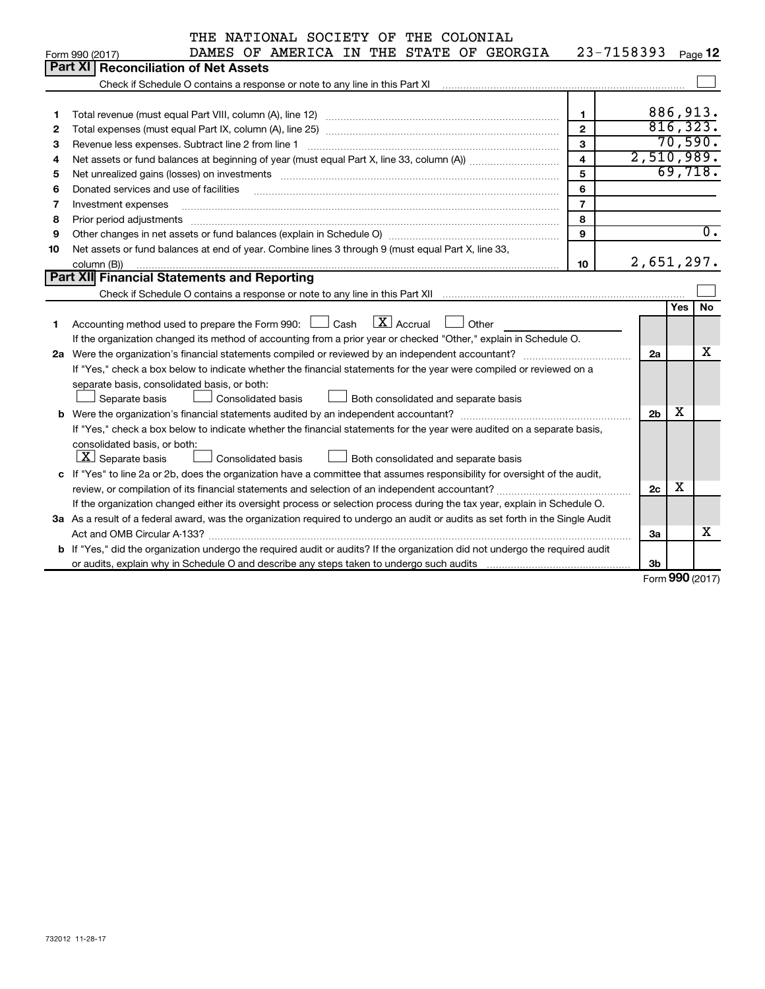|    | THE NATIONAL SOCIETY OF THE COLONIAL                                                                                                                                                                                           |                         |                |            |                  |
|----|--------------------------------------------------------------------------------------------------------------------------------------------------------------------------------------------------------------------------------|-------------------------|----------------|------------|------------------|
|    | DAMES OF AMERICA IN THE STATE OF GEORGIA<br>Form 990 (2017)                                                                                                                                                                    | 23-7158393              |                |            | Page 12          |
|    | <b>Part XI</b><br><b>Reconciliation of Net Assets</b>                                                                                                                                                                          |                         |                |            |                  |
|    | Check if Schedule O contains a response or note to any line in this Part XI [11] contains a contain contains a contains a response or note to any line in this Part XI [12] contains and the Schedule O contains and the Sched |                         |                |            |                  |
|    |                                                                                                                                                                                                                                |                         |                |            |                  |
| 1  |                                                                                                                                                                                                                                | $\mathbf{1}$            |                |            | 886,913.         |
| 2  |                                                                                                                                                                                                                                | $\mathbf{2}$            |                |            | 816, 323.        |
| з  | Revenue less expenses. Subtract line 2 from line 1                                                                                                                                                                             | $\mathbf{3}$            |                |            | 70,590.          |
| 4  |                                                                                                                                                                                                                                | $\overline{\mathbf{4}}$ | 2,510,989.     |            |                  |
| 5  | Net unrealized gains (losses) on investments [11] matter contracts and the state of the state of the state of the state of the state of the state of the state of the state of the state of the state of the state of the stat | 5                       |                |            | 69,718.          |
| 6  | Donated services and use of facilities                                                                                                                                                                                         | 6                       |                |            |                  |
| 7  | Investment expenses                                                                                                                                                                                                            | $\overline{7}$          |                |            |                  |
| 8  | Prior period adjustments                                                                                                                                                                                                       | 8                       |                |            |                  |
| 9  | Other changes in net assets or fund balances (explain in Schedule O) manufactured controller than growth of the                                                                                                                | 9                       |                |            | $\overline{0}$ . |
| 10 | Net assets or fund balances at end of year. Combine lines 3 through 9 (must equal Part X, line 33,                                                                                                                             |                         |                |            |                  |
|    | column (B))                                                                                                                                                                                                                    | 10                      | 2,651,297.     |            |                  |
|    | Part XII Financial Statements and Reporting                                                                                                                                                                                    |                         |                |            |                  |
|    |                                                                                                                                                                                                                                |                         |                |            |                  |
|    |                                                                                                                                                                                                                                |                         |                | <b>Yes</b> | No               |
| 1  | $\boxed{\text{X}}$ Accrual<br>Accounting method used to prepare the Form 990: $\Box$ Cash<br>Other                                                                                                                             |                         |                |            |                  |
|    | If the organization changed its method of accounting from a prior year or checked "Other," explain in Schedule O.                                                                                                              |                         |                |            |                  |
|    |                                                                                                                                                                                                                                |                         | 2a             |            | х                |
|    | If "Yes," check a box below to indicate whether the financial statements for the year were compiled or reviewed on a                                                                                                           |                         |                |            |                  |
|    | separate basis, consolidated basis, or both:                                                                                                                                                                                   |                         |                |            |                  |
|    | <b>Consolidated basis</b><br>Separate basis<br>Both consolidated and separate basis                                                                                                                                            |                         |                |            |                  |
|    |                                                                                                                                                                                                                                |                         | 2 <sub>b</sub> | х          |                  |
|    | If "Yes," check a box below to indicate whether the financial statements for the year were audited on a separate basis,                                                                                                        |                         |                |            |                  |
|    | consolidated basis, or both:                                                                                                                                                                                                   |                         |                |            |                  |
|    | $ \mathbf{X} $ Separate basis<br><b>Consolidated basis</b><br>Both consolidated and separate basis                                                                                                                             |                         |                |            |                  |
|    | c If "Yes" to line 2a or 2b, does the organization have a committee that assumes responsibility for oversight of the audit,                                                                                                    |                         |                |            |                  |
|    | review, or compilation of its financial statements and selection of an independent accountant?                                                                                                                                 |                         | 2c             | X          |                  |
|    | If the organization changed either its oversight process or selection process during the tax year, explain in Schedule O.                                                                                                      |                         |                |            |                  |
|    | 3a As a result of a federal award, was the organization required to undergo an audit or audits as set forth in the Single Audit                                                                                                |                         |                |            |                  |
|    |                                                                                                                                                                                                                                |                         | За             |            | x                |
|    | b If "Yes," did the organization undergo the required audit or audits? If the organization did not undergo the required audit                                                                                                  |                         |                |            |                  |
|    |                                                                                                                                                                                                                                |                         | 3b             |            |                  |

Form (2017) **990**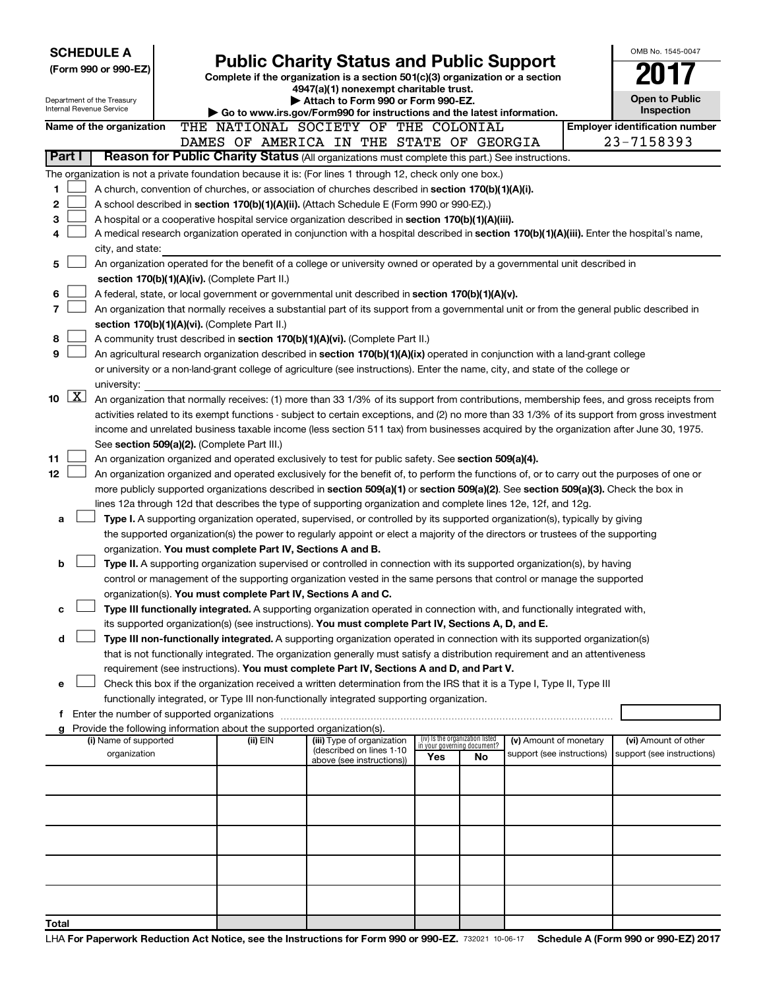| <b>SCHEDULE A</b>                                                                                         |                                                                                                                           |                                                                                                                                                                                                                                                      |                                                        |     |                                                                |                            |  | OMB No. 1545-0047                                                                                                                             |  |  |
|-----------------------------------------------------------------------------------------------------------|---------------------------------------------------------------------------------------------------------------------------|------------------------------------------------------------------------------------------------------------------------------------------------------------------------------------------------------------------------------------------------------|--------------------------------------------------------|-----|----------------------------------------------------------------|----------------------------|--|-----------------------------------------------------------------------------------------------------------------------------------------------|--|--|
| (Form 990 or 990-EZ)                                                                                      |                                                                                                                           | <b>Public Charity Status and Public Support</b><br>Complete if the organization is a section 501(c)(3) organization or a section                                                                                                                     |                                                        |     |                                                                |                            |  |                                                                                                                                               |  |  |
|                                                                                                           |                                                                                                                           |                                                                                                                                                                                                                                                      | 4947(a)(1) nonexempt charitable trust.                 |     |                                                                |                            |  |                                                                                                                                               |  |  |
| Department of the Treasury<br>Internal Revenue Service                                                    |                                                                                                                           |                                                                                                                                                                                                                                                      | Attach to Form 990 or Form 990-EZ.                     |     |                                                                |                            |  | <b>Open to Public</b><br><b>Inspection</b>                                                                                                    |  |  |
| Name of the organization                                                                                  |                                                                                                                           | Go to www.irs.gov/Form990 for instructions and the latest information.<br>THE NATIONAL SOCIETY OF THE COLONIAL                                                                                                                                       |                                                        |     |                                                                |                            |  | <b>Employer identification number</b>                                                                                                         |  |  |
|                                                                                                           |                                                                                                                           | DAMES OF AMERICA IN THE STATE OF GEORGIA                                                                                                                                                                                                             |                                                        |     |                                                                |                            |  | 23-7158393                                                                                                                                    |  |  |
| Part I                                                                                                    |                                                                                                                           | Reason for Public Charity Status (All organizations must complete this part.) See instructions.                                                                                                                                                      |                                                        |     |                                                                |                            |  |                                                                                                                                               |  |  |
| The organization is not a private foundation because it is: (For lines 1 through 12, check only one box.) |                                                                                                                           |                                                                                                                                                                                                                                                      |                                                        |     |                                                                |                            |  |                                                                                                                                               |  |  |
| 1                                                                                                         |                                                                                                                           | A church, convention of churches, or association of churches described in <b>section 170(b)(1)(A)(i).</b>                                                                                                                                            |                                                        |     |                                                                |                            |  |                                                                                                                                               |  |  |
| 2                                                                                                         |                                                                                                                           | A school described in section 170(b)(1)(A)(ii). (Attach Schedule E (Form 990 or 990-EZ).)                                                                                                                                                            |                                                        |     |                                                                |                            |  |                                                                                                                                               |  |  |
| 3                                                                                                         |                                                                                                                           | A hospital or a cooperative hospital service organization described in section $170(b)(1)(A)(iii)$ .                                                                                                                                                 |                                                        |     |                                                                |                            |  |                                                                                                                                               |  |  |
| 4                                                                                                         |                                                                                                                           | A medical research organization operated in conjunction with a hospital described in section 170(b)(1)(A)(iii). Enter the hospital's name,                                                                                                           |                                                        |     |                                                                |                            |  |                                                                                                                                               |  |  |
|                                                                                                           | city, and state:                                                                                                          |                                                                                                                                                                                                                                                      |                                                        |     |                                                                |                            |  |                                                                                                                                               |  |  |
| 5                                                                                                         | An organization operated for the benefit of a college or university owned or operated by a governmental unit described in |                                                                                                                                                                                                                                                      |                                                        |     |                                                                |                            |  |                                                                                                                                               |  |  |
|                                                                                                           |                                                                                                                           | section 170(b)(1)(A)(iv). (Complete Part II.)                                                                                                                                                                                                        |                                                        |     |                                                                |                            |  |                                                                                                                                               |  |  |
| 6<br>7                                                                                                    |                                                                                                                           | A federal, state, or local government or governmental unit described in section $170(b)(1)(A)(v)$ .                                                                                                                                                  |                                                        |     |                                                                |                            |  |                                                                                                                                               |  |  |
|                                                                                                           |                                                                                                                           | An organization that normally receives a substantial part of its support from a governmental unit or from the general public described in<br>section 170(b)(1)(A)(vi). (Complete Part II.)                                                           |                                                        |     |                                                                |                            |  |                                                                                                                                               |  |  |
| 8                                                                                                         |                                                                                                                           | A community trust described in section 170(b)(1)(A)(vi). (Complete Part II.)                                                                                                                                                                         |                                                        |     |                                                                |                            |  |                                                                                                                                               |  |  |
| 9                                                                                                         |                                                                                                                           | An agricultural research organization described in section 170(b)(1)(A)(ix) operated in conjunction with a land-grant college                                                                                                                        |                                                        |     |                                                                |                            |  |                                                                                                                                               |  |  |
|                                                                                                           |                                                                                                                           | or university or a non-land-grant college of agriculture (see instructions). Enter the name, city, and state of the college or                                                                                                                       |                                                        |     |                                                                |                            |  |                                                                                                                                               |  |  |
| university:                                                                                               |                                                                                                                           |                                                                                                                                                                                                                                                      |                                                        |     |                                                                |                            |  |                                                                                                                                               |  |  |
| $\boxed{\text{X}}$<br>10                                                                                  |                                                                                                                           |                                                                                                                                                                                                                                                      |                                                        |     |                                                                |                            |  | An organization that normally receives: (1) more than 33 1/3% of its support from contributions, membership fees, and gross receipts from     |  |  |
|                                                                                                           |                                                                                                                           |                                                                                                                                                                                                                                                      |                                                        |     |                                                                |                            |  | activities related to its exempt functions - subject to certain exceptions, and (2) no more than 33 1/3% of its support from gross investment |  |  |
|                                                                                                           |                                                                                                                           | income and unrelated business taxable income (less section 511 tax) from businesses acquired by the organization after June 30, 1975.                                                                                                                |                                                        |     |                                                                |                            |  |                                                                                                                                               |  |  |
|                                                                                                           |                                                                                                                           | See section 509(a)(2). (Complete Part III.)                                                                                                                                                                                                          |                                                        |     |                                                                |                            |  |                                                                                                                                               |  |  |
| 11                                                                                                        |                                                                                                                           | An organization organized and operated exclusively to test for public safety. See section 509(a)(4).                                                                                                                                                 |                                                        |     |                                                                |                            |  |                                                                                                                                               |  |  |
| 12                                                                                                        |                                                                                                                           | An organization organized and operated exclusively for the benefit of, to perform the functions of, or to carry out the purposes of one or                                                                                                           |                                                        |     |                                                                |                            |  |                                                                                                                                               |  |  |
|                                                                                                           |                                                                                                                           | more publicly supported organizations described in section 509(a)(1) or section 509(a)(2). See section 509(a)(3). Check the box in<br>lines 12a through 12d that describes the type of supporting organization and complete lines 12e, 12f, and 12g. |                                                        |     |                                                                |                            |  |                                                                                                                                               |  |  |
| а                                                                                                         |                                                                                                                           | Type I. A supporting organization operated, supervised, or controlled by its supported organization(s), typically by giving                                                                                                                          |                                                        |     |                                                                |                            |  |                                                                                                                                               |  |  |
|                                                                                                           |                                                                                                                           | the supported organization(s) the power to regularly appoint or elect a majority of the directors or trustees of the supporting                                                                                                                      |                                                        |     |                                                                |                            |  |                                                                                                                                               |  |  |
|                                                                                                           |                                                                                                                           | organization. You must complete Part IV, Sections A and B.                                                                                                                                                                                           |                                                        |     |                                                                |                            |  |                                                                                                                                               |  |  |
| b                                                                                                         |                                                                                                                           | Type II. A supporting organization supervised or controlled in connection with its supported organization(s), by having                                                                                                                              |                                                        |     |                                                                |                            |  |                                                                                                                                               |  |  |
|                                                                                                           |                                                                                                                           | control or management of the supporting organization vested in the same persons that control or manage the supported                                                                                                                                 |                                                        |     |                                                                |                            |  |                                                                                                                                               |  |  |
|                                                                                                           |                                                                                                                           | organization(s). You must complete Part IV, Sections A and C.                                                                                                                                                                                        |                                                        |     |                                                                |                            |  |                                                                                                                                               |  |  |
| с                                                                                                         |                                                                                                                           | Type III functionally integrated. A supporting organization operated in connection with, and functionally integrated with,                                                                                                                           |                                                        |     |                                                                |                            |  |                                                                                                                                               |  |  |
|                                                                                                           |                                                                                                                           | its supported organization(s) (see instructions). You must complete Part IV, Sections A, D, and E.                                                                                                                                                   |                                                        |     |                                                                |                            |  |                                                                                                                                               |  |  |
| d                                                                                                         |                                                                                                                           | Type III non-functionally integrated. A supporting organization operated in connection with its supported organization(s)                                                                                                                            |                                                        |     |                                                                |                            |  |                                                                                                                                               |  |  |
|                                                                                                           |                                                                                                                           | that is not functionally integrated. The organization generally must satisfy a distribution requirement and an attentiveness                                                                                                                         |                                                        |     |                                                                |                            |  |                                                                                                                                               |  |  |
| е                                                                                                         |                                                                                                                           | requirement (see instructions). You must complete Part IV, Sections A and D, and Part V.<br>Check this box if the organization received a written determination from the IRS that it is a Type I, Type II, Type III                                  |                                                        |     |                                                                |                            |  |                                                                                                                                               |  |  |
|                                                                                                           |                                                                                                                           | functionally integrated, or Type III non-functionally integrated supporting organization.                                                                                                                                                            |                                                        |     |                                                                |                            |  |                                                                                                                                               |  |  |
|                                                                                                           |                                                                                                                           |                                                                                                                                                                                                                                                      |                                                        |     |                                                                |                            |  |                                                                                                                                               |  |  |
| g                                                                                                         |                                                                                                                           | Provide the following information about the supported organization(s).                                                                                                                                                                               |                                                        |     |                                                                |                            |  |                                                                                                                                               |  |  |
| (i) Name of supported                                                                                     |                                                                                                                           | (ii) EIN                                                                                                                                                                                                                                             | (iii) Type of organization<br>(described on lines 1-10 |     | (iv) Is the organization listed<br>in your governing document? | (v) Amount of monetary     |  | (vi) Amount of other                                                                                                                          |  |  |
| organization                                                                                              |                                                                                                                           |                                                                                                                                                                                                                                                      | above (see instructions))                              | Yes | No                                                             | support (see instructions) |  | support (see instructions)                                                                                                                    |  |  |
|                                                                                                           |                                                                                                                           |                                                                                                                                                                                                                                                      |                                                        |     |                                                                |                            |  |                                                                                                                                               |  |  |
|                                                                                                           |                                                                                                                           |                                                                                                                                                                                                                                                      |                                                        |     |                                                                |                            |  |                                                                                                                                               |  |  |
|                                                                                                           |                                                                                                                           |                                                                                                                                                                                                                                                      |                                                        |     |                                                                |                            |  |                                                                                                                                               |  |  |
|                                                                                                           |                                                                                                                           |                                                                                                                                                                                                                                                      |                                                        |     |                                                                |                            |  |                                                                                                                                               |  |  |
|                                                                                                           |                                                                                                                           |                                                                                                                                                                                                                                                      |                                                        |     |                                                                |                            |  |                                                                                                                                               |  |  |
|                                                                                                           |                                                                                                                           |                                                                                                                                                                                                                                                      |                                                        |     |                                                                |                            |  |                                                                                                                                               |  |  |
|                                                                                                           |                                                                                                                           |                                                                                                                                                                                                                                                      |                                                        |     |                                                                |                            |  |                                                                                                                                               |  |  |
|                                                                                                           |                                                                                                                           |                                                                                                                                                                                                                                                      |                                                        |     |                                                                |                            |  |                                                                                                                                               |  |  |
|                                                                                                           |                                                                                                                           |                                                                                                                                                                                                                                                      |                                                        |     |                                                                |                            |  |                                                                                                                                               |  |  |
| Total                                                                                                     |                                                                                                                           |                                                                                                                                                                                                                                                      |                                                        |     |                                                                |                            |  |                                                                                                                                               |  |  |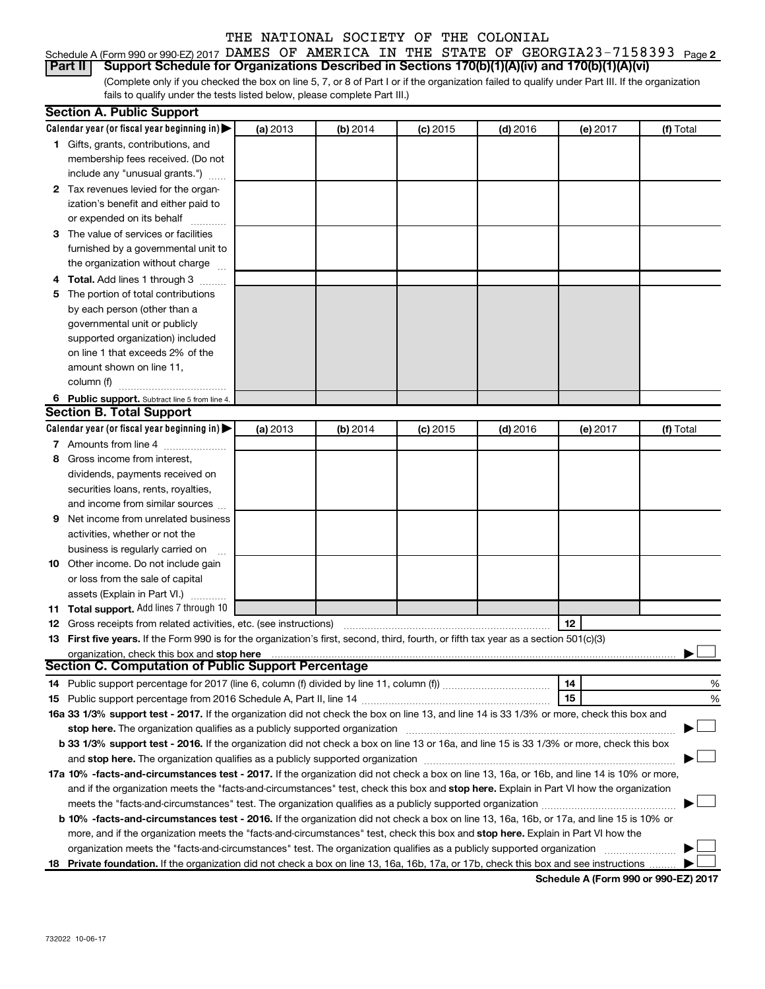|  |  |  |  | Schedule A (Form 990 or 990-EZ) 2017 DAMES OF AMERICA IN THE STATE OF GEORGIA23-7158393 $P_{aqe}$ 2    |  |
|--|--|--|--|--------------------------------------------------------------------------------------------------------|--|
|  |  |  |  | Part II Support Schedule for Organizations Described in Sections 170(b)(1)(A)(iv) and 170(b)(1)(A)(vi) |  |

(Complete only if you checked the box on line 5, 7, or 8 of Part I or if the organization failed to qualify under Part III. If the organization fails to qualify under the tests listed below, please complete Part III.)

|   | <b>Section A. Public Support</b>                                                                                                               |          |          |            |            |          |           |
|---|------------------------------------------------------------------------------------------------------------------------------------------------|----------|----------|------------|------------|----------|-----------|
|   | Calendar year (or fiscal year beginning in) $\blacktriangleright$                                                                              | (a) 2013 | (b) 2014 | $(c)$ 2015 | $(d)$ 2016 | (e) 2017 | (f) Total |
|   | 1 Gifts, grants, contributions, and                                                                                                            |          |          |            |            |          |           |
|   | membership fees received. (Do not                                                                                                              |          |          |            |            |          |           |
|   | include any "unusual grants.")                                                                                                                 |          |          |            |            |          |           |
|   | 2 Tax revenues levied for the organ-                                                                                                           |          |          |            |            |          |           |
|   | ization's benefit and either paid to                                                                                                           |          |          |            |            |          |           |
|   | or expended on its behalf                                                                                                                      |          |          |            |            |          |           |
|   | 3 The value of services or facilities                                                                                                          |          |          |            |            |          |           |
|   | furnished by a governmental unit to                                                                                                            |          |          |            |            |          |           |
|   | the organization without charge                                                                                                                |          |          |            |            |          |           |
|   | 4 Total. Add lines 1 through 3                                                                                                                 |          |          |            |            |          |           |
|   | 5 The portion of total contributions                                                                                                           |          |          |            |            |          |           |
|   | by each person (other than a                                                                                                                   |          |          |            |            |          |           |
|   | governmental unit or publicly                                                                                                                  |          |          |            |            |          |           |
|   | supported organization) included                                                                                                               |          |          |            |            |          |           |
|   | on line 1 that exceeds 2% of the                                                                                                               |          |          |            |            |          |           |
|   | amount shown on line 11,                                                                                                                       |          |          |            |            |          |           |
|   | column (f)                                                                                                                                     |          |          |            |            |          |           |
|   | 6 Public support. Subtract line 5 from line 4.                                                                                                 |          |          |            |            |          |           |
|   | <b>Section B. Total Support</b>                                                                                                                |          |          |            |            |          |           |
|   | Calendar year (or fiscal year beginning in) $\blacktriangleright$                                                                              | (a) 2013 | (b) 2014 | $(c)$ 2015 | $(d)$ 2016 | (e) 2017 | (f) Total |
|   | 7 Amounts from line 4                                                                                                                          |          |          |            |            |          |           |
| 8 | Gross income from interest,                                                                                                                    |          |          |            |            |          |           |
|   | dividends, payments received on                                                                                                                |          |          |            |            |          |           |
|   | securities loans, rents, royalties,                                                                                                            |          |          |            |            |          |           |
|   | and income from similar sources                                                                                                                |          |          |            |            |          |           |
| 9 | Net income from unrelated business                                                                                                             |          |          |            |            |          |           |
|   | activities, whether or not the                                                                                                                 |          |          |            |            |          |           |
|   | business is regularly carried on                                                                                                               |          |          |            |            |          |           |
|   | 10 Other income. Do not include gain                                                                                                           |          |          |            |            |          |           |
|   | or loss from the sale of capital                                                                                                               |          |          |            |            |          |           |
|   | assets (Explain in Part VI.)                                                                                                                   |          |          |            |            |          |           |
|   | 11 Total support. Add lines 7 through 10                                                                                                       |          |          |            |            |          |           |
|   | <b>12</b> Gross receipts from related activities, etc. (see instructions)                                                                      |          |          |            |            | 12       |           |
|   | 13 First five years. If the Form 990 is for the organization's first, second, third, fourth, or fifth tax year as a section 501(c)(3)          |          |          |            |            |          |           |
|   | organization, check this box and stop here                                                                                                     |          |          |            |            |          |           |
|   | <b>Section C. Computation of Public Support Percentage</b>                                                                                     |          |          |            |            |          |           |
|   |                                                                                                                                                |          |          |            |            | 14       | %         |
|   |                                                                                                                                                |          |          |            |            | 15       | %         |
|   | 16a 33 1/3% support test - 2017. If the organization did not check the box on line 13, and line 14 is 33 1/3% or more, check this box and      |          |          |            |            |          |           |
|   |                                                                                                                                                |          |          |            |            |          |           |
|   | b 33 1/3% support test - 2016. If the organization did not check a box on line 13 or 16a, and line 15 is 33 1/3% or more, check this box       |          |          |            |            |          |           |
|   |                                                                                                                                                |          |          |            |            |          |           |
|   | 17a 10% -facts-and-circumstances test - 2017. If the organization did not check a box on line 13, 16a, or 16b, and line 14 is 10% or more,     |          |          |            |            |          |           |
|   | and if the organization meets the "facts-and-circumstances" test, check this box and stop here. Explain in Part VI how the organization        |          |          |            |            |          |           |
|   | meets the "facts-and-circumstances" test. The organization qualifies as a publicly supported organization <i>community content</i>             |          |          |            |            |          |           |
|   | <b>b 10% -facts-and-circumstances test - 2016.</b> If the organization did not check a box on line 13, 16a, 16b, or 17a, and line 15 is 10% or |          |          |            |            |          |           |
|   | more, and if the organization meets the "facts-and-circumstances" test, check this box and stop here. Explain in Part VI how the               |          |          |            |            |          |           |
|   | organization meets the "facts-and-circumstances" test. The organization qualifies as a publicly supported organization                         |          |          |            |            |          |           |
|   | 18 Private foundation. If the organization did not check a box on line 13, 16a, 16b, 17a, or 17b, check this box and see instructions          |          |          |            |            |          |           |

**Schedule A (Form 990 or 990-EZ) 2017**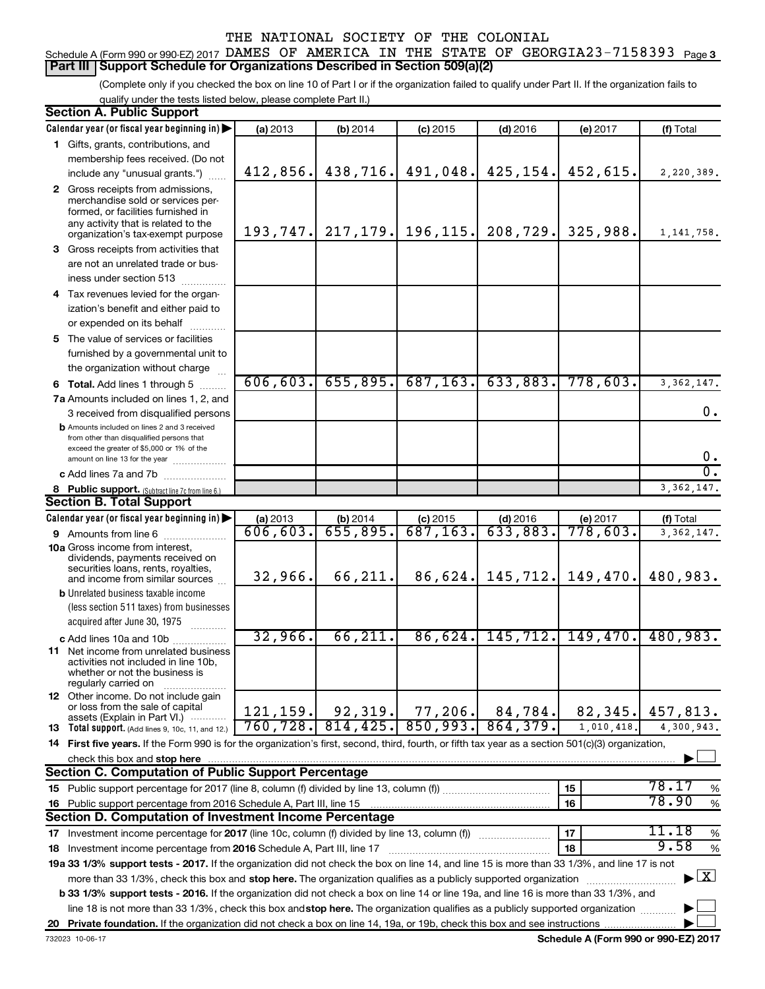#### Schedule A (Form 990 or 990-EZ) 2017 DAMES OF AMERICA IN THE STATE OF GEORGIA23-7158393 <sub>Page 3</sub> **Part III Support Schedule for Organizations Described in Section 509(a)(2)**

(Complete only if you checked the box on line 10 of Part I or if the organization failed to qualify under Part II. If the organization fails to qualify under the tests listed below, please complete Part II.)

| <b>Section A. Public Support</b>                                                                                                                    |                       |                               |                        |                        |                      |                                    |
|-----------------------------------------------------------------------------------------------------------------------------------------------------|-----------------------|-------------------------------|------------------------|------------------------|----------------------|------------------------------------|
| Calendar year (or fiscal year beginning in)                                                                                                         | (a) 2013              | (b) 2014                      | $(c)$ 2015             | $(d)$ 2016             | (e) 2017             | (f) Total                          |
| 1 Gifts, grants, contributions, and                                                                                                                 |                       |                               |                        |                        |                      |                                    |
| membership fees received. (Do not                                                                                                                   |                       |                               |                        |                        |                      |                                    |
| include any "unusual grants.")                                                                                                                      | 412,856.              | 438, 716.                     | 491,048.               | 425,154.               | 452,615.             | 2,220,389.                         |
| 2 Gross receipts from admissions,                                                                                                                   |                       |                               |                        |                        |                      |                                    |
| merchandise sold or services per-                                                                                                                   |                       |                               |                        |                        |                      |                                    |
| formed, or facilities furnished in                                                                                                                  |                       |                               |                        |                        |                      |                                    |
| any activity that is related to the<br>organization's tax-exempt purpose                                                                            |                       | 193, 747. 217, 179. 196, 115. |                        | 208,729.               | 325,988.             | 1, 141, 758.                       |
| 3 Gross receipts from activities that                                                                                                               |                       |                               |                        |                        |                      |                                    |
| are not an unrelated trade or bus-                                                                                                                  |                       |                               |                        |                        |                      |                                    |
| iness under section 513                                                                                                                             |                       |                               |                        |                        |                      |                                    |
| 4 Tax revenues levied for the organ-                                                                                                                |                       |                               |                        |                        |                      |                                    |
| ization's benefit and either paid to                                                                                                                |                       |                               |                        |                        |                      |                                    |
| or expended on its behalf                                                                                                                           |                       |                               |                        |                        |                      |                                    |
| .<br>5 The value of services or facilities                                                                                                          |                       |                               |                        |                        |                      |                                    |
| furnished by a governmental unit to                                                                                                                 |                       |                               |                        |                        |                      |                                    |
| the organization without charge                                                                                                                     |                       |                               |                        |                        |                      |                                    |
|                                                                                                                                                     | 606, 603.             | 655,895.                      | 687, 163.              | 633,883.               | 778,603.             | 3, 362, 147.                       |
| <b>6 Total.</b> Add lines 1 through 5<br>7a Amounts included on lines 1, 2, and                                                                     |                       |                               |                        |                        |                      |                                    |
|                                                                                                                                                     |                       |                               |                        |                        |                      | 0.                                 |
| 3 received from disqualified persons<br><b>b</b> Amounts included on lines 2 and 3 received                                                         |                       |                               |                        |                        |                      |                                    |
| from other than disqualified persons that                                                                                                           |                       |                               |                        |                        |                      |                                    |
| exceed the greater of \$5,000 or 1% of the                                                                                                          |                       |                               |                        |                        |                      | 0.                                 |
| amount on line 13 for the year                                                                                                                      |                       |                               |                        |                        |                      | $\overline{0}$ .                   |
| c Add lines 7a and 7b                                                                                                                               |                       |                               |                        |                        |                      |                                    |
| 8 Public support. (Subtract line 7c from line 6.)<br><b>Section B. Total Support</b>                                                                |                       |                               |                        |                        |                      | 3, 362, 147.                       |
|                                                                                                                                                     |                       |                               |                        |                        |                      |                                    |
| Calendar year (or fiscal year beginning in)                                                                                                         | (a) 2013<br>606, 603. | (b) 2014<br>655,895.          | $(c)$ 2015<br>687,163. | $(d)$ 2016<br>633,883. | (e) 2017<br>778,603. | (f) Total                          |
| <b>9</b> Amounts from line 6<br><b>10a</b> Gross income from interest,                                                                              |                       |                               |                        |                        |                      | 3, 362, 147.                       |
| dividends, payments received on                                                                                                                     |                       |                               |                        |                        |                      |                                    |
| securities loans, rents, royalties,                                                                                                                 |                       | 66,211.                       |                        |                        | 149,470.             |                                    |
| and income from similar sources                                                                                                                     | 32,966.               |                               | 86,624.                | 145,712.               |                      | 480,983.                           |
| <b>b</b> Unrelated business taxable income                                                                                                          |                       |                               |                        |                        |                      |                                    |
| (less section 511 taxes) from businesses                                                                                                            |                       |                               |                        |                        |                      |                                    |
| acquired after June 30, 1975<br>.                                                                                                                   |                       |                               |                        |                        |                      |                                    |
| c Add lines 10a and 10b                                                                                                                             | 32,966.               | 66, 211.                      | 86,624.                | 145, 712.              | 149,470.             | 480,983.                           |
| <b>11</b> Net income from unrelated business<br>activities not included in line 10b,                                                                |                       |                               |                        |                        |                      |                                    |
| whether or not the business is                                                                                                                      |                       |                               |                        |                        |                      |                                    |
| regularly carried on                                                                                                                                |                       |                               |                        |                        |                      |                                    |
| <b>12</b> Other income. Do not include gain<br>or loss from the sale of capital                                                                     |                       |                               |                        |                        |                      |                                    |
| assets (Explain in Part VI.)                                                                                                                        | 121, 159.             | 92, 319.                      | 77, 206.               | 84,784.                | 82,345.              | 457,813.                           |
| <b>13</b> Total support. (Add lines 9, 10c, 11, and 12.)                                                                                            | 760, 728.             | 814, 425.                     | 850,993.               | 864,379.               | 1,010,418.           | 4,300,943.                         |
| 14 First five years. If the Form 990 is for the organization's first, second, third, fourth, or fifth tax year as a section 501(c)(3) organization, |                       |                               |                        |                        |                      |                                    |
| check this box and stop here                                                                                                                        |                       |                               |                        |                        |                      |                                    |
| <b>Section C. Computation of Public Support Percentage</b>                                                                                          |                       |                               |                        |                        |                      |                                    |
|                                                                                                                                                     |                       |                               |                        |                        | 15                   | 78.17<br>%                         |
| 16 Public support percentage from 2016 Schedule A, Part III, line 15                                                                                |                       |                               |                        |                        | 16                   | 78.90<br>$\%$                      |
| Section D. Computation of Investment Income Percentage                                                                                              |                       |                               |                        |                        |                      |                                    |
| 17 Investment income percentage for 2017 (line 10c, column (f) divided by line 13, column (f))                                                      |                       |                               |                        |                        | 17                   | 11.18<br>$\%$                      |
| 18 Investment income percentage from 2016 Schedule A, Part III, line 17                                                                             |                       |                               |                        |                        | 18                   | 9.58<br>%                          |
| 19a 33 1/3% support tests - 2017. If the organization did not check the box on line 14, and line 15 is more than 33 1/3%, and line 17 is not        |                       |                               |                        |                        |                      |                                    |
| more than 33 1/3%, check this box and stop here. The organization qualifies as a publicly supported organization                                    |                       |                               |                        |                        |                      | $\blacktriangleright$ $\mathbf{X}$ |
| b 33 1/3% support tests - 2016. If the organization did not check a box on line 14 or line 19a, and line 16 is more than 33 1/3%, and               |                       |                               |                        |                        |                      |                                    |
| line 18 is not more than 33 1/3%, check this box and stop here. The organization qualifies as a publicly supported organization                     |                       |                               |                        |                        |                      |                                    |
|                                                                                                                                                     |                       |                               |                        |                        |                      |                                    |

**Schedule A (Form 990 or 990-EZ) 2017**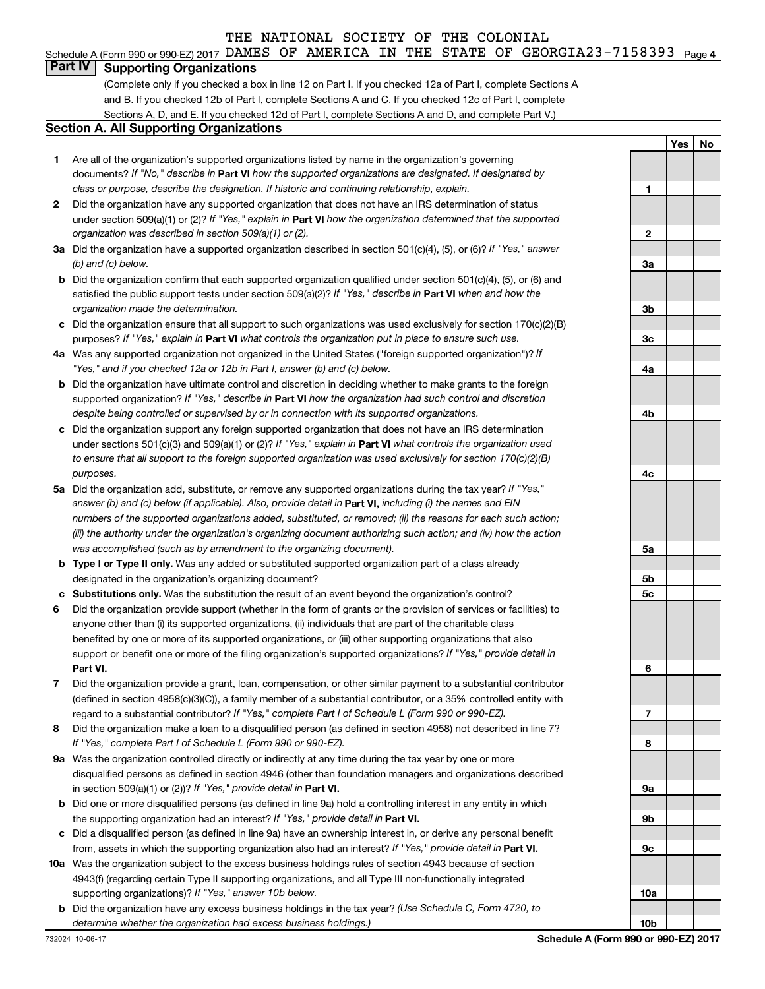#### Schedule A (Form 990 or 990-EZ) 2017 DAMES OF AMERICA IN THE STATE OF GEORGIA23-7158393 Page 4

#### **Part IV Supporting Organizations**

(Complete only if you checked a box in line 12 on Part I. If you checked 12a of Part I, complete Sections A and B. If you checked 12b of Part I, complete Sections A and C. If you checked 12c of Part I, complete Sections A, D, and E. If you checked 12d of Part I, complete Sections A and D, and complete Part V.)

#### **Section A. All Supporting Organizations**

- **1** Are all of the organization's supported organizations listed by name in the organization's governing documents? If "No," describe in Part VI how the supported organizations are designated. If designated by *class or purpose, describe the designation. If historic and continuing relationship, explain.*
- **2** Did the organization have any supported organization that does not have an IRS determination of status under section 509(a)(1) or (2)? If "Yes," explain in Part **VI** how the organization determined that the supported *organization was described in section 509(a)(1) or (2).*
- **3a** Did the organization have a supported organization described in section 501(c)(4), (5), or (6)? If "Yes," answer *(b) and (c) below.*
- **b** Did the organization confirm that each supported organization qualified under section 501(c)(4), (5), or (6) and satisfied the public support tests under section 509(a)(2)? If "Yes," describe in Part VI when and how the *organization made the determination.*
- **c** Did the organization ensure that all support to such organizations was used exclusively for section 170(c)(2)(B) purposes? If "Yes," explain in Part VI what controls the organization put in place to ensure such use.
- **4 a** *If* Was any supported organization not organized in the United States ("foreign supported organization")? *"Yes," and if you checked 12a or 12b in Part I, answer (b) and (c) below.*
- **b** Did the organization have ultimate control and discretion in deciding whether to make grants to the foreign supported organization? If "Yes," describe in Part VI how the organization had such control and discretion *despite being controlled or supervised by or in connection with its supported organizations.*
- **c** Did the organization support any foreign supported organization that does not have an IRS determination under sections 501(c)(3) and 509(a)(1) or (2)? If "Yes," explain in Part VI what controls the organization used *to ensure that all support to the foreign supported organization was used exclusively for section 170(c)(2)(B) purposes.*
- **5a** Did the organization add, substitute, or remove any supported organizations during the tax year? If "Yes," answer (b) and (c) below (if applicable). Also, provide detail in **Part VI,** including (i) the names and EIN *numbers of the supported organizations added, substituted, or removed; (ii) the reasons for each such action; (iii) the authority under the organization's organizing document authorizing such action; and (iv) how the action was accomplished (such as by amendment to the organizing document).*
- **b** Type I or Type II only. Was any added or substituted supported organization part of a class already designated in the organization's organizing document?
- **c Substitutions only.**  Was the substitution the result of an event beyond the organization's control?
- **6** Did the organization provide support (whether in the form of grants or the provision of services or facilities) to **Part VI.** support or benefit one or more of the filing organization's supported organizations? If "Yes," provide detail in anyone other than (i) its supported organizations, (ii) individuals that are part of the charitable class benefited by one or more of its supported organizations, or (iii) other supporting organizations that also
- **7** Did the organization provide a grant, loan, compensation, or other similar payment to a substantial contributor regard to a substantial contributor? If "Yes," complete Part I of Schedule L (Form 990 or 990-EZ). (defined in section 4958(c)(3)(C)), a family member of a substantial contributor, or a 35% controlled entity with
- **8** Did the organization make a loan to a disqualified person (as defined in section 4958) not described in line 7? *If "Yes," complete Part I of Schedule L (Form 990 or 990-EZ).*
- **9 a** Was the organization controlled directly or indirectly at any time during the tax year by one or more in section 509(a)(1) or (2))? If "Yes," provide detail in **Part VI.** disqualified persons as defined in section 4946 (other than foundation managers and organizations described
- **b** Did one or more disqualified persons (as defined in line 9a) hold a controlling interest in any entity in which the supporting organization had an interest? If "Yes," provide detail in Part VI.
- **c** Did a disqualified person (as defined in line 9a) have an ownership interest in, or derive any personal benefit from, assets in which the supporting organization also had an interest? If "Yes," provide detail in Part VI.
- **10 a** Was the organization subject to the excess business holdings rules of section 4943 because of section supporting organizations)? If "Yes," answer 10b below. 4943(f) (regarding certain Type II supporting organizations, and all Type III non-functionally integrated
- **b** Did the organization have any excess business holdings in the tax year? (Use Schedule C, Form 4720, to *determine whether the organization had excess business holdings.)*

**1 2 3a 3b 3c 4a 4b 4c 5a 5b 5c 6 7 8 9a 9b 9c 10a**

**Yes No**

**10b**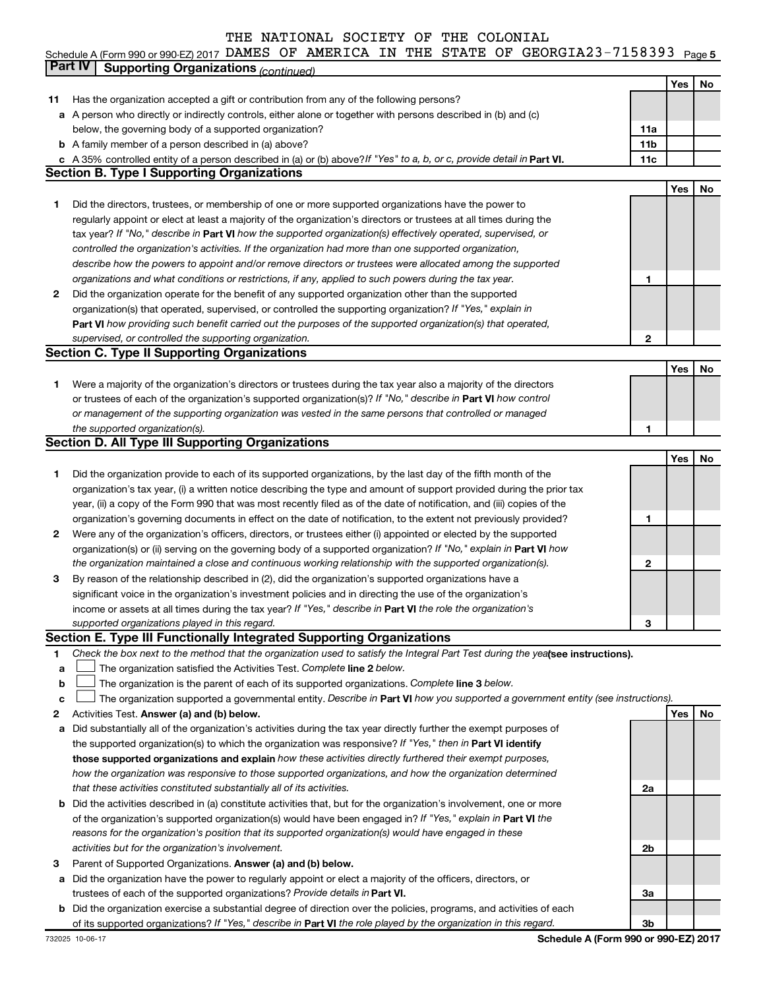#### Schedule A (Form 990 or 990-EZ) 2017 DAMES OF AMERICA IN THE STATE OF GEORGIAZ3-7I58393 Page 5 DAMES OF AMERICA IN THE STATE OF GEORGIA23-7158393

|        | Part IV<br><b>Supporting Organizations (continued)</b>                                                                                                                                                                              |                 |     |    |
|--------|-------------------------------------------------------------------------------------------------------------------------------------------------------------------------------------------------------------------------------------|-----------------|-----|----|
|        |                                                                                                                                                                                                                                     |                 | Yes | No |
| 11     | Has the organization accepted a gift or contribution from any of the following persons?                                                                                                                                             |                 |     |    |
|        | a A person who directly or indirectly controls, either alone or together with persons described in (b) and (c)                                                                                                                      |                 |     |    |
|        | below, the governing body of a supported organization?                                                                                                                                                                              | 11a             |     |    |
|        | <b>b</b> A family member of a person described in (a) above?                                                                                                                                                                        | 11 <sub>b</sub> |     |    |
|        | c A 35% controlled entity of a person described in (a) or (b) above? If "Yes" to a, b, or c, provide detail in Part VI.                                                                                                             | 11c             |     |    |
|        | <b>Section B. Type I Supporting Organizations</b>                                                                                                                                                                                   |                 |     |    |
|        |                                                                                                                                                                                                                                     |                 | Yes | No |
| 1      | Did the directors, trustees, or membership of one or more supported organizations have the power to                                                                                                                                 |                 |     |    |
|        | regularly appoint or elect at least a majority of the organization's directors or trustees at all times during the                                                                                                                  |                 |     |    |
|        | tax year? If "No," describe in Part VI how the supported organization(s) effectively operated, supervised, or                                                                                                                       |                 |     |    |
|        | controlled the organization's activities. If the organization had more than one supported organization,                                                                                                                             |                 |     |    |
|        | describe how the powers to appoint and/or remove directors or trustees were allocated among the supported                                                                                                                           |                 |     |    |
|        | organizations and what conditions or restrictions, if any, applied to such powers during the tax year.                                                                                                                              | 1               |     |    |
| 2      | Did the organization operate for the benefit of any supported organization other than the supported                                                                                                                                 |                 |     |    |
|        | organization(s) that operated, supervised, or controlled the supporting organization? If "Yes," explain in                                                                                                                          |                 |     |    |
|        | Part VI how providing such benefit carried out the purposes of the supported organization(s) that operated,                                                                                                                         |                 |     |    |
|        | supervised, or controlled the supporting organization.                                                                                                                                                                              | $\mathbf{2}$    |     |    |
|        | <b>Section C. Type II Supporting Organizations</b>                                                                                                                                                                                  |                 |     |    |
|        |                                                                                                                                                                                                                                     |                 | Yes | No |
| 1      | Were a majority of the organization's directors or trustees during the tax year also a majority of the directors                                                                                                                    |                 |     |    |
|        | or trustees of each of the organization's supported organization(s)? If "No," describe in Part VI how control                                                                                                                       |                 |     |    |
|        | or management of the supporting organization was vested in the same persons that controlled or managed                                                                                                                              |                 |     |    |
|        | the supported organization(s).                                                                                                                                                                                                      | 1               |     |    |
|        | <b>Section D. All Type III Supporting Organizations</b>                                                                                                                                                                             |                 |     |    |
|        |                                                                                                                                                                                                                                     |                 | Yes | No |
| 1      | Did the organization provide to each of its supported organizations, by the last day of the fifth month of the                                                                                                                      |                 |     |    |
|        | organization's tax year, (i) a written notice describing the type and amount of support provided during the prior tax                                                                                                               |                 |     |    |
|        | year, (ii) a copy of the Form 990 that was most recently filed as of the date of notification, and (iii) copies of the                                                                                                              |                 |     |    |
|        | organization's governing documents in effect on the date of notification, to the extent not previously provided?                                                                                                                    | 1               |     |    |
| 2      |                                                                                                                                                                                                                                     |                 |     |    |
|        | Were any of the organization's officers, directors, or trustees either (i) appointed or elected by the supported                                                                                                                    |                 |     |    |
|        | organization(s) or (ii) serving on the governing body of a supported organization? If "No," explain in Part VI how                                                                                                                  | 2               |     |    |
|        | the organization maintained a close and continuous working relationship with the supported organization(s).                                                                                                                         |                 |     |    |
| 3      | By reason of the relationship described in (2), did the organization's supported organizations have a                                                                                                                               |                 |     |    |
|        | significant voice in the organization's investment policies and in directing the use of the organization's                                                                                                                          |                 |     |    |
|        | income or assets at all times during the tax year? If "Yes," describe in Part VI the role the organization's                                                                                                                        |                 |     |    |
|        | supported organizations played in this regard.<br>Section E. Type III Functionally Integrated Supporting Organizations                                                                                                              | з               |     |    |
| 1      | Check the box next to the method that the organization used to satisfy the Integral Part Test during the yealsee instructions).                                                                                                     |                 |     |    |
|        | The organization satisfied the Activities Test. Complete line 2 below.                                                                                                                                                              |                 |     |    |
| a<br>b | The organization is the parent of each of its supported organizations. Complete line 3 below.                                                                                                                                       |                 |     |    |
| c      | The organization supported a governmental entity. Describe in Part VI how you supported a government entity (see instructions).                                                                                                     |                 |     |    |
| 2      | Activities Test. Answer (a) and (b) below.                                                                                                                                                                                          |                 | Yes | No |
|        | Did substantially all of the organization's activities during the tax year directly further the exempt purposes of                                                                                                                  |                 |     |    |
| а      | the supported organization(s) to which the organization was responsive? If "Yes," then in Part VI identify                                                                                                                          |                 |     |    |
|        | those supported organizations and explain how these activities directly furthered their exempt purposes,                                                                                                                            |                 |     |    |
|        | how the organization was responsive to those supported organizations, and how the organization determined                                                                                                                           |                 |     |    |
|        | that these activities constituted substantially all of its activities.                                                                                                                                                              | 2a              |     |    |
|        |                                                                                                                                                                                                                                     |                 |     |    |
| b      | Did the activities described in (a) constitute activities that, but for the organization's involvement, one or more<br>of the organization's supported organization(s) would have been engaged in? If "Yes," explain in Part VI the |                 |     |    |
|        |                                                                                                                                                                                                                                     |                 |     |    |
|        | reasons for the organization's position that its supported organization(s) would have engaged in these                                                                                                                              |                 |     |    |
| з      | activities but for the organization's involvement.                                                                                                                                                                                  | 2b              |     |    |
|        | Parent of Supported Organizations. Answer (a) and (b) below.<br>Did the organization have the power to regularly appoint or elect a majority of the officers, directors, or                                                         |                 |     |    |
| а      | trustees of each of the supported organizations? Provide details in Part VI.                                                                                                                                                        | За              |     |    |
|        | b Did the organization exercise a substantial degree of direction over the policies, programs, and activities of each                                                                                                               |                 |     |    |
|        | of its supported organizations? If "Yes," describe in Part VI the role played by the organization in this regard.                                                                                                                   | 3b              |     |    |
|        |                                                                                                                                                                                                                                     |                 |     |    |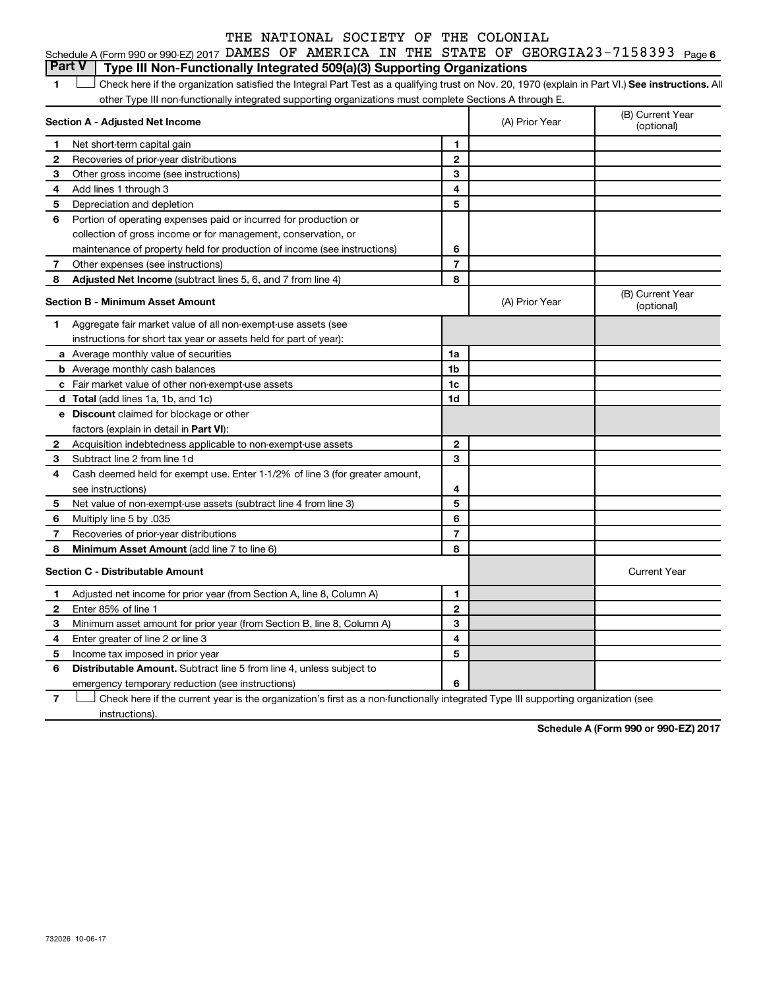|                                                                                       |  |  |  | Schedule A (Form 990 or 990-EZ) 2017 DAMES OF AMERICA IN THE STATE OF GEORGIA23-7158393 Page 6 |  |
|---------------------------------------------------------------------------------------|--|--|--|------------------------------------------------------------------------------------------------|--|
| <b>Part V</b> Type III Non-Functionally Integrated 509(a)(3) Supporting Organizations |  |  |  |                                                                                                |  |

1 **Letter See instructions.** All Check here if the organization satisfied the Integral Part Test as a qualifying trust on Nov. 20, 1970 (explain in Part VI.) See instructions. All other Type III non-functionally integrated supporting organizations must complete Sections A through E.

|              | Section A - Adjusted Net Income                                              |                | (A) Prior Year | (B) Current Year<br>(optional) |
|--------------|------------------------------------------------------------------------------|----------------|----------------|--------------------------------|
| $\mathbf 1$  | Net short-term capital gain                                                  | 1              |                |                                |
| $\mathbf{2}$ | Recoveries of prior-year distributions                                       | $\mathbf{2}$   |                |                                |
| З            | Other gross income (see instructions)                                        | 3              |                |                                |
| 4            | Add lines 1 through 3                                                        | 4              |                |                                |
| 5            | Depreciation and depletion                                                   | 5              |                |                                |
| 6            | Portion of operating expenses paid or incurred for production or             |                |                |                                |
|              | collection of gross income or for management, conservation, or               |                |                |                                |
|              | maintenance of property held for production of income (see instructions)     | 6              |                |                                |
| 7            | Other expenses (see instructions)                                            | $\overline{7}$ |                |                                |
| 8            | Adjusted Net Income (subtract lines 5, 6, and 7 from line 4)                 | 8              |                |                                |
|              | <b>Section B - Minimum Asset Amount</b>                                      |                | (A) Prior Year | (B) Current Year<br>(optional) |
| 1            | Aggregate fair market value of all non-exempt-use assets (see                |                |                |                                |
|              | instructions for short tax year or assets held for part of year):            |                |                |                                |
|              | <b>a</b> Average monthly value of securities                                 | 1a             |                |                                |
|              | <b>b</b> Average monthly cash balances                                       | 1b             |                |                                |
|              | <b>c</b> Fair market value of other non-exempt-use assets                    | 1c             |                |                                |
|              | <b>d</b> Total (add lines 1a, 1b, and 1c)                                    | 1d             |                |                                |
|              | e Discount claimed for blockage or other                                     |                |                |                                |
|              | factors (explain in detail in <b>Part VI</b> ):                              |                |                |                                |
| 2            | Acquisition indebtedness applicable to non-exempt-use assets                 | $\mathbf{2}$   |                |                                |
| 3            | Subtract line 2 from line 1d                                                 | 3              |                |                                |
| 4            | Cash deemed held for exempt use. Enter 1-1/2% of line 3 (for greater amount, |                |                |                                |
|              | see instructions)                                                            | 4              |                |                                |
| 5            | Net value of non-exempt-use assets (subtract line 4 from line 3)             | 5              |                |                                |
| 6            | Multiply line 5 by .035                                                      | 6              |                |                                |
| 7            | Recoveries of prior-year distributions                                       | $\overline{7}$ |                |                                |
| 8            | Minimum Asset Amount (add line 7 to line 6)                                  | 8              |                |                                |
|              | <b>Section C - Distributable Amount</b>                                      |                |                | <b>Current Year</b>            |
| 1            | Adjusted net income for prior year (from Section A, line 8, Column A)        | 1              |                |                                |
| 2            | Enter 85% of line 1                                                          | $\mathbf{2}$   |                |                                |
| 3            | Minimum asset amount for prior year (from Section B, line 8, Column A)       | 3              |                |                                |
| 4            | Enter greater of line 2 or line 3                                            | 4              |                |                                |
| 5            | Income tax imposed in prior year                                             | 5              |                |                                |
| 6            | <b>Distributable Amount.</b> Subtract line 5 from line 4, unless subject to  |                |                |                                |
|              | emergency temporary reduction (see instructions)                             | 6              |                |                                |
|              |                                                                              |                |                |                                |

**7** Let Check here if the current year is the organization's first as a non-functionally integrated Type III supporting organization (see instructions).

**Schedule A (Form 990 or 990-EZ) 2017**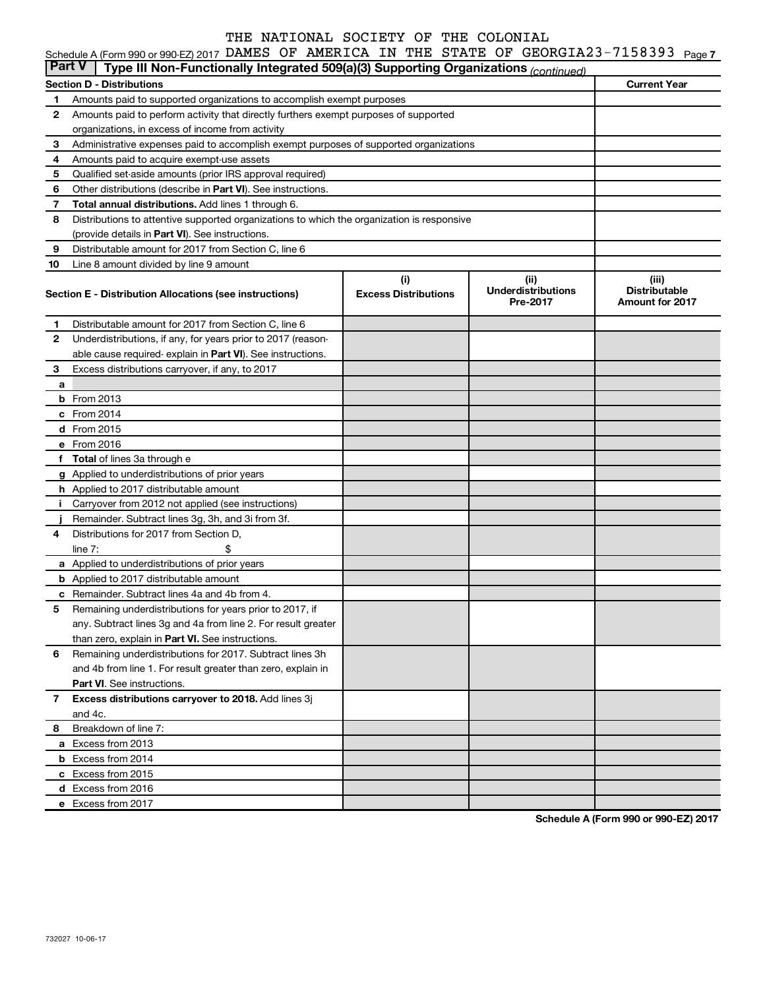### Schedule A (Form 990 or 990-EZ) 2017 DAMES OF AMERICA IN THE STATE OF GEORGIA23-7158393 Page 7

| <b>Part V</b> | Type III Non-Functionally Integrated 509(a)(3) Supporting Organizations (continued)                                       |                                    |                                               |                                                         |
|---------------|---------------------------------------------------------------------------------------------------------------------------|------------------------------------|-----------------------------------------------|---------------------------------------------------------|
|               | <b>Section D - Distributions</b>                                                                                          |                                    |                                               | <b>Current Year</b>                                     |
| 1             | Amounts paid to supported organizations to accomplish exempt purposes                                                     |                                    |                                               |                                                         |
| $\mathbf{2}$  | Amounts paid to perform activity that directly furthers exempt purposes of supported                                      |                                    |                                               |                                                         |
|               | organizations, in excess of income from activity                                                                          |                                    |                                               |                                                         |
| 3             | Administrative expenses paid to accomplish exempt purposes of supported organizations                                     |                                    |                                               |                                                         |
| 4             | Amounts paid to acquire exempt-use assets                                                                                 |                                    |                                               |                                                         |
| 5             | Qualified set-aside amounts (prior IRS approval required)                                                                 |                                    |                                               |                                                         |
| 6             | Other distributions (describe in <b>Part VI</b> ). See instructions.                                                      |                                    |                                               |                                                         |
| 7             | <b>Total annual distributions.</b> Add lines 1 through 6.                                                                 |                                    |                                               |                                                         |
| 8             | Distributions to attentive supported organizations to which the organization is responsive                                |                                    |                                               |                                                         |
|               | (provide details in Part VI). See instructions.                                                                           |                                    |                                               |                                                         |
| 9             | Distributable amount for 2017 from Section C, line 6                                                                      |                                    |                                               |                                                         |
| 10            | Line 8 amount divided by line 9 amount                                                                                    |                                    |                                               |                                                         |
|               | Section E - Distribution Allocations (see instructions)                                                                   | (i)<br><b>Excess Distributions</b> | (ii)<br><b>Underdistributions</b><br>Pre-2017 | (iii)<br><b>Distributable</b><br><b>Amount for 2017</b> |
| 1             | Distributable amount for 2017 from Section C, line 6                                                                      |                                    |                                               |                                                         |
| $\mathbf{2}$  | Underdistributions, if any, for years prior to 2017 (reason-                                                              |                                    |                                               |                                                         |
|               | able cause required- explain in Part VI). See instructions.                                                               |                                    |                                               |                                                         |
| 3             | Excess distributions carryover, if any, to 2017                                                                           |                                    |                                               |                                                         |
| a             |                                                                                                                           |                                    |                                               |                                                         |
|               | <b>b</b> From 2013                                                                                                        |                                    |                                               |                                                         |
|               | c From 2014                                                                                                               |                                    |                                               |                                                         |
|               | d From 2015                                                                                                               |                                    |                                               |                                                         |
|               | e From 2016                                                                                                               |                                    |                                               |                                                         |
|               | f Total of lines 3a through e                                                                                             |                                    |                                               |                                                         |
|               | <b>g</b> Applied to underdistributions of prior years                                                                     |                                    |                                               |                                                         |
|               | h Applied to 2017 distributable amount                                                                                    |                                    |                                               |                                                         |
| Ť.            | Carryover from 2012 not applied (see instructions)                                                                        |                                    |                                               |                                                         |
|               | Remainder. Subtract lines 3g, 3h, and 3i from 3f.                                                                         |                                    |                                               |                                                         |
| 4             | Distributions for 2017 from Section D,                                                                                    |                                    |                                               |                                                         |
|               | line $7:$                                                                                                                 |                                    |                                               |                                                         |
|               | a Applied to underdistributions of prior years                                                                            |                                    |                                               |                                                         |
|               | <b>b</b> Applied to 2017 distributable amount                                                                             |                                    |                                               |                                                         |
| с             | Remainder. Subtract lines 4a and 4b from 4.                                                                               |                                    |                                               |                                                         |
| 5             | Remaining underdistributions for years prior to 2017, if<br>any. Subtract lines 3g and 4a from line 2. For result greater |                                    |                                               |                                                         |
|               | than zero, explain in Part VI. See instructions.                                                                          |                                    |                                               |                                                         |
| 6             | Remaining underdistributions for 2017. Subtract lines 3h                                                                  |                                    |                                               |                                                         |
|               | and 4b from line 1. For result greater than zero, explain in                                                              |                                    |                                               |                                                         |
|               | <b>Part VI.</b> See instructions.                                                                                         |                                    |                                               |                                                         |
| $\mathbf{7}$  | Excess distributions carryover to 2018. Add lines 3j                                                                      |                                    |                                               |                                                         |
|               | and 4c.                                                                                                                   |                                    |                                               |                                                         |
| 8             | Breakdown of line 7:                                                                                                      |                                    |                                               |                                                         |
|               | a Excess from 2013                                                                                                        |                                    |                                               |                                                         |
|               | <b>b</b> Excess from 2014                                                                                                 |                                    |                                               |                                                         |
|               | c Excess from 2015                                                                                                        |                                    |                                               |                                                         |
|               | d Excess from 2016                                                                                                        |                                    |                                               |                                                         |
|               | e Excess from 2017                                                                                                        |                                    |                                               |                                                         |
|               |                                                                                                                           |                                    |                                               |                                                         |

**Schedule A (Form 990 or 990-EZ) 2017**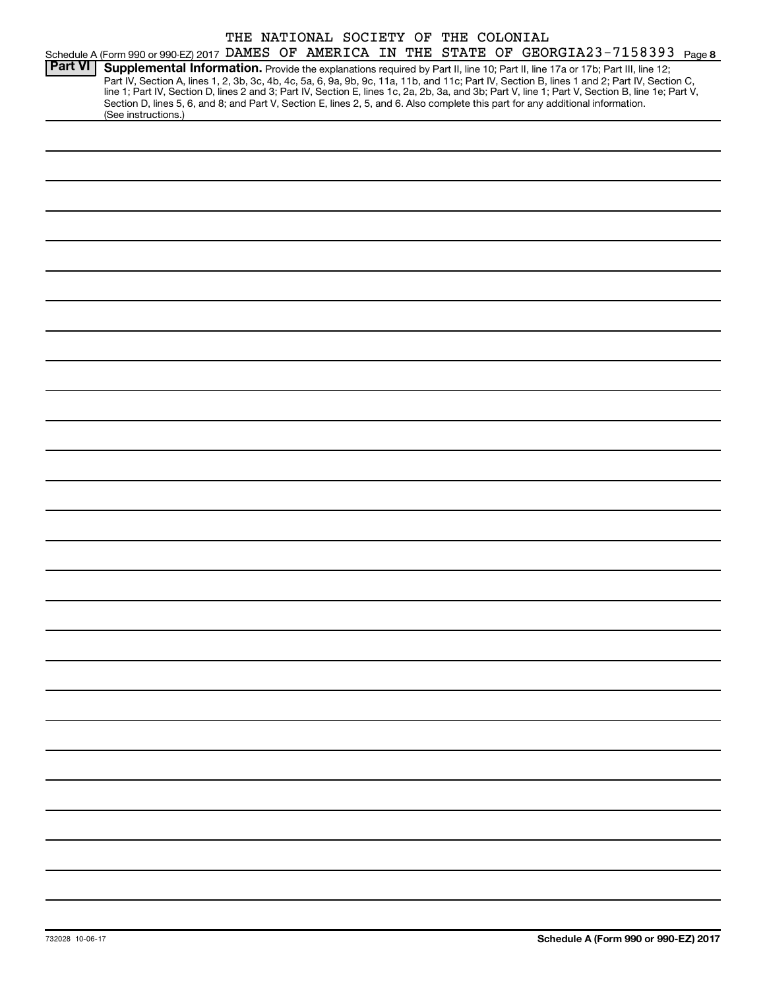|                |                                                                                                                                                                                                                                                                                                                                                                                                                                                                                                                                                                                             |  | THE NATIONAL SOCIETY OF THE COLONIAL |  |  |  |
|----------------|---------------------------------------------------------------------------------------------------------------------------------------------------------------------------------------------------------------------------------------------------------------------------------------------------------------------------------------------------------------------------------------------------------------------------------------------------------------------------------------------------------------------------------------------------------------------------------------------|--|--------------------------------------|--|--|--|
|                | Schedule A (Form 990 or 990-EZ) 2017 DAMES OF AMERICA IN THE STATE OF GEORGIA23-7158393 Page 8                                                                                                                                                                                                                                                                                                                                                                                                                                                                                              |  |                                      |  |  |  |
| <b>Part VI</b> | Supplemental Information. Provide the explanations required by Part II, line 10; Part II, line 17a or 17b; Part III, line 12;<br>Part IV, Section A, lines 1, 2, 3b, 3c, 4b, 4c, 5a, 6, 9a, 9b, 9c, 11a, 11b, and 11c; Part IV, Section B, lines 1 and 2; Part IV, Section C,<br>line 1; Part IV, Section D, lines 2 and 3; Part IV, Section E, lines 1c, 2a, 2b, 3a, and 3b; Part V, line 1; Part V, Section B, line 1e; Part V,<br>Section D, lines 5, 6, and 8; and Part V, Section E, lines 2, 5, and 6. Also complete this part for any additional information.<br>(See instructions.) |  |                                      |  |  |  |
|                |                                                                                                                                                                                                                                                                                                                                                                                                                                                                                                                                                                                             |  |                                      |  |  |  |
|                |                                                                                                                                                                                                                                                                                                                                                                                                                                                                                                                                                                                             |  |                                      |  |  |  |
|                |                                                                                                                                                                                                                                                                                                                                                                                                                                                                                                                                                                                             |  |                                      |  |  |  |
|                |                                                                                                                                                                                                                                                                                                                                                                                                                                                                                                                                                                                             |  |                                      |  |  |  |
|                |                                                                                                                                                                                                                                                                                                                                                                                                                                                                                                                                                                                             |  |                                      |  |  |  |
|                |                                                                                                                                                                                                                                                                                                                                                                                                                                                                                                                                                                                             |  |                                      |  |  |  |
|                |                                                                                                                                                                                                                                                                                                                                                                                                                                                                                                                                                                                             |  |                                      |  |  |  |
|                |                                                                                                                                                                                                                                                                                                                                                                                                                                                                                                                                                                                             |  |                                      |  |  |  |
|                |                                                                                                                                                                                                                                                                                                                                                                                                                                                                                                                                                                                             |  |                                      |  |  |  |
|                |                                                                                                                                                                                                                                                                                                                                                                                                                                                                                                                                                                                             |  |                                      |  |  |  |
|                |                                                                                                                                                                                                                                                                                                                                                                                                                                                                                                                                                                                             |  |                                      |  |  |  |
|                |                                                                                                                                                                                                                                                                                                                                                                                                                                                                                                                                                                                             |  |                                      |  |  |  |
|                |                                                                                                                                                                                                                                                                                                                                                                                                                                                                                                                                                                                             |  |                                      |  |  |  |
|                |                                                                                                                                                                                                                                                                                                                                                                                                                                                                                                                                                                                             |  |                                      |  |  |  |
|                |                                                                                                                                                                                                                                                                                                                                                                                                                                                                                                                                                                                             |  |                                      |  |  |  |
|                |                                                                                                                                                                                                                                                                                                                                                                                                                                                                                                                                                                                             |  |                                      |  |  |  |
|                |                                                                                                                                                                                                                                                                                                                                                                                                                                                                                                                                                                                             |  |                                      |  |  |  |
|                |                                                                                                                                                                                                                                                                                                                                                                                                                                                                                                                                                                                             |  |                                      |  |  |  |
|                |                                                                                                                                                                                                                                                                                                                                                                                                                                                                                                                                                                                             |  |                                      |  |  |  |
|                |                                                                                                                                                                                                                                                                                                                                                                                                                                                                                                                                                                                             |  |                                      |  |  |  |
|                |                                                                                                                                                                                                                                                                                                                                                                                                                                                                                                                                                                                             |  |                                      |  |  |  |
|                |                                                                                                                                                                                                                                                                                                                                                                                                                                                                                                                                                                                             |  |                                      |  |  |  |
|                |                                                                                                                                                                                                                                                                                                                                                                                                                                                                                                                                                                                             |  |                                      |  |  |  |
|                |                                                                                                                                                                                                                                                                                                                                                                                                                                                                                                                                                                                             |  |                                      |  |  |  |
|                |                                                                                                                                                                                                                                                                                                                                                                                                                                                                                                                                                                                             |  |                                      |  |  |  |
|                |                                                                                                                                                                                                                                                                                                                                                                                                                                                                                                                                                                                             |  |                                      |  |  |  |
|                |                                                                                                                                                                                                                                                                                                                                                                                                                                                                                                                                                                                             |  |                                      |  |  |  |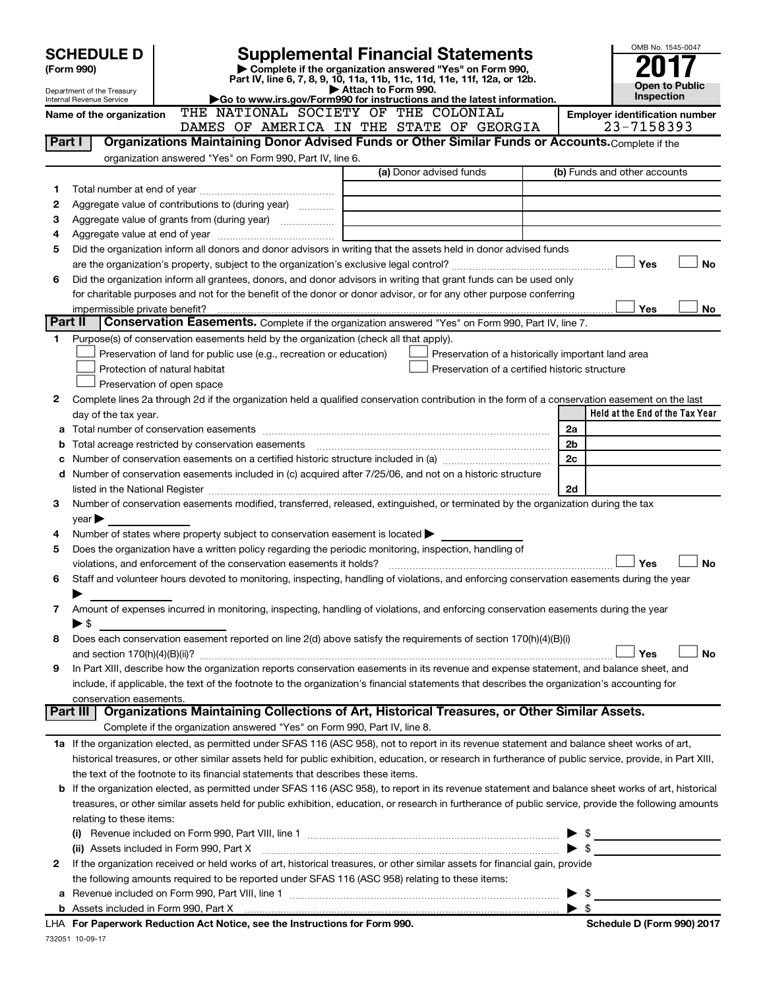|         | <b>SCHEDULE D</b>                                      | <b>Supplemental Financial Statements</b>                                                                                                                  |                     |                                                                                                      |  |                         | OMB No. 1545-0047                     |
|---------|--------------------------------------------------------|-----------------------------------------------------------------------------------------------------------------------------------------------------------|---------------------|------------------------------------------------------------------------------------------------------|--|-------------------------|---------------------------------------|
|         | (Form 990)                                             | Complete if the organization answered "Yes" on Form 990,                                                                                                  |                     |                                                                                                      |  |                         |                                       |
|         |                                                        | Part IV, line 6, 7, 8, 9, 10, 11a, 11b, 11c, 11d, 11e, 11f, 12a, or 12b.                                                                                  |                     |                                                                                                      |  |                         | <b>Open to Public</b>                 |
|         | Department of the Treasury<br>Internal Revenue Service | Go to www.irs.gov/Form990 for instructions and the latest information.                                                                                    | Attach to Form 990. |                                                                                                      |  |                         | <b>Inspection</b>                     |
|         | Name of the organization                               | THE NATIONAL SOCIETY OF THE COLONIAL                                                                                                                      |                     |                                                                                                      |  |                         | <b>Employer identification number</b> |
|         |                                                        | DAMES OF AMERICA IN THE STATE OF GEORGIA                                                                                                                  |                     |                                                                                                      |  |                         | 23-7158393                            |
| Part I  |                                                        | Organizations Maintaining Donor Advised Funds or Other Similar Funds or Accounts. Complete if the                                                         |                     |                                                                                                      |  |                         |                                       |
|         |                                                        | organization answered "Yes" on Form 990, Part IV, line 6.                                                                                                 |                     |                                                                                                      |  |                         |                                       |
|         |                                                        |                                                                                                                                                           |                     | (a) Donor advised funds                                                                              |  |                         | (b) Funds and other accounts          |
| 1       |                                                        |                                                                                                                                                           |                     |                                                                                                      |  |                         |                                       |
| 2       | Aggregate value of contributions to (during year)      |                                                                                                                                                           |                     |                                                                                                      |  |                         |                                       |
| 3       |                                                        |                                                                                                                                                           |                     | the control of the control of the control of the control of the control of                           |  |                         |                                       |
| 4       |                                                        |                                                                                                                                                           |                     |                                                                                                      |  |                         |                                       |
| 5       |                                                        | Did the organization inform all donors and donor advisors in writing that the assets held in donor advised funds                                          |                     |                                                                                                      |  |                         |                                       |
|         |                                                        |                                                                                                                                                           |                     |                                                                                                      |  |                         | <b>No</b><br>Yes                      |
| 6       |                                                        | Did the organization inform all grantees, donors, and donor advisors in writing that grant funds can be used only                                         |                     |                                                                                                      |  |                         |                                       |
|         |                                                        | for charitable purposes and not for the benefit of the donor or donor advisor, or for any other purpose conferring                                        |                     |                                                                                                      |  |                         |                                       |
|         | impermissible private benefit?                         |                                                                                                                                                           |                     |                                                                                                      |  |                         | Yes<br>No                             |
| Part II |                                                        | Conservation Easements. Complete if the organization answered "Yes" on Form 990, Part IV, line 7.                                                         |                     |                                                                                                      |  |                         |                                       |
| 1       |                                                        | Purpose(s) of conservation easements held by the organization (check all that apply).                                                                     |                     |                                                                                                      |  |                         |                                       |
|         |                                                        | Preservation of land for public use (e.g., recreation or education)<br>Protection of natural habitat                                                      |                     | Preservation of a historically important land area<br>Preservation of a certified historic structure |  |                         |                                       |
|         |                                                        | Preservation of open space                                                                                                                                |                     |                                                                                                      |  |                         |                                       |
| 2       |                                                        | Complete lines 2a through 2d if the organization held a qualified conservation contribution in the form of a conservation easement on the last            |                     |                                                                                                      |  |                         |                                       |
|         | day of the tax year.                                   |                                                                                                                                                           |                     |                                                                                                      |  |                         | Held at the End of the Tax Year       |
| a       |                                                        |                                                                                                                                                           |                     |                                                                                                      |  | 2a                      |                                       |
| b       |                                                        |                                                                                                                                                           |                     |                                                                                                      |  | 2b                      |                                       |
|         |                                                        |                                                                                                                                                           |                     |                                                                                                      |  | 2c                      |                                       |
|         |                                                        | d Number of conservation easements included in (c) acquired after 7/25/06, and not on a historic structure                                                |                     |                                                                                                      |  |                         |                                       |
|         |                                                        |                                                                                                                                                           |                     |                                                                                                      |  | 2d                      |                                       |
| 3       |                                                        | Number of conservation easements modified, transferred, released, extinguished, or terminated by the organization during the tax                          |                     |                                                                                                      |  |                         |                                       |
|         | year                                                   |                                                                                                                                                           |                     |                                                                                                      |  |                         |                                       |
| 4       |                                                        | Number of states where property subject to conservation easement is located $\blacktriangleright$                                                         |                     |                                                                                                      |  |                         |                                       |
| 5       |                                                        | Does the organization have a written policy regarding the periodic monitoring, inspection, handling of                                                    |                     |                                                                                                      |  |                         |                                       |
|         |                                                        | violations, and enforcement of the conservation easements it holds?                                                                                       |                     |                                                                                                      |  |                         | <b>No</b><br>Yes                      |
| 6       |                                                        | Staff and volunteer hours devoted to monitoring, inspecting, handling of violations, and enforcing conservation easements during the year                 |                     |                                                                                                      |  |                         |                                       |
|         |                                                        |                                                                                                                                                           |                     |                                                                                                      |  |                         |                                       |
| 7       |                                                        | Amount of expenses incurred in monitoring, inspecting, handling of violations, and enforcing conservation easements during the year                       |                     |                                                                                                      |  |                         |                                       |
|         | ▶ \$                                                   |                                                                                                                                                           |                     |                                                                                                      |  |                         |                                       |
| 8       |                                                        | Does each conservation easement reported on line 2(d) above satisfy the requirements of section 170(h)(4)(B)(i)                                           |                     |                                                                                                      |  |                         |                                       |
|         |                                                        |                                                                                                                                                           |                     |                                                                                                      |  |                         | Yes<br>No                             |
| 9       |                                                        | In Part XIII, describe how the organization reports conservation easements in its revenue and expense statement, and balance sheet, and                   |                     |                                                                                                      |  |                         |                                       |
|         | conservation easements.                                | include, if applicable, the text of the footnote to the organization's financial statements that describes the organization's accounting for              |                     |                                                                                                      |  |                         |                                       |
|         | Part III                                               | Organizations Maintaining Collections of Art, Historical Treasures, or Other Similar Assets.                                                              |                     |                                                                                                      |  |                         |                                       |
|         |                                                        | Complete if the organization answered "Yes" on Form 990, Part IV, line 8.                                                                                 |                     |                                                                                                      |  |                         |                                       |
|         |                                                        | 1a If the organization elected, as permitted under SFAS 116 (ASC 958), not to report in its revenue statement and balance sheet works of art,             |                     |                                                                                                      |  |                         |                                       |
|         |                                                        | historical treasures, or other similar assets held for public exhibition, education, or research in furtherance of public service, provide, in Part XIII, |                     |                                                                                                      |  |                         |                                       |
|         |                                                        | the text of the footnote to its financial statements that describes these items.                                                                          |                     |                                                                                                      |  |                         |                                       |
| b       |                                                        | If the organization elected, as permitted under SFAS 116 (ASC 958), to report in its revenue statement and balance sheet works of art, historical         |                     |                                                                                                      |  |                         |                                       |
|         |                                                        | treasures, or other similar assets held for public exhibition, education, or research in furtherance of public service, provide the following amounts     |                     |                                                                                                      |  |                         |                                       |
|         | relating to these items:                               |                                                                                                                                                           |                     |                                                                                                      |  |                         |                                       |
|         |                                                        |                                                                                                                                                           |                     |                                                                                                      |  |                         | $\frac{1}{2}$                         |
|         |                                                        | (ii) Assets included in Form 990, Part X                                                                                                                  |                     |                                                                                                      |  |                         |                                       |
| 2       |                                                        | If the organization received or held works of art, historical treasures, or other similar assets for financial gain, provide                              |                     |                                                                                                      |  |                         |                                       |
|         |                                                        | the following amounts required to be reported under SFAS 116 (ASC 958) relating to these items:                                                           |                     |                                                                                                      |  |                         |                                       |
| а       |                                                        |                                                                                                                                                           |                     |                                                                                                      |  |                         | $\frac{1}{2}$                         |
|         |                                                        |                                                                                                                                                           |                     |                                                                                                      |  | $\blacktriangleright$ s |                                       |

732051 10-09-17 **For Paperwork Reduction Act Notice, see the Instructions for Form 990. Schedule D (Form 990) 2017** LHA

| Schedule D (Form 990) 2017 |  |
|----------------------------|--|
|                            |  |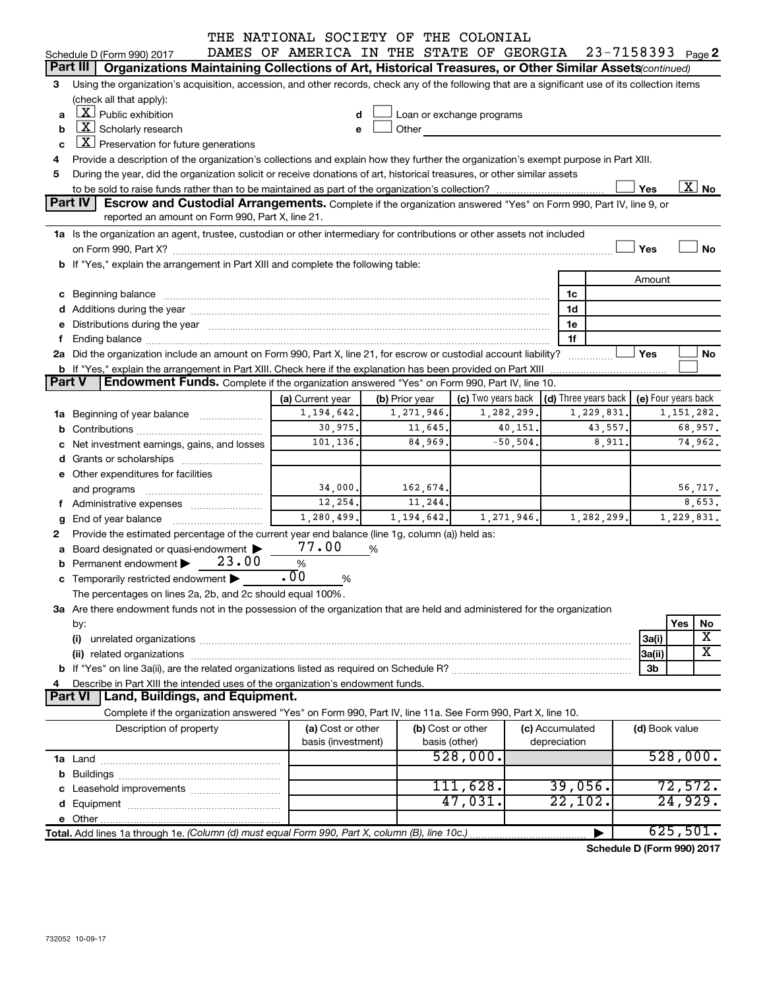|        |                |                                                                                                                                                                                                                                |       | THE NATIONAL SOCIETY OF THE COLONIAL                      |                    |   |                           |                   |             |                 |                                                         |                |                             |
|--------|----------------|--------------------------------------------------------------------------------------------------------------------------------------------------------------------------------------------------------------------------------|-------|-----------------------------------------------------------|--------------------|---|---------------------------|-------------------|-------------|-----------------|---------------------------------------------------------|----------------|-----------------------------|
|        |                | Schedule D (Form 990) 2017                                                                                                                                                                                                     |       | DAMES OF AMERICA IN THE STATE OF GEORGIA 23-7158393 Page2 |                    |   |                           |                   |             |                 |                                                         |                |                             |
|        | Part III       | Organizations Maintaining Collections of Art, Historical Treasures, or Other Similar Assets(continued)                                                                                                                         |       |                                                           |                    |   |                           |                   |             |                 |                                                         |                |                             |
| 3      |                | Using the organization's acquisition, accession, and other records, check any of the following that are a significant use of its collection items                                                                              |       |                                                           |                    |   |                           |                   |             |                 |                                                         |                |                             |
|        |                | (check all that apply):                                                                                                                                                                                                        |       |                                                           |                    |   |                           |                   |             |                 |                                                         |                |                             |
| a      |                | $X$ Public exhibition                                                                                                                                                                                                          |       |                                                           | d                  |   | Loan or exchange programs |                   |             |                 |                                                         |                |                             |
| b      |                | $\boxed{\textbf{X}}$ Scholarly research                                                                                                                                                                                        |       |                                                           | e                  |   | Other                     |                   |             |                 |                                                         |                |                             |
| c      |                | $X$ Preservation for future generations                                                                                                                                                                                        |       |                                                           |                    |   |                           |                   |             |                 |                                                         |                |                             |
| 4      |                | Provide a description of the organization's collections and explain how they further the organization's exempt purpose in Part XIII.                                                                                           |       |                                                           |                    |   |                           |                   |             |                 |                                                         |                |                             |
| 5      |                | During the year, did the organization solicit or receive donations of art, historical treasures, or other similar assets                                                                                                       |       |                                                           |                    |   |                           |                   |             |                 |                                                         |                |                             |
|        |                |                                                                                                                                                                                                                                |       |                                                           |                    |   |                           |                   |             |                 |                                                         | Yes            | $\overline{\text{X}}$ No    |
|        | Part IV        | Escrow and Custodial Arrangements. Complete if the organization answered "Yes" on Form 990, Part IV, line 9, or                                                                                                                |       |                                                           |                    |   |                           |                   |             |                 |                                                         |                |                             |
|        |                | reported an amount on Form 990, Part X, line 21.                                                                                                                                                                               |       |                                                           |                    |   |                           |                   |             |                 |                                                         |                |                             |
|        |                | 1a Is the organization an agent, trustee, custodian or other intermediary for contributions or other assets not included                                                                                                       |       |                                                           |                    |   |                           |                   |             |                 |                                                         |                |                             |
|        |                |                                                                                                                                                                                                                                |       |                                                           |                    |   |                           |                   |             |                 |                                                         | Yes            | <b>No</b>                   |
|        |                | b If "Yes," explain the arrangement in Part XIII and complete the following table:                                                                                                                                             |       |                                                           |                    |   |                           |                   |             |                 |                                                         |                |                             |
|        |                |                                                                                                                                                                                                                                |       |                                                           |                    |   |                           |                   |             |                 |                                                         | Amount         |                             |
|        |                |                                                                                                                                                                                                                                |       |                                                           |                    |   |                           |                   |             |                 | 1c                                                      |                |                             |
|        |                |                                                                                                                                                                                                                                |       |                                                           |                    |   |                           |                   |             |                 | 1d                                                      |                |                             |
|        |                | e Distributions during the year manufactured and an intervention of the year manufactured by the state of the state of the state of the state of the state of the state of the state of the state of the state of the state of |       |                                                           |                    |   |                           |                   |             |                 | 1е                                                      |                |                             |
|        |                |                                                                                                                                                                                                                                |       |                                                           |                    |   |                           |                   |             |                 | 1f                                                      |                |                             |
|        |                | 2a Did the organization include an amount on Form 990, Part X, line 21, for escrow or custodial account liability?                                                                                                             |       |                                                           |                    |   |                           |                   |             |                 |                                                         | Yes            | No                          |
| Part V |                | <b>b</b> If "Yes," explain the arrangement in Part XIII. Check here if the explanation has been provided on Part XIII<br>Endowment Funds. Complete if the organization answered "Yes" on Form 990, Part IV, line 10.           |       |                                                           |                    |   |                           |                   |             |                 |                                                         |                |                             |
|        |                |                                                                                                                                                                                                                                |       | (a) Current year                                          |                    |   | (b) Prior year            |                   |             |                 | (c) Two years back $\vert$ (d) Three years back $\vert$ |                | (e) Four years back         |
|        |                | 1a Beginning of year balance                                                                                                                                                                                                   |       |                                                           | 1, 194, 642.       |   | 1, 271, 946.              |                   | 1,282,299.  |                 | 1,229,831.                                              |                | 1, 151, 282.                |
|        |                |                                                                                                                                                                                                                                |       |                                                           | 30,975.            |   | 11,645.                   |                   | 40,151.     |                 | 43,557.                                                 |                | 68,957.                     |
|        |                |                                                                                                                                                                                                                                |       |                                                           | 101,136.           |   | 84,969.                   |                   | $-50, 504.$ |                 | 8,911.                                                  |                | 74,962.                     |
|        |                | Net investment earnings, gains, and losses                                                                                                                                                                                     |       |                                                           |                    |   |                           |                   |             |                 |                                                         |                |                             |
|        |                |                                                                                                                                                                                                                                |       |                                                           |                    |   |                           |                   |             |                 |                                                         |                |                             |
|        |                | e Other expenditures for facilities                                                                                                                                                                                            |       |                                                           | 34,000.            |   | 162, 674.                 |                   |             |                 |                                                         |                | 56,717.                     |
|        |                | f Administrative expenses                                                                                                                                                                                                      |       |                                                           | 12,254.            |   | 11, 244.                  |                   |             |                 |                                                         |                | 8,653.                      |
|        |                |                                                                                                                                                                                                                                |       |                                                           | 1,280,499.         |   | 1, 194, 642.              |                   | 1,271,946.  |                 | 1,282,299.                                              |                | 1,229,831.                  |
| g<br>2 |                | Provide the estimated percentage of the current year end balance (line 1g, column (a)) held as:                                                                                                                                |       |                                                           |                    |   |                           |                   |             |                 |                                                         |                |                             |
| a      |                | Board designated or quasi-endowment                                                                                                                                                                                            |       | 77.00                                                     |                    | % |                           |                   |             |                 |                                                         |                |                             |
|        |                | Permanent endowment                                                                                                                                                                                                            | 23.00 | $\%$                                                      |                    |   |                           |                   |             |                 |                                                         |                |                             |
|        |                | c Temporarily restricted endowment $\blacktriangleright$                                                                                                                                                                       |       | $\overline{00}$                                           | %                  |   |                           |                   |             |                 |                                                         |                |                             |
|        |                | The percentages on lines 2a, 2b, and 2c should equal 100%.                                                                                                                                                                     |       |                                                           |                    |   |                           |                   |             |                 |                                                         |                |                             |
|        |                | 3a Are there endowment funds not in the possession of the organization that are held and administered for the organization                                                                                                     |       |                                                           |                    |   |                           |                   |             |                 |                                                         |                |                             |
|        | by:            |                                                                                                                                                                                                                                |       |                                                           |                    |   |                           |                   |             |                 |                                                         |                | Yes<br>No                   |
|        | (i)            |                                                                                                                                                                                                                                |       |                                                           |                    |   |                           |                   |             |                 |                                                         | 3a(i)          | Χ                           |
|        |                |                                                                                                                                                                                                                                |       |                                                           |                    |   |                           |                   |             |                 |                                                         | 3a(ii)         | $\overline{\textbf{x}}$     |
|        |                |                                                                                                                                                                                                                                |       |                                                           |                    |   |                           |                   |             |                 |                                                         | 3b             |                             |
| 4      |                | Describe in Part XIII the intended uses of the organization's endowment funds.                                                                                                                                                 |       |                                                           |                    |   |                           |                   |             |                 |                                                         |                |                             |
|        | <b>Part VI</b> | Land, Buildings, and Equipment.                                                                                                                                                                                                |       |                                                           |                    |   |                           |                   |             |                 |                                                         |                |                             |
|        |                | Complete if the organization answered "Yes" on Form 990, Part IV, line 11a. See Form 990, Part X, line 10.                                                                                                                     |       |                                                           |                    |   |                           |                   |             |                 |                                                         |                |                             |
|        |                | Description of property                                                                                                                                                                                                        |       |                                                           | (a) Cost or other  |   |                           | (b) Cost or other |             | (c) Accumulated |                                                         | (d) Book value |                             |
|        |                |                                                                                                                                                                                                                                |       |                                                           | basis (investment) |   |                           | basis (other)     |             | depreciation    |                                                         |                |                             |
|        |                |                                                                                                                                                                                                                                |       |                                                           |                    |   |                           | 528,000.          |             |                 |                                                         |                | 528,000.                    |
| b      |                |                                                                                                                                                                                                                                |       |                                                           |                    |   |                           |                   |             |                 |                                                         |                |                             |
|        |                | Leasehold improvements                                                                                                                                                                                                         |       |                                                           |                    |   |                           | 111,628.          |             |                 | 39,056.                                                 |                | 72,572.                     |
|        |                |                                                                                                                                                                                                                                |       |                                                           |                    |   |                           | 47,031.           |             |                 | 22,102.                                                 |                | 24,929.                     |
|        |                |                                                                                                                                                                                                                                |       |                                                           |                    |   |                           |                   |             |                 |                                                         |                |                             |
|        |                | Total. Add lines 1a through 1e. (Column (d) must equal Form 990, Part X, column (B), line 10c.)                                                                                                                                |       |                                                           |                    |   |                           |                   |             |                 |                                                         |                | 625,501.                    |
|        |                |                                                                                                                                                                                                                                |       |                                                           |                    |   |                           |                   |             |                 |                                                         |                | <b>D.</b> (Fause, 000).0047 |

**Schedule D (Form 990) 2017**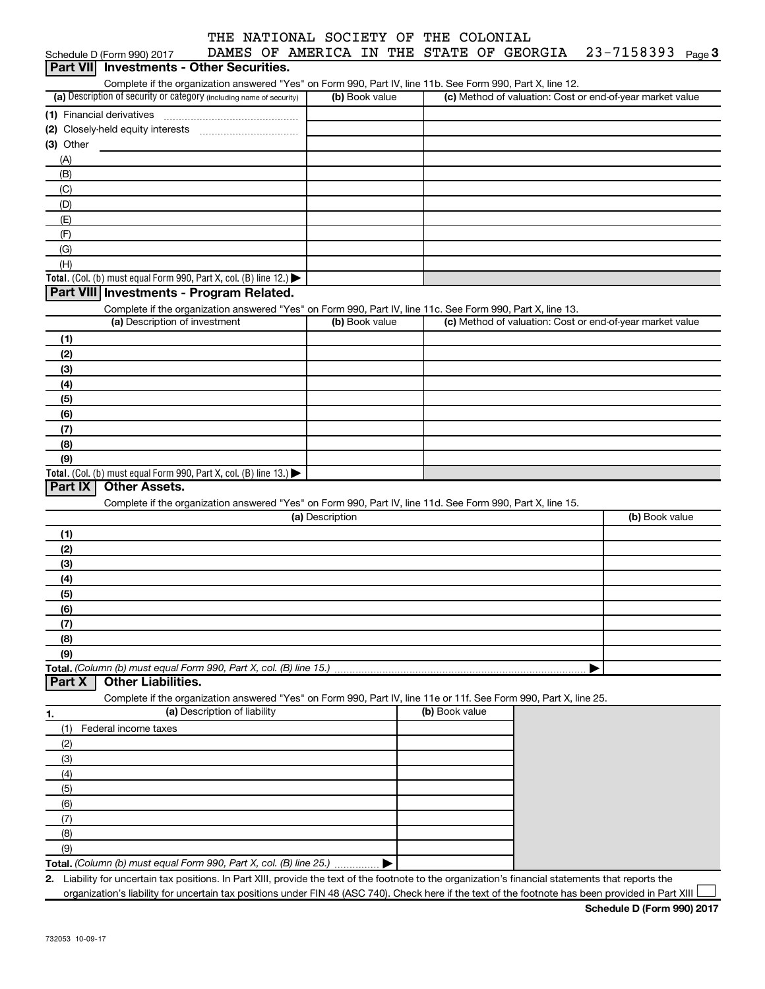| THE NATIONAL SOCIETY OF THE COLONIAL |  |  |
|--------------------------------------|--|--|
|                                      |  |  |

|            | Schedule D (Form 990) 2017                                                                                        |                              |                 |                |                | DAMES OF AMERICA IN THE STATE OF GEORGIA | $23 - 7158393$ Page 3                                                                                                                              |  |
|------------|-------------------------------------------------------------------------------------------------------------------|------------------------------|-----------------|----------------|----------------|------------------------------------------|----------------------------------------------------------------------------------------------------------------------------------------------------|--|
| Part VII   | <b>Investments - Other Securities.</b>                                                                            |                              |                 |                |                |                                          |                                                                                                                                                    |  |
|            | Complete if the organization answered "Yes" on Form 990, Part IV, line 11b. See Form 990, Part X, line 12.        |                              |                 |                |                |                                          |                                                                                                                                                    |  |
|            | (a) Description of security or category (including name of security)                                              |                              |                 | (b) Book value |                |                                          | (c) Method of valuation: Cost or end-of-year market value                                                                                          |  |
|            | (1) Financial derivatives                                                                                         |                              |                 |                |                |                                          |                                                                                                                                                    |  |
|            |                                                                                                                   |                              |                 |                |                |                                          |                                                                                                                                                    |  |
| (3) Other  |                                                                                                                   |                              |                 |                |                |                                          |                                                                                                                                                    |  |
| (A)        |                                                                                                                   |                              |                 |                |                |                                          |                                                                                                                                                    |  |
| (B)        |                                                                                                                   |                              |                 |                |                |                                          |                                                                                                                                                    |  |
| (C)<br>(D) |                                                                                                                   |                              |                 |                |                |                                          |                                                                                                                                                    |  |
| (E)        |                                                                                                                   |                              |                 |                |                |                                          |                                                                                                                                                    |  |
| (F)        |                                                                                                                   |                              |                 |                |                |                                          |                                                                                                                                                    |  |
| (G)        |                                                                                                                   |                              |                 |                |                |                                          |                                                                                                                                                    |  |
| (H)        |                                                                                                                   |                              |                 |                |                |                                          |                                                                                                                                                    |  |
|            | Total. (Col. (b) must equal Form 990, Part X, col. (B) line 12.) $\blacktriangleright$                            |                              |                 |                |                |                                          |                                                                                                                                                    |  |
|            | Part VIII Investments - Program Related.                                                                          |                              |                 |                |                |                                          |                                                                                                                                                    |  |
|            | Complete if the organization answered "Yes" on Form 990, Part IV, line 11c. See Form 990, Part X, line 13.        |                              |                 |                |                |                                          |                                                                                                                                                    |  |
|            | (a) Description of investment                                                                                     |                              |                 | (b) Book value |                |                                          | (c) Method of valuation: Cost or end-of-year market value                                                                                          |  |
| (1)        |                                                                                                                   |                              |                 |                |                |                                          |                                                                                                                                                    |  |
| (2)        |                                                                                                                   |                              |                 |                |                |                                          |                                                                                                                                                    |  |
| (3)        |                                                                                                                   |                              |                 |                |                |                                          |                                                                                                                                                    |  |
| (4)        |                                                                                                                   |                              |                 |                |                |                                          |                                                                                                                                                    |  |
| (5)        |                                                                                                                   |                              |                 |                |                |                                          |                                                                                                                                                    |  |
| (6)        |                                                                                                                   |                              |                 |                |                |                                          |                                                                                                                                                    |  |
| (7)        |                                                                                                                   |                              |                 |                |                |                                          |                                                                                                                                                    |  |
| (8)        |                                                                                                                   |                              |                 |                |                |                                          |                                                                                                                                                    |  |
| (9)        | Total. (Col. (b) must equal Form 990, Part X, col. (B) line 13.) $\blacktriangleright$                            |                              |                 |                |                |                                          |                                                                                                                                                    |  |
| Part IX    | <b>Other Assets.</b>                                                                                              |                              |                 |                |                |                                          |                                                                                                                                                    |  |
|            | Complete if the organization answered "Yes" on Form 990, Part IV, line 11d. See Form 990, Part X, line 15.        |                              |                 |                |                |                                          |                                                                                                                                                    |  |
|            |                                                                                                                   |                              | (a) Description |                |                |                                          | (b) Book value                                                                                                                                     |  |
| (1)        |                                                                                                                   |                              |                 |                |                |                                          |                                                                                                                                                    |  |
| (2)        |                                                                                                                   |                              |                 |                |                |                                          |                                                                                                                                                    |  |
| (3)        |                                                                                                                   |                              |                 |                |                |                                          |                                                                                                                                                    |  |
| (4)        |                                                                                                                   |                              |                 |                |                |                                          |                                                                                                                                                    |  |
| (5)        |                                                                                                                   |                              |                 |                |                |                                          |                                                                                                                                                    |  |
| (6)        |                                                                                                                   |                              |                 |                |                |                                          |                                                                                                                                                    |  |
| (7)        |                                                                                                                   |                              |                 |                |                |                                          |                                                                                                                                                    |  |
| (8)        |                                                                                                                   |                              |                 |                |                |                                          |                                                                                                                                                    |  |
| (9)        |                                                                                                                   |                              |                 |                |                |                                          |                                                                                                                                                    |  |
|            | Total. (Column (b) must equal Form 990, Part X, col. (B) line 15.)                                                |                              |                 |                |                |                                          |                                                                                                                                                    |  |
| Part X     | <b>Other Liabilities.</b>                                                                                         |                              |                 |                |                |                                          |                                                                                                                                                    |  |
|            | Complete if the organization answered "Yes" on Form 990, Part IV, line 11e or 11f. See Form 990, Part X, line 25. | (a) Description of liability |                 |                | (b) Book value |                                          |                                                                                                                                                    |  |
| 1.         |                                                                                                                   |                              |                 |                |                |                                          |                                                                                                                                                    |  |
| (1)        | Federal income taxes                                                                                              |                              |                 |                |                |                                          |                                                                                                                                                    |  |
| (2)<br>(3) |                                                                                                                   |                              |                 |                |                |                                          |                                                                                                                                                    |  |
| (4)        |                                                                                                                   |                              |                 |                |                |                                          |                                                                                                                                                    |  |
| (5)        |                                                                                                                   |                              |                 |                |                |                                          |                                                                                                                                                    |  |
| (6)        |                                                                                                                   |                              |                 |                |                |                                          |                                                                                                                                                    |  |
| (7)        |                                                                                                                   |                              |                 |                |                |                                          |                                                                                                                                                    |  |
| (8)        |                                                                                                                   |                              |                 |                |                |                                          |                                                                                                                                                    |  |
| (9)        |                                                                                                                   |                              |                 |                |                |                                          |                                                                                                                                                    |  |
|            | Total. (Column (b) must equal Form 990, Part X, col. (B) line 25.)                                                |                              |                 |                |                |                                          |                                                                                                                                                    |  |
| 2.         |                                                                                                                   |                              |                 |                |                |                                          | Liability for uncertain tax positions. In Part XIII, provide the text of the footnote to the organization's financial statements that reports the  |  |
|            |                                                                                                                   |                              |                 |                |                |                                          | organization's liability for uncertain tax positions under FIN 48 (ASC 740). Check here if the text of the footnote has been provided in Part XIII |  |

**Schedule D (Form 990) 2017**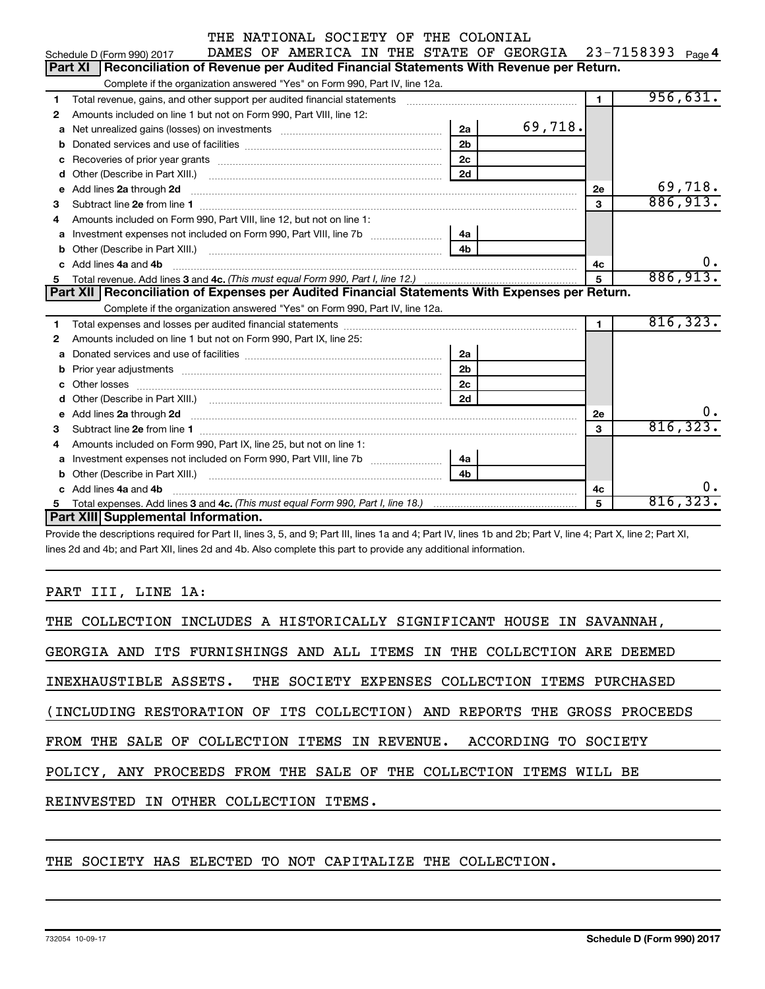|    | DAMES OF AMERICA IN THE STATE OF GEORGIA<br>Schedule D (Form 990) 2017                                                                                                                                                                          |                | 23-7158393 Page 4 |  |  |  |  |  |  |  |  |  |  |  |
|----|-------------------------------------------------------------------------------------------------------------------------------------------------------------------------------------------------------------------------------------------------|----------------|-------------------|--|--|--|--|--|--|--|--|--|--|--|
|    | Part XI   Reconciliation of Revenue per Audited Financial Statements With Revenue per Return.                                                                                                                                                   |                |                   |  |  |  |  |  |  |  |  |  |  |  |
|    | Complete if the organization answered "Yes" on Form 990, Part IV, line 12a.                                                                                                                                                                     |                |                   |  |  |  |  |  |  |  |  |  |  |  |
| 1  | Total revenue, gains, and other support per audited financial statements [[[[[[[[[[[[[[[[[[[[[[[[[]]]]]]]]]]]                                                                                                                                   | $\blacksquare$ | 956,631.          |  |  |  |  |  |  |  |  |  |  |  |
| 2  | Amounts included on line 1 but not on Form 990, Part VIII, line 12:                                                                                                                                                                             |                |                   |  |  |  |  |  |  |  |  |  |  |  |
| a  | 69,718.<br>2a<br>Net unrealized gains (losses) on investments [111] [12] matter and all the unrealized gains (losses) on investments [11] matter and the unrealized gains (losses) on investments [11] matter and the unrealized gains (losses) |                |                   |  |  |  |  |  |  |  |  |  |  |  |
| b  | 2 <sub>b</sub>                                                                                                                                                                                                                                  |                |                   |  |  |  |  |  |  |  |  |  |  |  |
|    | 2c<br>Recoveries of prior year grants [111] matter contracts and prior year grants [11] matter contracts and a recovering to the contract of the contracts of prior year grants [11] matter contracts and a recovering to the contra            |                |                   |  |  |  |  |  |  |  |  |  |  |  |
| d  | 2d                                                                                                                                                                                                                                              |                |                   |  |  |  |  |  |  |  |  |  |  |  |
| е  | Add lines 2a through 2d <b>continuum continuum contract and continuum contract a</b> through 2d continuum contract and continuum contract a term of the contract of the contract of the contract of the contract of the contract of             | 2e             | 69,718.           |  |  |  |  |  |  |  |  |  |  |  |
| 3  |                                                                                                                                                                                                                                                 | 3              | 886,913.          |  |  |  |  |  |  |  |  |  |  |  |
| 4  | Amounts included on Form 990, Part VIII, line 12, but not on line 1:                                                                                                                                                                            |                |                   |  |  |  |  |  |  |  |  |  |  |  |
| a  | 4a                                                                                                                                                                                                                                              |                |                   |  |  |  |  |  |  |  |  |  |  |  |
| b  | 4 <sub>h</sub>                                                                                                                                                                                                                                  |                |                   |  |  |  |  |  |  |  |  |  |  |  |
| C. | Add lines 4a and 4b                                                                                                                                                                                                                             | 4c             | υ.                |  |  |  |  |  |  |  |  |  |  |  |
| 5  |                                                                                                                                                                                                                                                 | 5              | 886,913.          |  |  |  |  |  |  |  |  |  |  |  |
|    | Part XII Reconciliation of Expenses per Audited Financial Statements With Expenses per Return.                                                                                                                                                  |                |                   |  |  |  |  |  |  |  |  |  |  |  |
|    |                                                                                                                                                                                                                                                 |                |                   |  |  |  |  |  |  |  |  |  |  |  |
|    | Complete if the organization answered "Yes" on Form 990, Part IV, line 12a.                                                                                                                                                                     |                |                   |  |  |  |  |  |  |  |  |  |  |  |
| 1  |                                                                                                                                                                                                                                                 | $\mathbf{1}$   | 816, 323.         |  |  |  |  |  |  |  |  |  |  |  |
| 2  | Amounts included on line 1 but not on Form 990, Part IX, line 25:                                                                                                                                                                               |                |                   |  |  |  |  |  |  |  |  |  |  |  |
| a  | 2a                                                                                                                                                                                                                                              |                |                   |  |  |  |  |  |  |  |  |  |  |  |
| b  | 2 <sub>b</sub>                                                                                                                                                                                                                                  |                |                   |  |  |  |  |  |  |  |  |  |  |  |
|    | 2 <sub>c</sub>                                                                                                                                                                                                                                  |                |                   |  |  |  |  |  |  |  |  |  |  |  |
|    | 2d                                                                                                                                                                                                                                              |                |                   |  |  |  |  |  |  |  |  |  |  |  |
| e  | Add lines 2a through 2d <b>contained a contained a contained a contained a</b> contained a contained a contained a contained a contained a contained a contained a contained a contained a contained a contained a contained a cont             | 2e             |                   |  |  |  |  |  |  |  |  |  |  |  |
| 3  |                                                                                                                                                                                                                                                 | 3              | 816, 323.         |  |  |  |  |  |  |  |  |  |  |  |
| 4  | Amounts included on Form 990, Part IX, line 25, but not on line 1:                                                                                                                                                                              |                |                   |  |  |  |  |  |  |  |  |  |  |  |
| a  | 4a                                                                                                                                                                                                                                              |                |                   |  |  |  |  |  |  |  |  |  |  |  |
|    |                                                                                                                                                                                                                                                 |                |                   |  |  |  |  |  |  |  |  |  |  |  |
|    | Add lines 4a and 4b                                                                                                                                                                                                                             | 4c             | 0.                |  |  |  |  |  |  |  |  |  |  |  |
| 5  | Part XIII Supplemental Information.                                                                                                                                                                                                             | 5              | 816,323.          |  |  |  |  |  |  |  |  |  |  |  |

Provide the descriptions required for Part II, lines 3, 5, and 9; Part III, lines 1a and 4; Part IV, lines 1b and 2b; Part V, line 4; Part X, line 2; Part XI, lines 2d and 4b; and Part XII, lines 2d and 4b. Also complete this part to provide any additional information.

#### PART III, LINE 1A:

| THE COLLECTION INCLUDES A HISTORICALLY SIGNIFICANT HOUSE IN SAVANNAH,    |
|--------------------------------------------------------------------------|
| GEORGIA AND ITS FURNISHINGS AND ALL ITEMS IN THE COLLECTION ARE DEEMED   |
| INEXHAUSTIBLE ASSETS. THE SOCIETY EXPENSES COLLECTION ITEMS PURCHASED    |
| (INCLUDING RESTORATION OF ITS COLLECTION) AND REPORTS THE GROSS PROCEEDS |
| FROM THE SALE OF COLLECTION ITEMS IN REVENUE. ACCORDING TO SOCIETY       |
| POLICY, ANY PROCEEDS FROM THE SALE OF THE COLLECTION ITEMS WILL BE       |
| REINVESTED IN OTHER COLLECTION ITEMS.                                    |
|                                                                          |

#### THE SOCIETY HAS ELECTED TO NOT CAPITALIZE THE COLLECTION.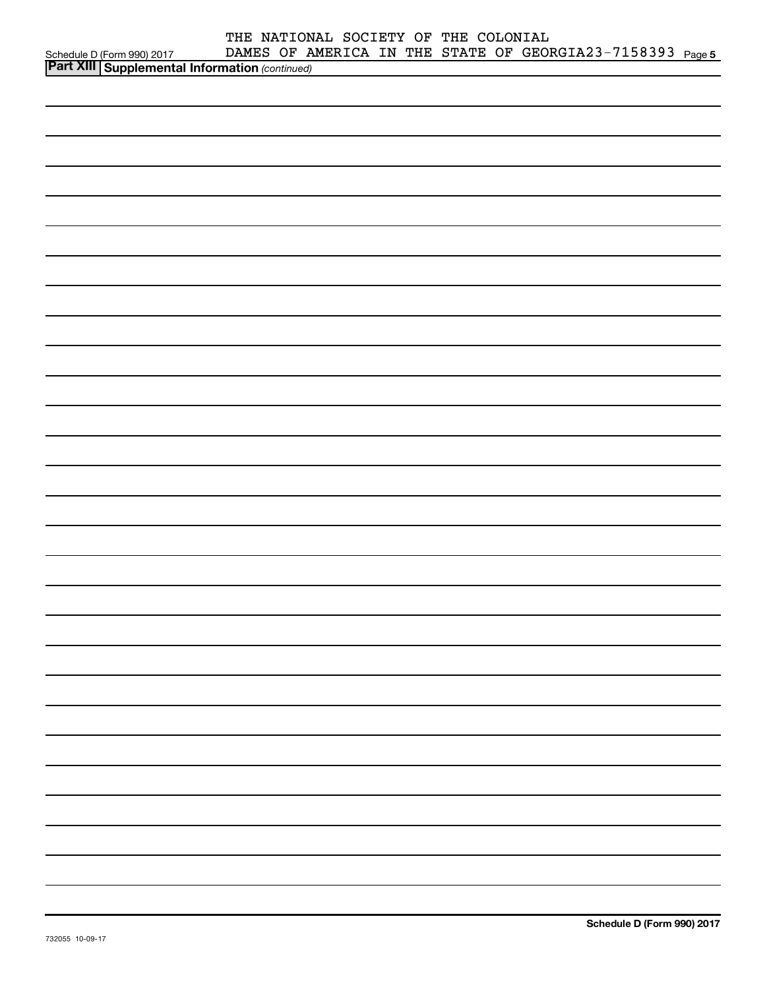|                                                                                          | THE NATIONAL SOCIETY OF THE COLONIAL |  |                                                           |  |
|------------------------------------------------------------------------------------------|--------------------------------------|--|-----------------------------------------------------------|--|
|                                                                                          |                                      |  | DAMES OF AMERICA IN THE STATE OF GEORGIA23-7158393 Page 5 |  |
| Schedule D (Form 990) 2017 DAMES OF Allen Part XIII Supplemental Information (continued) |                                      |  |                                                           |  |
|                                                                                          |                                      |  |                                                           |  |
|                                                                                          |                                      |  |                                                           |  |
|                                                                                          |                                      |  |                                                           |  |
|                                                                                          |                                      |  |                                                           |  |
|                                                                                          |                                      |  |                                                           |  |
|                                                                                          |                                      |  |                                                           |  |
|                                                                                          |                                      |  |                                                           |  |
|                                                                                          |                                      |  |                                                           |  |
|                                                                                          |                                      |  |                                                           |  |
|                                                                                          |                                      |  |                                                           |  |
|                                                                                          |                                      |  |                                                           |  |
|                                                                                          |                                      |  |                                                           |  |
|                                                                                          |                                      |  |                                                           |  |
|                                                                                          |                                      |  |                                                           |  |
|                                                                                          |                                      |  |                                                           |  |
|                                                                                          |                                      |  |                                                           |  |
|                                                                                          |                                      |  |                                                           |  |
|                                                                                          |                                      |  |                                                           |  |
|                                                                                          |                                      |  |                                                           |  |
|                                                                                          |                                      |  |                                                           |  |
|                                                                                          |                                      |  |                                                           |  |
|                                                                                          |                                      |  |                                                           |  |
|                                                                                          |                                      |  |                                                           |  |
|                                                                                          |                                      |  |                                                           |  |
|                                                                                          |                                      |  |                                                           |  |
|                                                                                          |                                      |  |                                                           |  |
|                                                                                          |                                      |  |                                                           |  |
|                                                                                          |                                      |  |                                                           |  |
|                                                                                          |                                      |  |                                                           |  |
|                                                                                          |                                      |  |                                                           |  |
|                                                                                          |                                      |  |                                                           |  |
|                                                                                          |                                      |  |                                                           |  |
|                                                                                          |                                      |  |                                                           |  |
|                                                                                          |                                      |  |                                                           |  |
|                                                                                          |                                      |  |                                                           |  |
|                                                                                          |                                      |  |                                                           |  |
|                                                                                          |                                      |  |                                                           |  |
|                                                                                          |                                      |  |                                                           |  |
|                                                                                          |                                      |  |                                                           |  |
|                                                                                          |                                      |  |                                                           |  |
|                                                                                          |                                      |  |                                                           |  |
|                                                                                          |                                      |  |                                                           |  |
|                                                                                          |                                      |  |                                                           |  |
|                                                                                          |                                      |  |                                                           |  |
|                                                                                          |                                      |  |                                                           |  |
|                                                                                          |                                      |  |                                                           |  |
|                                                                                          |                                      |  |                                                           |  |
|                                                                                          |                                      |  |                                                           |  |
|                                                                                          |                                      |  |                                                           |  |
|                                                                                          |                                      |  |                                                           |  |
|                                                                                          |                                      |  |                                                           |  |
|                                                                                          |                                      |  |                                                           |  |
|                                                                                          |                                      |  |                                                           |  |
|                                                                                          |                                      |  |                                                           |  |
|                                                                                          |                                      |  |                                                           |  |
|                                                                                          |                                      |  |                                                           |  |
|                                                                                          |                                      |  |                                                           |  |
|                                                                                          |                                      |  |                                                           |  |
|                                                                                          |                                      |  |                                                           |  |
|                                                                                          |                                      |  |                                                           |  |
|                                                                                          |                                      |  |                                                           |  |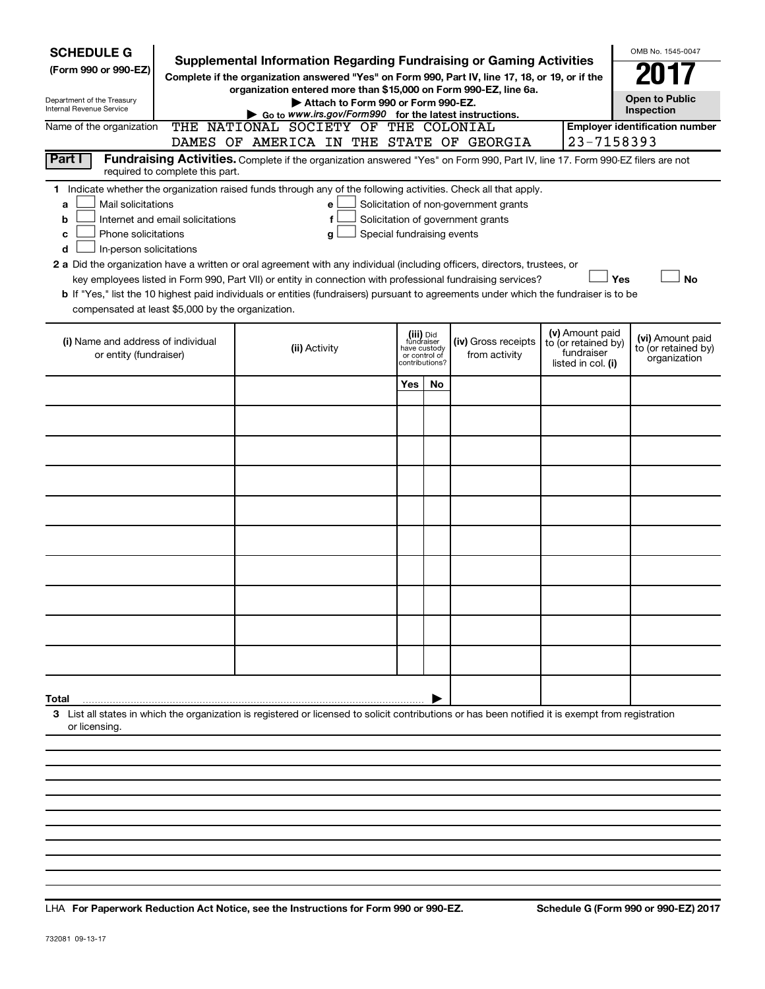| <b>SCHEDULE G</b><br>(Form 990 or 990-EZ)<br>Department of the Treasury<br><b>Internal Revenue Service</b>                                                                                                                                                                                                                                                                                                                                                                                                                                                                                                                                                                                                             | Supplemental Information Regarding Fundraising or Gaming Activities<br>Complete if the organization answered "Yes" on Form 990, Part IV, line 17, 18, or 19, or if the<br>organization entered more than \$15,000 on Form 990-EZ, line 6a.<br>Attach to Form 990 or Form 990-EZ.<br>Go to www.irs.gov/Form990 for the latest instructions.<br>THE NATIONAL SOCIETY OF THE COLONIAL |                                                                                                                                                    |     |     |  |  |            |                                       |  |  |  |  |  |  |  |
|------------------------------------------------------------------------------------------------------------------------------------------------------------------------------------------------------------------------------------------------------------------------------------------------------------------------------------------------------------------------------------------------------------------------------------------------------------------------------------------------------------------------------------------------------------------------------------------------------------------------------------------------------------------------------------------------------------------------|------------------------------------------------------------------------------------------------------------------------------------------------------------------------------------------------------------------------------------------------------------------------------------------------------------------------------------------------------------------------------------|----------------------------------------------------------------------------------------------------------------------------------------------------|-----|-----|--|--|------------|---------------------------------------|--|--|--|--|--|--|--|
| Name of the organization                                                                                                                                                                                                                                                                                                                                                                                                                                                                                                                                                                                                                                                                                               |                                                                                                                                                                                                                                                                                                                                                                                    | DAMES OF AMERICA IN THE STATE OF GEORGIA                                                                                                           |     |     |  |  | 23-7158393 | <b>Employer identification number</b> |  |  |  |  |  |  |  |
| Part I                                                                                                                                                                                                                                                                                                                                                                                                                                                                                                                                                                                                                                                                                                                 | Fundraising Activities. Complete if the organization answered "Yes" on Form 990, Part IV, line 17. Form 990-EZ filers are not<br>required to complete this part.<br>1 Indicate whether the organization raised funds through any of the following activities. Check all that apply.                                                                                                |                                                                                                                                                    |     |     |  |  |            |                                       |  |  |  |  |  |  |  |
| Mail solicitations<br>Solicitation of non-government grants<br>a<br>e<br>Solicitation of government grants<br>Internet and email solicitations<br>f<br>b<br>Phone solicitations<br>Special fundraising events<br>с<br>g<br>In-person solicitations<br>d<br>2 a Did the organization have a written or oral agreement with any individual (including officers, directors, trustees, or<br>key employees listed in Form 990, Part VII) or entity in connection with professional fundraising services?<br>Yes<br><b>No</b><br>b If "Yes," list the 10 highest paid individuals or entities (fundraisers) pursuant to agreements under which the fundraiser is to be<br>compensated at least \$5,000 by the organization. |                                                                                                                                                                                                                                                                                                                                                                                    |                                                                                                                                                    |     |     |  |  |            |                                       |  |  |  |  |  |  |  |
| (i) Name and address of individual<br>or entity (fundraiser)                                                                                                                                                                                                                                                                                                                                                                                                                                                                                                                                                                                                                                                           | (v) Amount paid<br>to (or retained by)<br>fundraiser<br>listed in col. (i)                                                                                                                                                                                                                                                                                                         | (vi) Amount paid<br>to (or retained by)<br>organization                                                                                            |     |     |  |  |            |                                       |  |  |  |  |  |  |  |
|                                                                                                                                                                                                                                                                                                                                                                                                                                                                                                                                                                                                                                                                                                                        |                                                                                                                                                                                                                                                                                                                                                                                    |                                                                                                                                                    | Yes | No. |  |  |            |                                       |  |  |  |  |  |  |  |
|                                                                                                                                                                                                                                                                                                                                                                                                                                                                                                                                                                                                                                                                                                                        |                                                                                                                                                                                                                                                                                                                                                                                    |                                                                                                                                                    |     |     |  |  |            |                                       |  |  |  |  |  |  |  |
|                                                                                                                                                                                                                                                                                                                                                                                                                                                                                                                                                                                                                                                                                                                        |                                                                                                                                                                                                                                                                                                                                                                                    |                                                                                                                                                    |     |     |  |  |            |                                       |  |  |  |  |  |  |  |
|                                                                                                                                                                                                                                                                                                                                                                                                                                                                                                                                                                                                                                                                                                                        |                                                                                                                                                                                                                                                                                                                                                                                    |                                                                                                                                                    |     |     |  |  |            |                                       |  |  |  |  |  |  |  |
|                                                                                                                                                                                                                                                                                                                                                                                                                                                                                                                                                                                                                                                                                                                        |                                                                                                                                                                                                                                                                                                                                                                                    |                                                                                                                                                    |     |     |  |  |            |                                       |  |  |  |  |  |  |  |
|                                                                                                                                                                                                                                                                                                                                                                                                                                                                                                                                                                                                                                                                                                                        |                                                                                                                                                                                                                                                                                                                                                                                    |                                                                                                                                                    |     |     |  |  |            |                                       |  |  |  |  |  |  |  |
|                                                                                                                                                                                                                                                                                                                                                                                                                                                                                                                                                                                                                                                                                                                        |                                                                                                                                                                                                                                                                                                                                                                                    |                                                                                                                                                    |     |     |  |  |            |                                       |  |  |  |  |  |  |  |
|                                                                                                                                                                                                                                                                                                                                                                                                                                                                                                                                                                                                                                                                                                                        |                                                                                                                                                                                                                                                                                                                                                                                    |                                                                                                                                                    |     |     |  |  |            |                                       |  |  |  |  |  |  |  |
|                                                                                                                                                                                                                                                                                                                                                                                                                                                                                                                                                                                                                                                                                                                        |                                                                                                                                                                                                                                                                                                                                                                                    |                                                                                                                                                    |     |     |  |  |            |                                       |  |  |  |  |  |  |  |
|                                                                                                                                                                                                                                                                                                                                                                                                                                                                                                                                                                                                                                                                                                                        |                                                                                                                                                                                                                                                                                                                                                                                    |                                                                                                                                                    |     |     |  |  |            |                                       |  |  |  |  |  |  |  |
| Total                                                                                                                                                                                                                                                                                                                                                                                                                                                                                                                                                                                                                                                                                                                  |                                                                                                                                                                                                                                                                                                                                                                                    |                                                                                                                                                    |     |     |  |  |            |                                       |  |  |  |  |  |  |  |
| or licensing.                                                                                                                                                                                                                                                                                                                                                                                                                                                                                                                                                                                                                                                                                                          |                                                                                                                                                                                                                                                                                                                                                                                    | 3 List all states in which the organization is registered or licensed to solicit contributions or has been notified it is exempt from registration |     |     |  |  |            |                                       |  |  |  |  |  |  |  |
|                                                                                                                                                                                                                                                                                                                                                                                                                                                                                                                                                                                                                                                                                                                        |                                                                                                                                                                                                                                                                                                                                                                                    |                                                                                                                                                    |     |     |  |  |            |                                       |  |  |  |  |  |  |  |
|                                                                                                                                                                                                                                                                                                                                                                                                                                                                                                                                                                                                                                                                                                                        |                                                                                                                                                                                                                                                                                                                                                                                    |                                                                                                                                                    |     |     |  |  |            |                                       |  |  |  |  |  |  |  |

**For Paperwork Reduction Act Notice, see the Instructions for Form 990 or 990-EZ. Schedule G (Form 990 or 990-EZ) 2017** LHA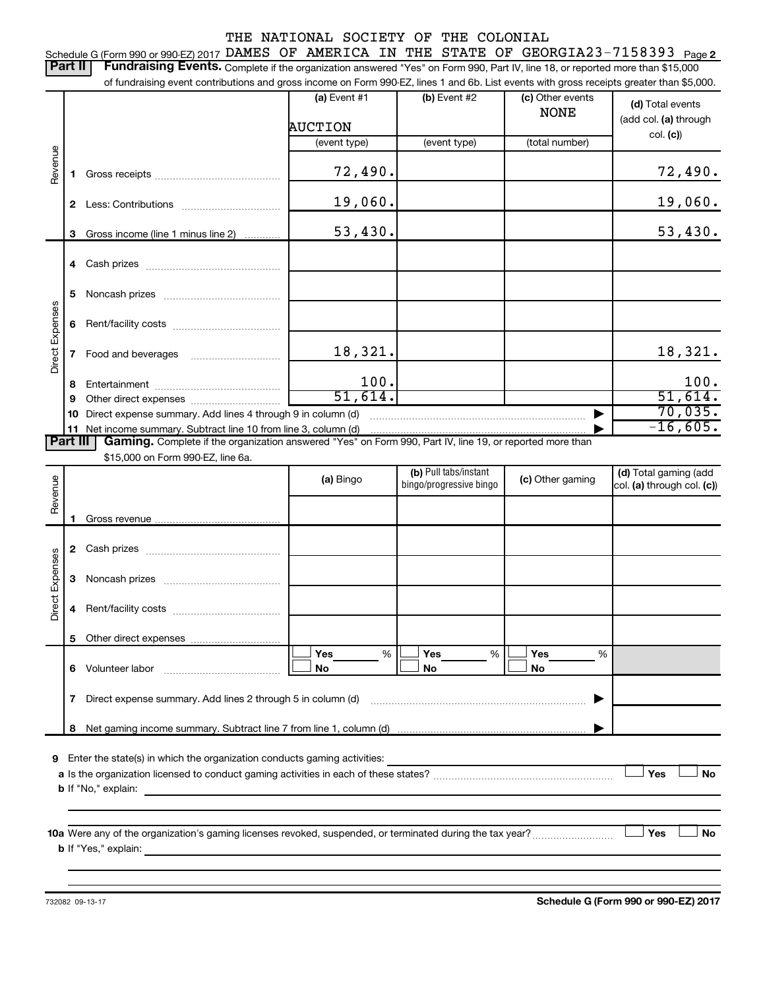#### THE NATIONAL SOCIETY OF THE COLONIAL Schedule G (Form 990 or 990-EZ) 2017 DAMES OF AMERICA IN THE STATE OF GEORGIA23-7158393 <sub>Page 2</sub> Part II | Fundraising Events. Complete if the organization answered "Yes" on Form 990, Part IV, line 18, or reported more than \$15,000 of fundraising event contributions and gross income on Form 990-EZ, lines 1 and 6b. List events with gross receipts greater than \$5,000. **(a)** Event #1  $\vert$  **(b)** Event #2 (c) Other events **(d)**  Total events NONE (add col. (a) through AUCTION col. **(c)**) (event type) (event type) (total number) Revenue 72,490. 72,490. **1** Gross receipts ~~~~~~~~~~~~~~ 19,060. 19,060. **2** Less: Contributions ~~~~~~~~~~~ 53,430. 53,430. **3** Gross income (line 1 minus line 2) . . . . . . . . . . . . **4** Cash prizes ~~~~~~~~~~~~~~~ **5** Noncash prizes ~~~~~~~~~~~~~ Direct Expenses Direct Expenses **6** Rent/facility costs ~~~~~~~~~~~~ 18,321. 18,321. **7** Food and beverages **with the Strateger 7** 100. 100. **8** Entertainment ~~~~~~~~~~~~~~ 51,614. 51,614. **9** Other direct expenses  $\ldots$  **............................** 70,035. **10** Direct expense summary. Add lines 4 through 9 in column (d) ~~~~~~~~~~~~~~~~~~~~~~~~ | -16,605.**11** Net income summary. Subtract line 10 from line 3, column (d) | Part III | Gaming. Complete if the organization answered "Yes" on Form 990, Part IV, line 19, or reported more than \$15,000 on Form 990-EZ, line 6a. (b) Pull tabs/instant (d) Total gaming (add Revenue **(a)** Bingo **a b**ingo/progressive bingo **(c)** Other gaming bingo/progressive bingo col. (a) through col. (c)) **1** Gross revenue .. **2** Cash prizes ~~~~~~~~~~~~~~~ Direct Expenses Direct Expenses **3** Noncash prizes ~~~~~~~~~~~~~ **4** Rent/facility costs ~~~~~~~~~~~~ **5** Other direct expenses  $|\Box$  Yes  $\qquad \%$   $|\Box$  Yes  $\qquad \%$   $|\Box$ **Yes Yes Yes** % % %  $|\Box$  No  $|\Box$  No  $|\Box$ **6** Volunteer labor ~~~~~~~~~~~~~ **No No No 7** Direct expense summary. Add lines 2 through 5 in column (d) ~~~~~~~~~~~~~~~~~~~~~~~~ | **8** Net gaming income summary. Subtract line 7 from line 1, column (d) | **9** Enter the state(s) in which the organization conducts gaming activities:  $|$  Yes **Yes No a** Is the organization licensed to conduct gaming activities in each of these states? ~~~~~~~~~~~~~~~~~~~~ **b** If "No," explain: **10 a** Were any of the organization's gaming licenses revoked, suspended, or terminated during the tax year? ~~~~~~~~~ † † **Yes No b** If "Yes," explain: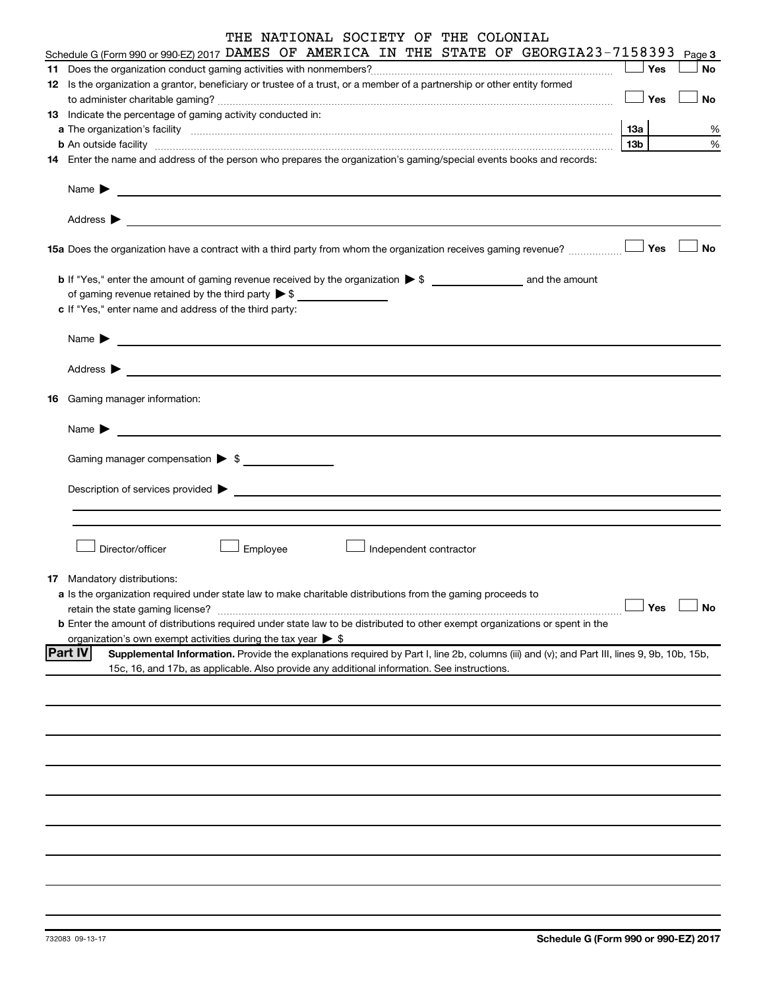| THE NATIONAL SOCIETY OF THE COLONIAL                                                                                                                                                                                                                                                                                                                                  |     |           |
|-----------------------------------------------------------------------------------------------------------------------------------------------------------------------------------------------------------------------------------------------------------------------------------------------------------------------------------------------------------------------|-----|-----------|
| Schedule G (Form 990 or 990-EZ) 2017 DAMES OF AMERICA IN THE STATE OF GEORGIA23-7158393                                                                                                                                                                                                                                                                               |     | Page 3    |
|                                                                                                                                                                                                                                                                                                                                                                       | Yes | <b>No</b> |
| 12 Is the organization a grantor, beneficiary or trustee of a trust, or a member of a partnership or other entity formed                                                                                                                                                                                                                                              |     |           |
|                                                                                                                                                                                                                                                                                                                                                                       | Yes | No        |
| 13 Indicate the percentage of gaming activity conducted in:                                                                                                                                                                                                                                                                                                           |     |           |
|                                                                                                                                                                                                                                                                                                                                                                       | 13a | %         |
| <b>b</b> An outside facility <i>[[[[[[[[[[[[[[[[]]]]</i> An outside facility <i>[[[[[[[[[[[[[[[]]]]]</i> and an anti-manufacture of the state of the state of the state of the state of the state of the state of the state of the state of t<br>14 Enter the name and address of the person who prepares the organization's gaming/special events books and records: | 13b | %         |
|                                                                                                                                                                                                                                                                                                                                                                       |     |           |
| Name $\blacktriangleright$<br><u> 1989 - Johann John Stein, syn y brening og fyrir yr y gynnwysig y gynnwysig y gynnwysig y gynnwysig y gynnwys</u>                                                                                                                                                                                                                   |     |           |
|                                                                                                                                                                                                                                                                                                                                                                       |     |           |
| Address $\blacktriangleright$<br>the control of the control of the control of the control of the control of the control of the control of the control of the control of the control of the control of the control of the control of the control of the control                                                                                                        |     |           |
| 15a Does the organization have a contract with a third party from whom the organization receives gaming revenue?                                                                                                                                                                                                                                                      | Yes | No        |
|                                                                                                                                                                                                                                                                                                                                                                       |     |           |
| of gaming revenue retained by the third party $\triangleright$ \$                                                                                                                                                                                                                                                                                                     |     |           |
| c If "Yes," enter name and address of the third party:                                                                                                                                                                                                                                                                                                                |     |           |
|                                                                                                                                                                                                                                                                                                                                                                       |     |           |
| Name $\blacktriangleright$<br><u> 1989 - Johann Marie Barn, mars an t-Amerikaansk kommunist (</u>                                                                                                                                                                                                                                                                     |     |           |
| Address $\blacktriangleright$                                                                                                                                                                                                                                                                                                                                         |     |           |
| <u> 1989 - Johann Barnett, fransk politiker (d. 1989)</u>                                                                                                                                                                                                                                                                                                             |     |           |
| <b>16</b> Gaming manager information:                                                                                                                                                                                                                                                                                                                                 |     |           |
| Name $\blacktriangleright$                                                                                                                                                                                                                                                                                                                                            |     |           |
|                                                                                                                                                                                                                                                                                                                                                                       |     |           |
| Gaming manager compensation > \$                                                                                                                                                                                                                                                                                                                                      |     |           |
|                                                                                                                                                                                                                                                                                                                                                                       |     |           |
| Description of services provided ><br><u> Alexandria de la contrada de la contrada de la contrada de la contrada de la contrada de la contrada de la c</u>                                                                                                                                                                                                            |     |           |
|                                                                                                                                                                                                                                                                                                                                                                       |     |           |
|                                                                                                                                                                                                                                                                                                                                                                       |     |           |
| Director/officer<br>Employee<br>Independent contractor                                                                                                                                                                                                                                                                                                                |     |           |
|                                                                                                                                                                                                                                                                                                                                                                       |     |           |
| 17 Mandatory distributions:                                                                                                                                                                                                                                                                                                                                           |     |           |
| a Is the organization required under state law to make charitable distributions from the gaming proceeds to                                                                                                                                                                                                                                                           |     |           |
| retain the state gaming license?                                                                                                                                                                                                                                                                                                                                      | Yes | <b>No</b> |
| <b>b</b> Enter the amount of distributions required under state law to be distributed to other exempt organizations or spent in the                                                                                                                                                                                                                                   |     |           |
| organization's own exempt activities during the tax year $\triangleright$ \$<br><b>Part IV</b>                                                                                                                                                                                                                                                                        |     |           |
| Supplemental Information. Provide the explanations required by Part I, line 2b, columns (iii) and (v); and Part III, lines 9, 9b, 10b, 15b,<br>15c, 16, and 17b, as applicable. Also provide any additional information. See instructions.                                                                                                                            |     |           |
|                                                                                                                                                                                                                                                                                                                                                                       |     |           |
|                                                                                                                                                                                                                                                                                                                                                                       |     |           |
|                                                                                                                                                                                                                                                                                                                                                                       |     |           |
|                                                                                                                                                                                                                                                                                                                                                                       |     |           |
|                                                                                                                                                                                                                                                                                                                                                                       |     |           |
|                                                                                                                                                                                                                                                                                                                                                                       |     |           |
|                                                                                                                                                                                                                                                                                                                                                                       |     |           |
|                                                                                                                                                                                                                                                                                                                                                                       |     |           |
|                                                                                                                                                                                                                                                                                                                                                                       |     |           |
|                                                                                                                                                                                                                                                                                                                                                                       |     |           |
|                                                                                                                                                                                                                                                                                                                                                                       |     |           |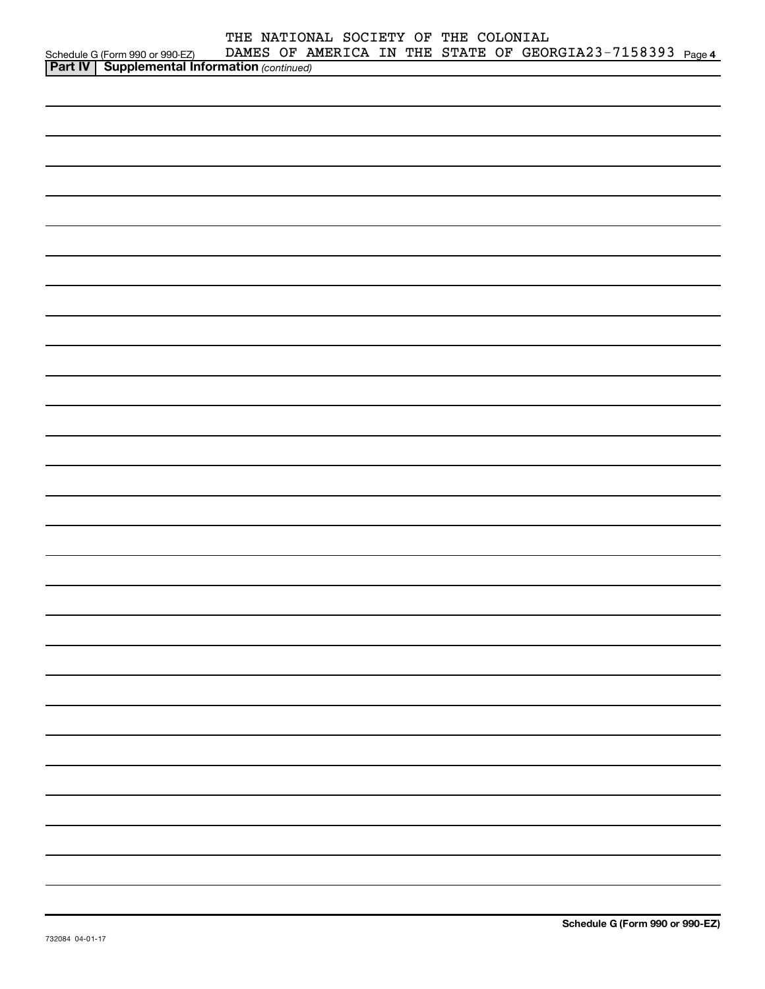|                                            | THE NATIONAL SOCIETY OF THE COLONIAL |  |  |                                                           |  |
|--------------------------------------------|--------------------------------------|--|--|-----------------------------------------------------------|--|
|                                            |                                      |  |  | DAMES OF AMERICA IN THE STATE OF GEORGIA23-7158393 Page 4 |  |
| Schedule G (Form 990 or 990-EZ) DAMES OF A |                                      |  |  |                                                           |  |
|                                            |                                      |  |  |                                                           |  |
|                                            |                                      |  |  |                                                           |  |
|                                            |                                      |  |  |                                                           |  |
|                                            |                                      |  |  |                                                           |  |
|                                            |                                      |  |  |                                                           |  |
|                                            |                                      |  |  |                                                           |  |
|                                            |                                      |  |  |                                                           |  |
|                                            |                                      |  |  |                                                           |  |
|                                            |                                      |  |  |                                                           |  |
|                                            |                                      |  |  |                                                           |  |
|                                            |                                      |  |  |                                                           |  |
|                                            |                                      |  |  |                                                           |  |
|                                            |                                      |  |  |                                                           |  |
|                                            |                                      |  |  |                                                           |  |
|                                            |                                      |  |  |                                                           |  |
|                                            |                                      |  |  |                                                           |  |
|                                            |                                      |  |  |                                                           |  |
|                                            |                                      |  |  |                                                           |  |
|                                            |                                      |  |  |                                                           |  |
|                                            |                                      |  |  |                                                           |  |
|                                            |                                      |  |  |                                                           |  |
|                                            |                                      |  |  |                                                           |  |
|                                            |                                      |  |  |                                                           |  |
|                                            |                                      |  |  |                                                           |  |
|                                            |                                      |  |  |                                                           |  |
|                                            |                                      |  |  |                                                           |  |
|                                            |                                      |  |  |                                                           |  |
|                                            |                                      |  |  |                                                           |  |
|                                            |                                      |  |  |                                                           |  |
|                                            |                                      |  |  |                                                           |  |
|                                            |                                      |  |  |                                                           |  |
|                                            |                                      |  |  |                                                           |  |
|                                            |                                      |  |  |                                                           |  |
|                                            |                                      |  |  |                                                           |  |
|                                            |                                      |  |  |                                                           |  |
|                                            |                                      |  |  |                                                           |  |
|                                            |                                      |  |  |                                                           |  |
|                                            |                                      |  |  |                                                           |  |
|                                            |                                      |  |  |                                                           |  |
|                                            |                                      |  |  |                                                           |  |
|                                            |                                      |  |  |                                                           |  |
|                                            |                                      |  |  |                                                           |  |
|                                            |                                      |  |  |                                                           |  |
|                                            |                                      |  |  |                                                           |  |
|                                            |                                      |  |  |                                                           |  |
|                                            |                                      |  |  |                                                           |  |
|                                            |                                      |  |  |                                                           |  |
|                                            |                                      |  |  |                                                           |  |
|                                            |                                      |  |  |                                                           |  |
|                                            |                                      |  |  |                                                           |  |
|                                            |                                      |  |  |                                                           |  |
|                                            |                                      |  |  |                                                           |  |
|                                            |                                      |  |  |                                                           |  |
|                                            |                                      |  |  |                                                           |  |
|                                            |                                      |  |  |                                                           |  |
|                                            |                                      |  |  |                                                           |  |
|                                            |                                      |  |  |                                                           |  |
|                                            |                                      |  |  |                                                           |  |
|                                            |                                      |  |  |                                                           |  |
|                                            |                                      |  |  |                                                           |  |
|                                            |                                      |  |  |                                                           |  |
|                                            |                                      |  |  |                                                           |  |
|                                            |                                      |  |  |                                                           |  |
|                                            |                                      |  |  |                                                           |  |
|                                            |                                      |  |  |                                                           |  |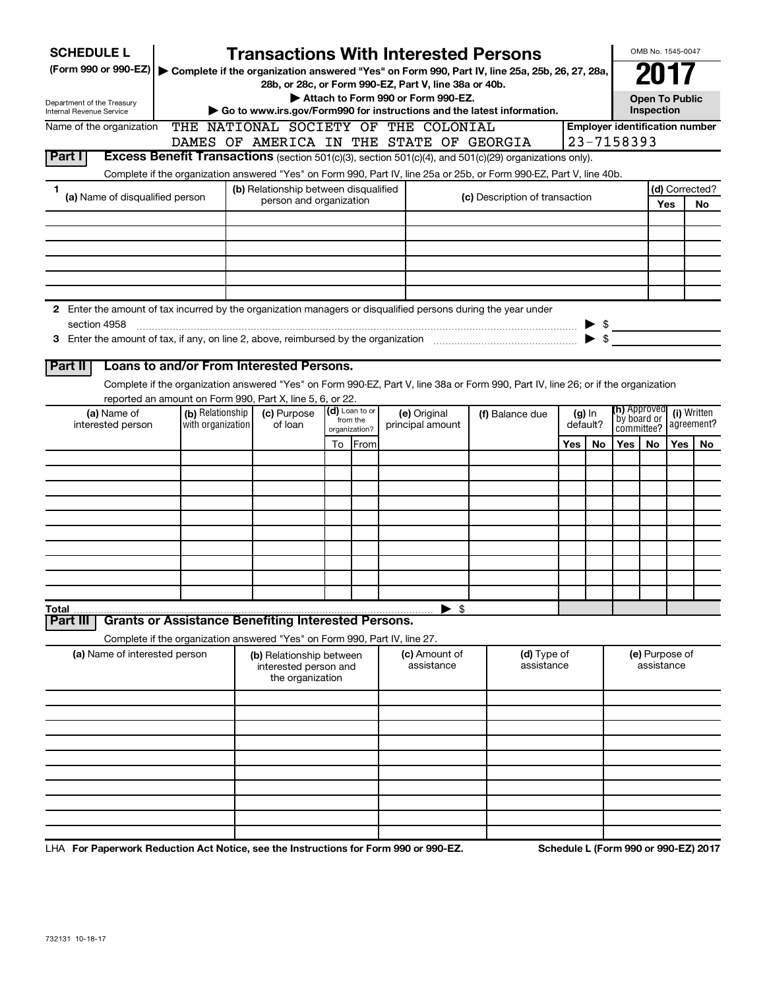| <b>SCHEDULE L</b>                                                                                                             |                                                                            |                                          |  |                                                                       |    |                            |                                                                                             | <b>Transactions With Interested Persons</b>                                                                                        |     |                          |                     | OMB No. 1545-0047                   |                |                                       |  |
|-------------------------------------------------------------------------------------------------------------------------------|----------------------------------------------------------------------------|------------------------------------------|--|-----------------------------------------------------------------------|----|----------------------------|---------------------------------------------------------------------------------------------|------------------------------------------------------------------------------------------------------------------------------------|-----|--------------------------|---------------------|-------------------------------------|----------------|---------------------------------------|--|
| (Form 990 or 990-EZ)                                                                                                          |                                                                            |                                          |  |                                                                       |    |                            |                                                                                             | Complete if the organization answered "Yes" on Form 990, Part IV, line 25a, 25b, 26, 27, 28a,                                      |     |                          |                     |                                     |                |                                       |  |
|                                                                                                                               |                                                                            |                                          |  |                                                                       |    |                            | 28b, or 28c, or Form 990-EZ, Part V, line 38a or 40b.<br>Attach to Form 990 or Form 990-EZ. |                                                                                                                                    |     |                          |                     |                                     |                |                                       |  |
| Department of the Treasury<br>Internal Revenue Service                                                                        |                                                                            |                                          |  |                                                                       |    |                            |                                                                                             | Go to www.irs.gov/Form990 for instructions and the latest information.                                                             |     |                          |                     | <b>Open To Public</b><br>Inspection |                |                                       |  |
| Name of the organization                                                                                                      | THE                                                                        |                                          |  |                                                                       |    |                            | NATIONAL SOCIETY OF THE COLONIAL                                                            |                                                                                                                                    |     |                          |                     |                                     |                | <b>Employer identification number</b> |  |
|                                                                                                                               |                                                                            | DAMES OF AMERICA IN THE STATE OF GEORGIA |  |                                                                       |    |                            |                                                                                             |                                                                                                                                    |     |                          |                     | 23-7158393                          |                |                                       |  |
| Part I                                                                                                                        |                                                                            |                                          |  |                                                                       |    |                            |                                                                                             | Excess Benefit Transactions (section 501(c)(3), section 501(c)(4), and 501(c)(29) organizations only).                             |     |                          |                     |                                     |                |                                       |  |
|                                                                                                                               |                                                                            |                                          |  |                                                                       |    |                            |                                                                                             | Complete if the organization answered "Yes" on Form 990, Part IV, line 25a or 25b, or Form 990-EZ, Part V, line 40b.               |     |                          |                     |                                     |                |                                       |  |
| 1                                                                                                                             | (a) Name of disqualified person                                            |                                          |  | (b) Relationship between disqualified<br>person and organization      |    |                            |                                                                                             | (c) Description of transaction                                                                                                     |     |                          |                     |                                     | (d) Corrected? |                                       |  |
|                                                                                                                               |                                                                            |                                          |  |                                                                       |    |                            |                                                                                             |                                                                                                                                    |     |                          |                     |                                     | Yes            | No                                    |  |
|                                                                                                                               |                                                                            |                                          |  |                                                                       |    |                            |                                                                                             |                                                                                                                                    |     |                          |                     |                                     |                |                                       |  |
|                                                                                                                               |                                                                            |                                          |  |                                                                       |    |                            |                                                                                             |                                                                                                                                    |     |                          |                     |                                     |                |                                       |  |
|                                                                                                                               |                                                                            |                                          |  |                                                                       |    |                            |                                                                                             |                                                                                                                                    |     |                          |                     |                                     |                |                                       |  |
|                                                                                                                               |                                                                            |                                          |  |                                                                       |    |                            |                                                                                             |                                                                                                                                    |     |                          |                     |                                     |                |                                       |  |
|                                                                                                                               |                                                                            |                                          |  |                                                                       |    |                            |                                                                                             |                                                                                                                                    |     |                          |                     |                                     |                |                                       |  |
| 2 Enter the amount of tax incurred by the organization managers or disqualified persons during the year under<br>section 4958 |                                                                            |                                          |  |                                                                       |    |                            |                                                                                             |                                                                                                                                    |     |                          |                     |                                     |                |                                       |  |
|                                                                                                                               |                                                                            |                                          |  |                                                                       |    |                            |                                                                                             |                                                                                                                                    |     | $\blacktriangleright$ \$ | $\triangleright$ \$ |                                     |                |                                       |  |
|                                                                                                                               |                                                                            |                                          |  |                                                                       |    |                            |                                                                                             |                                                                                                                                    |     |                          |                     |                                     |                |                                       |  |
| Part II                                                                                                                       | Loans to and/or From Interested Persons.                                   |                                          |  |                                                                       |    |                            |                                                                                             |                                                                                                                                    |     |                          |                     |                                     |                |                                       |  |
|                                                                                                                               |                                                                            |                                          |  |                                                                       |    |                            |                                                                                             | Complete if the organization answered "Yes" on Form 990-EZ, Part V, line 38a or Form 990, Part IV, line 26; or if the organization |     |                          |                     |                                     |                |                                       |  |
|                                                                                                                               | reported an amount on Form 990, Part X, line 5, 6, or 22.                  |                                          |  |                                                                       |    |                            |                                                                                             |                                                                                                                                    |     |                          |                     | <b>(h)</b> Approved                 |                |                                       |  |
| (a) Name of<br>interested person                                                                                              |                                                                            | (b) Relationship<br>with organization    |  | (c) Purpose<br>of loan                                                |    | (d) Loan to or<br>from the | (e) Original<br>principal amount                                                            | (f) Balance due                                                                                                                    |     | $(g)$ In<br>default?     | `by board or        |                                     |                | (i) Written<br>agreement?             |  |
|                                                                                                                               |                                                                            |                                          |  |                                                                       |    | organization?              |                                                                                             |                                                                                                                                    | Yes | No                       | committee?<br>Yes   |                                     | Yes            |                                       |  |
|                                                                                                                               |                                                                            |                                          |  |                                                                       | To | From                       |                                                                                             |                                                                                                                                    |     |                          |                     | No.                                 |                | No                                    |  |
|                                                                                                                               |                                                                            |                                          |  |                                                                       |    |                            |                                                                                             |                                                                                                                                    |     |                          |                     |                                     |                |                                       |  |
|                                                                                                                               |                                                                            |                                          |  |                                                                       |    |                            |                                                                                             |                                                                                                                                    |     |                          |                     |                                     |                |                                       |  |
|                                                                                                                               |                                                                            |                                          |  |                                                                       |    |                            |                                                                                             |                                                                                                                                    |     |                          |                     |                                     |                |                                       |  |
|                                                                                                                               |                                                                            |                                          |  |                                                                       |    |                            |                                                                                             |                                                                                                                                    |     |                          |                     |                                     |                |                                       |  |
|                                                                                                                               |                                                                            |                                          |  |                                                                       |    |                            |                                                                                             |                                                                                                                                    |     |                          |                     |                                     |                |                                       |  |
|                                                                                                                               |                                                                            |                                          |  |                                                                       |    |                            |                                                                                             |                                                                                                                                    |     |                          |                     |                                     |                |                                       |  |
|                                                                                                                               |                                                                            |                                          |  |                                                                       |    |                            |                                                                                             |                                                                                                                                    |     |                          |                     |                                     |                |                                       |  |
|                                                                                                                               |                                                                            |                                          |  |                                                                       |    |                            |                                                                                             |                                                                                                                                    |     |                          |                     |                                     |                |                                       |  |
| <b>Total</b>                                                                                                                  |                                                                            |                                          |  |                                                                       |    |                            | $\blacktriangleright$ \$                                                                    |                                                                                                                                    |     |                          |                     |                                     |                |                                       |  |
| Part II                                                                                                                       | <b>Grants or Assistance Benefiting Interested Persons.</b>                 |                                          |  |                                                                       |    |                            |                                                                                             |                                                                                                                                    |     |                          |                     |                                     |                |                                       |  |
|                                                                                                                               | Complete if the organization answered "Yes" on Form 990, Part IV, line 27. |                                          |  |                                                                       |    |                            |                                                                                             |                                                                                                                                    |     |                          |                     |                                     |                |                                       |  |
|                                                                                                                               | (a) Name of interested person                                              |                                          |  | (b) Relationship between<br>interested person and<br>the organization |    |                            | (c) Amount of<br>assistance                                                                 | (d) Type of<br>assistance                                                                                                          |     |                          |                     | (e) Purpose of<br>assistance        |                |                                       |  |
|                                                                                                                               |                                                                            |                                          |  |                                                                       |    |                            |                                                                                             |                                                                                                                                    |     |                          |                     |                                     |                |                                       |  |
|                                                                                                                               |                                                                            |                                          |  |                                                                       |    |                            |                                                                                             |                                                                                                                                    |     |                          |                     |                                     |                |                                       |  |
|                                                                                                                               |                                                                            |                                          |  |                                                                       |    |                            |                                                                                             |                                                                                                                                    |     |                          |                     |                                     |                |                                       |  |
|                                                                                                                               |                                                                            |                                          |  |                                                                       |    |                            |                                                                                             |                                                                                                                                    |     |                          |                     |                                     |                |                                       |  |
|                                                                                                                               |                                                                            |                                          |  |                                                                       |    |                            |                                                                                             |                                                                                                                                    |     |                          |                     |                                     |                |                                       |  |
|                                                                                                                               |                                                                            |                                          |  |                                                                       |    |                            |                                                                                             |                                                                                                                                    |     |                          |                     |                                     |                |                                       |  |
|                                                                                                                               |                                                                            |                                          |  |                                                                       |    |                            |                                                                                             |                                                                                                                                    |     |                          |                     |                                     |                |                                       |  |
|                                                                                                                               |                                                                            |                                          |  |                                                                       |    |                            |                                                                                             |                                                                                                                                    |     |                          |                     |                                     |                |                                       |  |
|                                                                                                                               |                                                                            |                                          |  |                                                                       |    |                            |                                                                                             |                                                                                                                                    |     |                          |                     |                                     |                |                                       |  |

LHA For Paperwork Reduction Act Notice, see the Instructions for Form 990 or 990-EZ. Schedule L (Form 990 or 990-EZ) 2017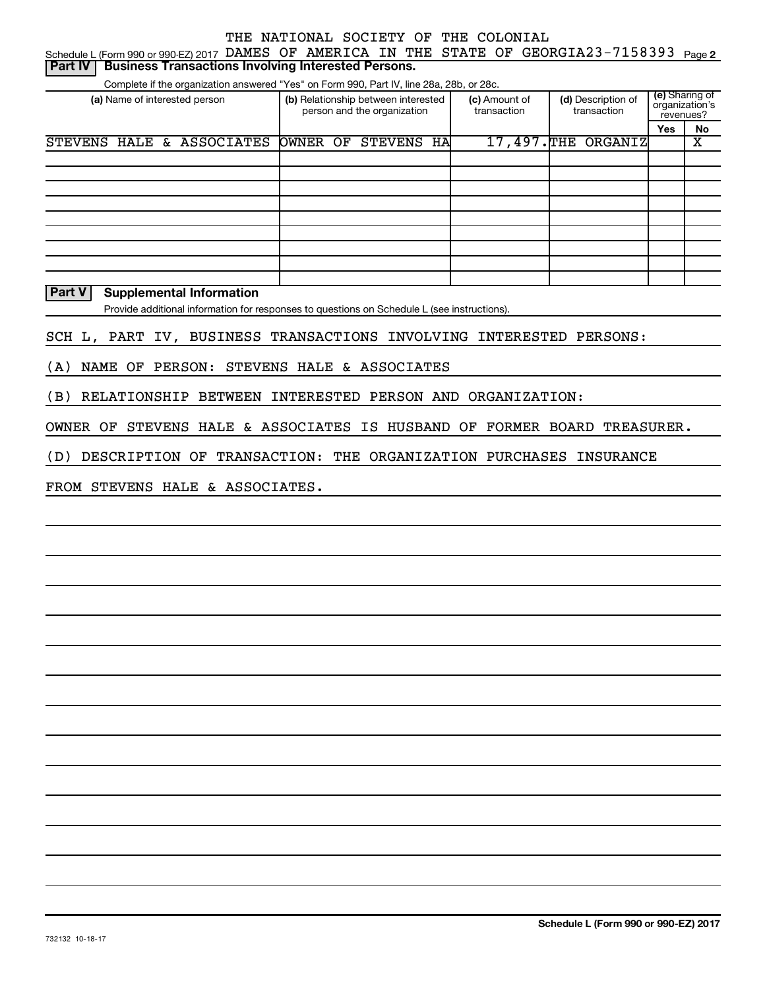| Schedule L (Form 990 or 990-EZ) 2017 DAMES OF AMERICA IN THE STATE OF GEORGIA23-7158393  |                                                                    |                              |                                   |                                               | Page 2 |  |  |  |  |  |  |  |
|------------------------------------------------------------------------------------------|--------------------------------------------------------------------|------------------------------|-----------------------------------|-----------------------------------------------|--------|--|--|--|--|--|--|--|
| <b>Business Transactions Involving Interested Persons.</b><br><b>Part IV</b>             |                                                                    |                              |                                   |                                               |        |  |  |  |  |  |  |  |
| Complete if the organization answered "Yes" on Form 990, Part IV, line 28a, 28b, or 28c. |                                                                    |                              |                                   |                                               |        |  |  |  |  |  |  |  |
| (a) Name of interested person                                                            | (b) Relationship between interested<br>person and the organization | (c) Amount of<br>transaction | (d) Description of<br>transaction | (e) Sharing of<br>organization's<br>revenues? |        |  |  |  |  |  |  |  |
|                                                                                          |                                                                    |                              |                                   | <b>Yes</b>                                    | No     |  |  |  |  |  |  |  |
| HALE & ASSOCIATES<br><b>STEVENS</b>                                                      | HA<br>OWNER OF<br><b>STEVENS</b>                                   | 17,497.THE                   | ORGANIZ                           |                                               | х      |  |  |  |  |  |  |  |
|                                                                                          |                                                                    |                              |                                   |                                               |        |  |  |  |  |  |  |  |
|                                                                                          |                                                                    |                              |                                   |                                               |        |  |  |  |  |  |  |  |
|                                                                                          |                                                                    |                              |                                   |                                               |        |  |  |  |  |  |  |  |
|                                                                                          |                                                                    |                              |                                   |                                               |        |  |  |  |  |  |  |  |
|                                                                                          |                                                                    |                              |                                   |                                               |        |  |  |  |  |  |  |  |
|                                                                                          |                                                                    |                              |                                   |                                               |        |  |  |  |  |  |  |  |
|                                                                                          |                                                                    |                              |                                   |                                               |        |  |  |  |  |  |  |  |
|                                                                                          |                                                                    |                              |                                   |                                               |        |  |  |  |  |  |  |  |
|                                                                                          |                                                                    |                              |                                   |                                               |        |  |  |  |  |  |  |  |

**Part V Supplemental Information**

Provide additional information for responses to questions on Schedule L (see instructions).

SCH L, PART IV, BUSINESS TRANSACTIONS INVOLVING INTERESTED PERSONS:

(A) NAME OF PERSON: STEVENS HALE & ASSOCIATES

(B) RELATIONSHIP BETWEEN INTERESTED PERSON AND ORGANIZATION:

OWNER OF STEVENS HALE & ASSOCIATES IS HUSBAND OF FORMER BOARD TREASURER.

(D) DESCRIPTION OF TRANSACTION: THE ORGANIZATION PURCHASES INSURANCE

FROM STEVENS HALE & ASSOCIATES.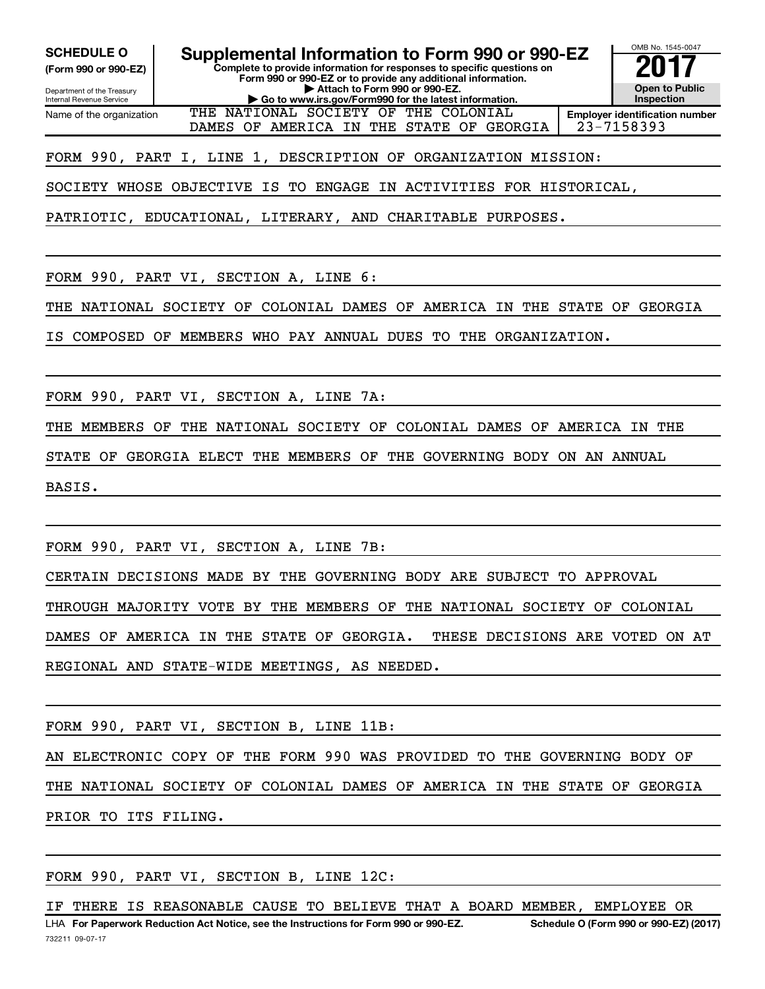**(Form 990 or 990-EZ)**

**Complete to provide information for responses to specific questions on SCHEDULE O Supplemental Information to Form 990 or 990-EZ**  $\frac{100800000}{201}$ 

**Form 990 or 990-EZ or to provide any additional information. | Attach to Form 990 or 990-EZ.**

**| Go to www.irs.gov/Form990 for the latest information.**

Department of the Treasury Internal Revenue Service Name of the organization

**Open to Public Inspection Employer identification number**

OMB No. 1545-0047

THE NATIONAL SOCIETY OF THE COLONIAL DAMES OF AMERICA IN THE STATE OF GEORGIA 23-7158393

FORM 990, PART I, LINE 1, DESCRIPTION OF ORGANIZATION MISSION:

SOCIETY WHOSE OBJECTIVE IS TO ENGAGE IN ACTIVITIES FOR HISTORICAL,

PATRIOTIC, EDUCATIONAL, LITERARY, AND CHARITABLE PURPOSES.

FORM 990, PART VI, SECTION A, LINE 6:

THE NATIONAL SOCIETY OF COLONIAL DAMES OF AMERICA IN THE STATE OF GEORGIA

IS COMPOSED OF MEMBERS WHO PAY ANNUAL DUES TO THE ORGANIZATION.

FORM 990, PART VI, SECTION A, LINE 7A:

THE MEMBERS OF THE NATIONAL SOCIETY OF COLONIAL DAMES OF AMERICA IN THE

STATE OF GEORGIA ELECT THE MEMBERS OF THE GOVERNING BODY ON AN ANNUAL

BASIS.

FORM 990, PART VI, SECTION A, LINE 7B:

CERTAIN DECISIONS MADE BY THE GOVERNING BODY ARE SUBJECT TO APPROVAL

THROUGH MAJORITY VOTE BY THE MEMBERS OF THE NATIONAL SOCIETY OF COLONIAL

DAMES OF AMERICA IN THE STATE OF GEORGIA. THESE DECISIONS ARE VOTED ON AT

REGIONAL AND STATE-WIDE MEETINGS, AS NEEDED.

FORM 990, PART VI, SECTION B, LINE 11B:

AN ELECTRONIC COPY OF THE FORM 990 WAS PROVIDED TO THE GOVERNING BODY OF THE NATIONAL SOCIETY OF COLONIAL DAMES OF AMERICA IN THE STATE OF GEORGIA PRIOR TO ITS FILING.

FORM 990, PART VI, SECTION B, LINE 12C:

732211 09-07-17 LHA For Paperwork Reduction Act Notice, see the Instructions for Form 990 or 990-EZ. Schedule O (Form 990 or 990-EZ) (2017) IF THERE IS REASONABLE CAUSE TO BELIEVE THAT A BOARD MEMBER, EMPLOYEE OR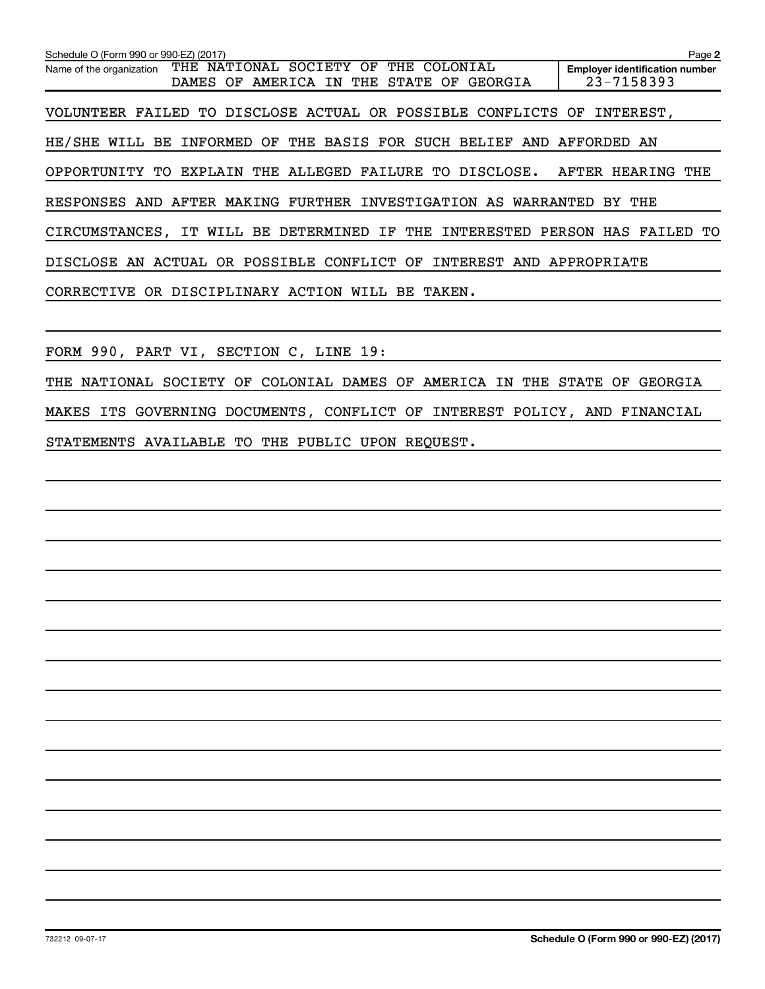| Schedule O (Form 990 or 990-EZ) (2017)                                                                                                          | Page 2                                              |
|-------------------------------------------------------------------------------------------------------------------------------------------------|-----------------------------------------------------|
| THE NATIONAL SOCIETY<br>THE<br>ΟF<br>COLONIAL<br>Name of the organization<br>STATE<br><b>DAMES</b><br>OF.<br>AMERICA IN<br>THE<br>OF<br>GEORGIA | <b>Employer identification number</b><br>23-7158393 |
| VOLUNTEER FAILED TO DISCLOSE ACTUAL OR POSSIBLE CONFLICTS OF INTEREST,                                                                          |                                                     |
| INFORMED OF THE BASIS FOR SUCH BELIEF AND AFFORDED AN<br>HE/SHE WILL BE                                                                         |                                                     |
| OPPORTUNITY TO EXPLAIN THE ALLEGED FAILURE TO DISCLOSE. AFTER HEARING THE                                                                       |                                                     |
| RESPONSES AND AFTER MAKING FURTHER INVESTIGATION AS WARRANTED BY                                                                                | THE                                                 |
| CIRCUMSTANCES, IT WILL BE DETERMINED IF THE INTERESTED PERSON HAS FAILED                                                                        | TО                                                  |
| DISCLOSE AN ACTUAL OR POSSIBLE CONFLICT OF INTEREST AND APPROPRIATE                                                                             |                                                     |
| CORRECTIVE OR DISCIPLINARY ACTION WILL BE TAKEN.                                                                                                |                                                     |
|                                                                                                                                                 |                                                     |
| FORM 990, PART VI, SECTION C, LINE 19:                                                                                                          |                                                     |
| THE NATIONAL SOCIETY OF COLONIAL DAMES OF AMERICA IN THE STATE OF                                                                               | GEORGIA                                             |
| MAKES ITS GOVERNING DOCUMENTS, CONFLICT OF INTEREST POLICY, AND FINANCIAL                                                                       |                                                     |

STATEMENTS AVAILABLE TO THE PUBLIC UPON REQUEST.